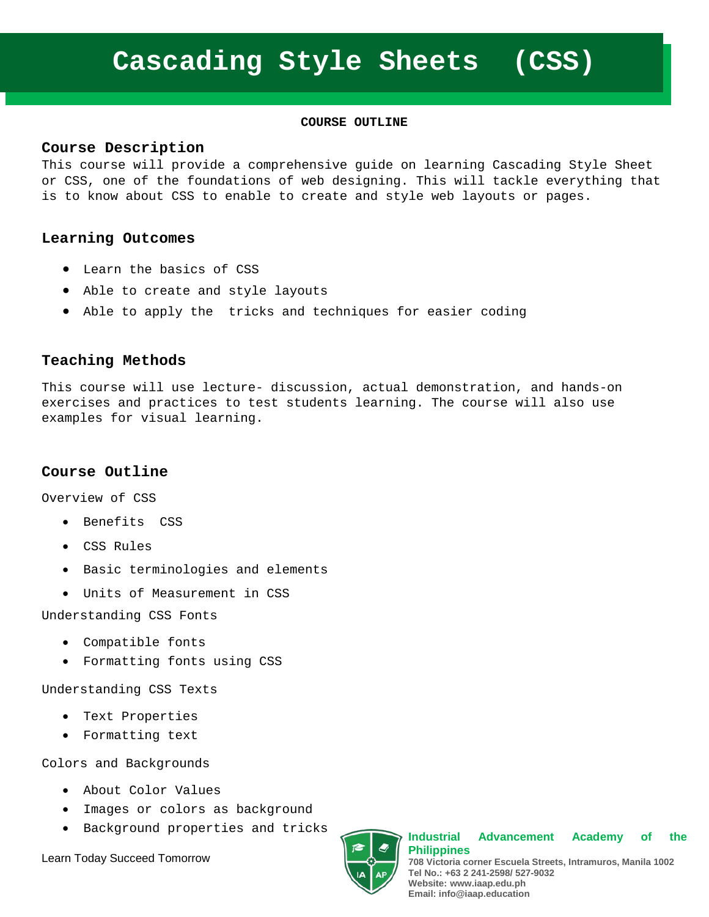#### **[COURSE](http://www.microsoft.com/learning/en-us/course.aspx?ID=10774A%23tab1) OUTLINE**

#### **Course Description**

This course will provide a comprehensive guide on learning Cascading Style Sheet or CSS, one of the foundations of web designing. This will tackle everything that is to know about CSS to enable to create and style web layouts or pages.

### **Learning Outcomes**

- Learn the basics of CSS
- Able to create and style layouts
- Able to apply the tricks and techniques for easier coding

### **Teaching Methods**

This course will use lecture- discussion, actual demonstration, and hands-on exercises and practices to test students learning. The course will also use examples for visual learning.

#### **Course Outline**

Overview of CSS

- Benefits CSS
- CSS Rules
- Basic terminologies and elements
- Units of Measurement in CSS

Understanding CSS Fonts

- Compatible fonts
- Formatting fonts using CSS

Understanding CSS Texts

- Text Properties
- Formatting text

Colors and Backgrounds

- About Color Values
- Images or colors as background
- Background properties and tricks

Learn Today Succeed Tomorrow



**Industrial Advancement Academy of the Philippines 708 Victoria corner Escuela Streets, Intramuros, Manila 1002 Tel No.: +63 2 241-2598/ 527-9032 Website: www.iaap.edu.ph**

**Email: info@iaap.education**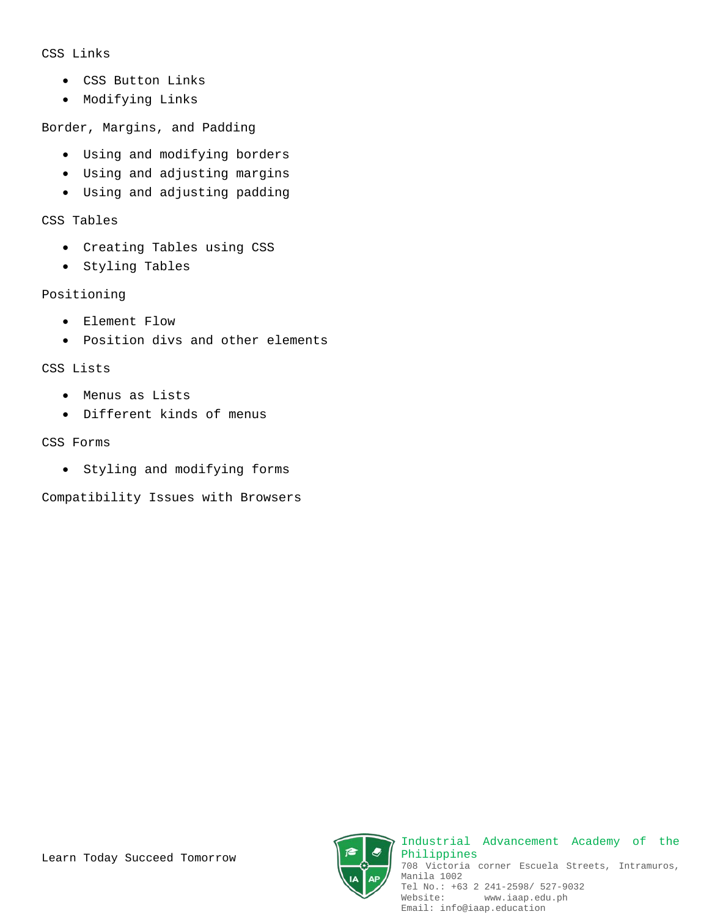#### CSS Links

- CSS Button Links
- Modifying Links

Border, Margins, and Padding

- Using and modifying borders
- Using and adjusting margins
- Using and adjusting padding

CSS Tables

- Creating Tables using CSS
- Styling Tables

### Positioning

- Element Flow
- Position divs and other elements

CSS Lists

- Menus as Lists
- Different kinds of menus

CSS Forms

• Styling and modifying forms

Compatibility Issues with Browsers





Industrial Advancement Academy of the Philippines 708 Victoria corner Escuela Streets, Intramuros, Manila 1002 Tel No.: +63 2 241-2598/ 527-9032<br>Website: www.iaap.edu.ph www.iaap.edu.ph Email: info@iaap.education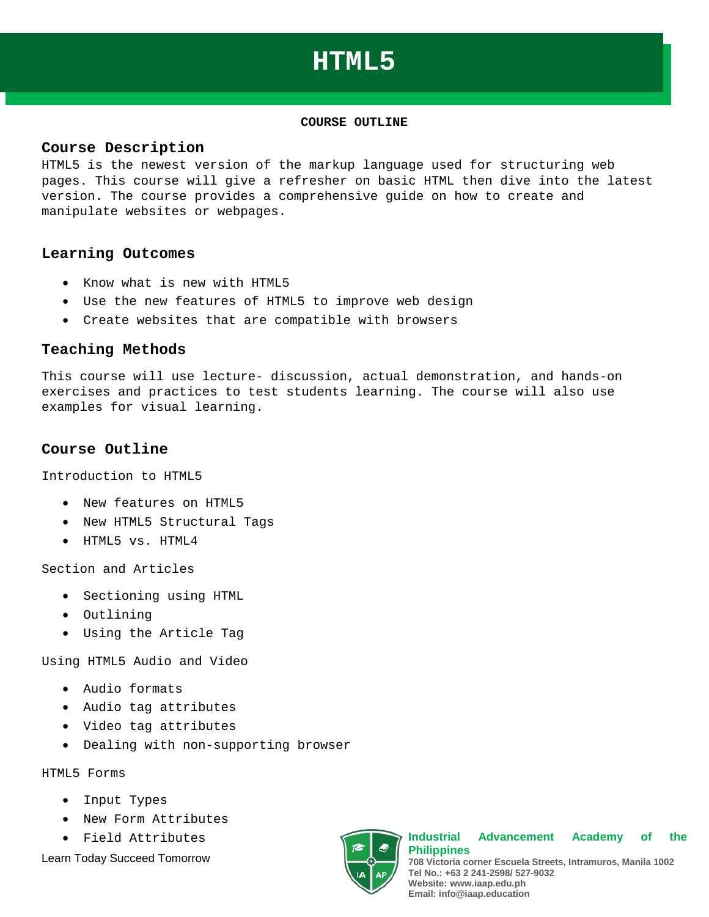## **HTML5**

#### **[COURSE](http://www.microsoft.com/learning/en-us/course.aspx?ID=10774A%23tab1) OUTLINE**

#### **Course Description**

HTML5 is the newest version of the markup language used for structuring web pages. This course will give a refresher on basic HTML then dive into the latest version. The course provides a comprehensive guide on how to create and manipulate websites or webpages.

#### **Learning Outcomes**

- Know what is new with HTML5
- Use the new features of HTML5 to improve web design
- Create websites that are compatible with browsers

#### **Teaching Methods**

This course will use lecture- discussion, actual demonstration, and hands-on exercises and practices to test students learning. The course will also use examples for visual learning.

#### **Course Outline**

Introduction to HTML5

- New features on HTML5
- New HTML5 Structural Tags
- HTML5 vs. HTML4

Section and Articles

- Sectioning using HTML
- Outlining
- Using the Article Tag

Using HTML5 Audio and Video

- Audio formats
- Audio tag attributes
- Video tag attributes
- Dealing with non-supporting browser

HTML5 Forms

- Input Types
- New Form Attributes
- Field Attributes

Learn Today Succeed Tomorrow



**Industrial Advancement Academy of the Philippines 708 Victoria corner Escuela Streets, Intramuros, Manila 1002 Tel No.: +63 2 241-2598/ 527-9032 Website: www.iaap.edu.ph Email: info@iaap.education**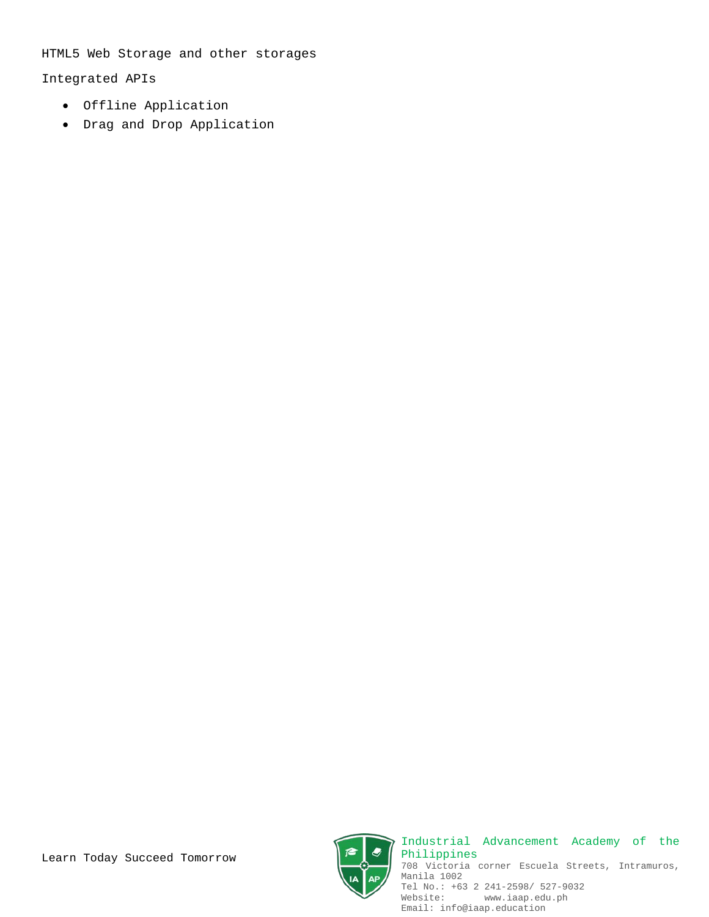HTML5 Web Storage and other storages

Integrated APIs

- Offline Application
- Drag and Drop Application



Industrial Advancement Academy of the Philippines 708 Victoria corner Escuela Streets, Intramuros, Manila 1002 Tel No.: +63 2 241-2598/ 527-9032 Website: www.iaap.edu.ph Email: info@iaap.education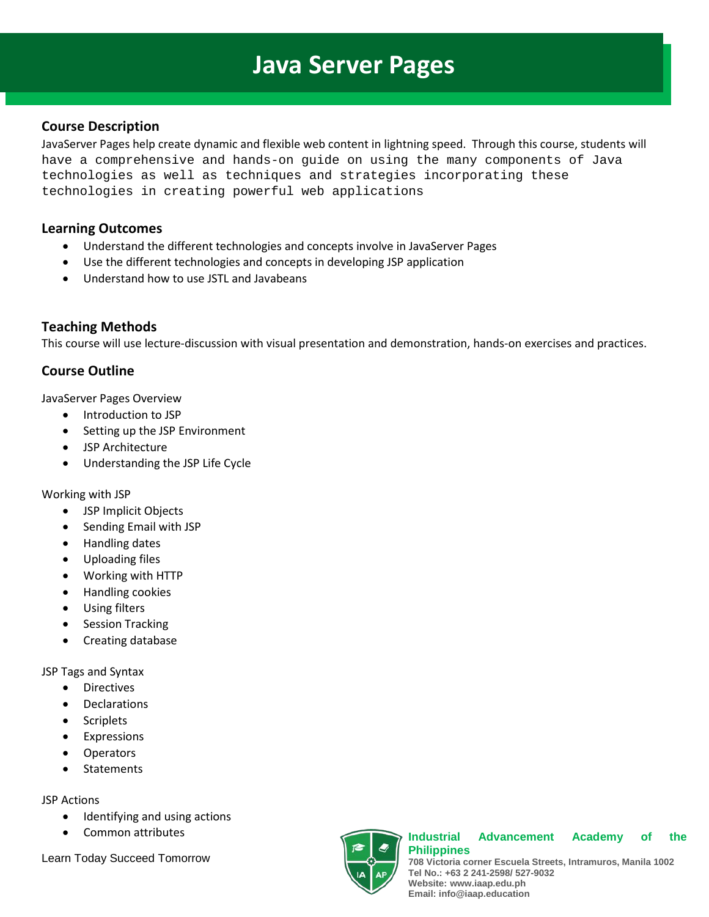# **Java Server Pages**

## **Course Description**

JavaServer Pages help create dynamic and flexible web content in lightning speed. Through this course, students will have a comprehensive and hands-on guide on using the many components of Java technologies as well as techniques and strategies incorporating these technologies in creating powerful web applications

## **Learning Outcomes**

- Understand the different technologies and concepts involve in JavaServer Pages
- Use the different technologies and concepts in developing JSP application
- Understand how to use JSTL and Javabeans

## **Teaching Methods**

This course will use lecture-discussion with visual presentation and demonstration, hands-on exercises and practices.

## **Course Outline**

JavaServer Pages Overview

- Introduction to JSP
- Setting up the JSP Environment
- JSP Architecture
- Understanding the JSP Life Cycle

### Working with JSP

- JSP Implicit Objects
- Sending Email with JSP
- Handling dates
- Uploading files
- Working with HTTP
- Handling cookies
- Using filters
- Session Tracking
- Creating database

JSP Tags and Syntax

- Directives
- **Declarations**
- **Scriplets**
- **Expressions**
- **Operators**
- **Statements**

### JSP Actions

- Identifying and using actions
- Common attributes

Learn Today Succeed Tomorrow



#### **Industrial Advancement Academy of the Philippines**

**708 Victoria corner Escuela Streets, Intramuros, Manila 1002 Tel No.: +63 2 241-2598/ 527-9032 Website: www.iaap.edu.ph Email: info@iaap.education**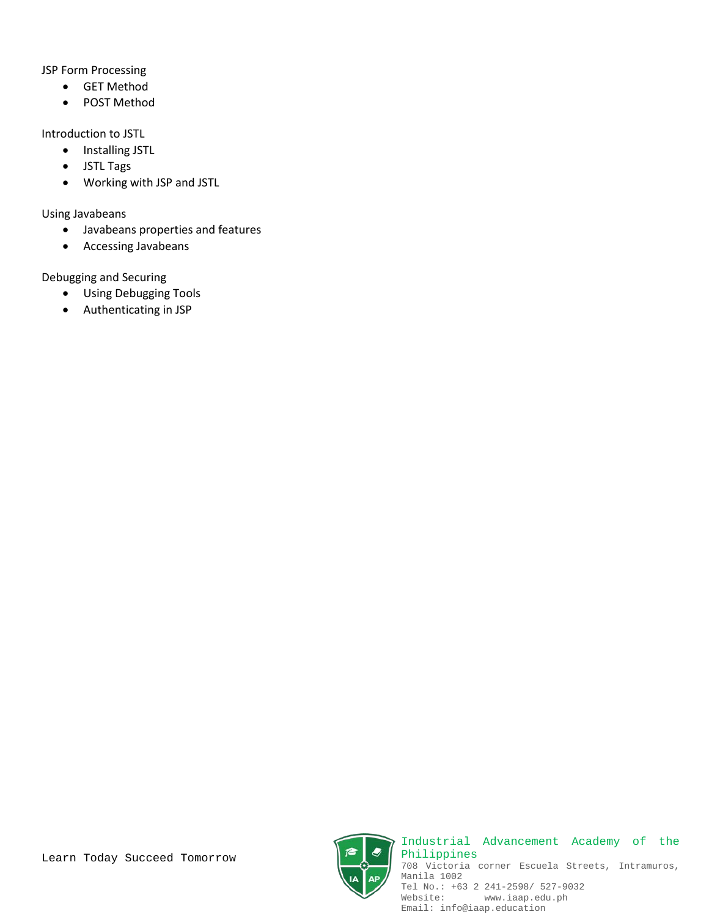JSP Form Processing

- GET Method
- POST Method

Introduction to JSTL

- Installing JSTL
- JSTL Tags
- Working with JSP and JSTL

Using Javabeans

- Javabeans properties and features
- Accessing Javabeans

Debugging and Securing

- Using Debugging Tools
- Authenticating in JSP





Industrial Advancement Academy of the Philippines 708 Victoria corner Escuela Streets, Intramuros, Manila 1002 Tel No.: +63 2 241-2598/ 527-9032 Website: www.iaap.edu.ph Email: info@iaap.education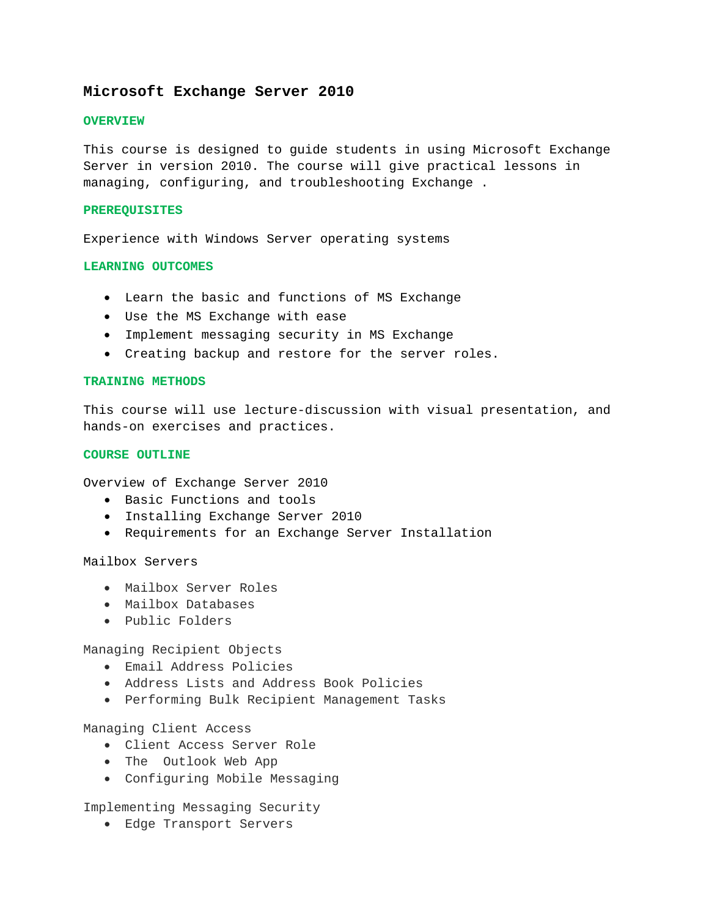#### **Microsoft Exchange Server 2010**

#### **OVERVIEW**

This course is designed to guide students in using Microsoft Exchange Server in version 2010. The course will give practical lessons in managing, configuring, and troubleshooting Exchange .

#### **PREREQUISITES**

Experience with Windows Server operating systems

#### **LEARNING OUTCOMES**

- Learn the basic and functions of MS Exchange
- Use the MS Exchange with ease
- Implement messaging security in MS Exchange
- Creating backup and restore for the server roles.

#### **TRAINING METHODS**

This course will use lecture-discussion with visual presentation, and hands-on exercises and practices.

#### **COURSE OUTLINE**

Overview of Exchange Server 2010

- Basic Functions and tools
- Installing Exchange Server 2010
- Requirements for an Exchange Server Installation

Mailbox Servers

- Mailbox Server Roles
- Mailbox Databases
- Public Folders

Managing Recipient Objects

- Email Address Policies
- Address Lists and Address Book Policies
- Performing Bulk Recipient Management Tasks

Managing Client Access

- Client Access Server Role
- The Outlook Web App
- Configuring Mobile Messaging

Implementing Messaging Security

• Edge Transport Servers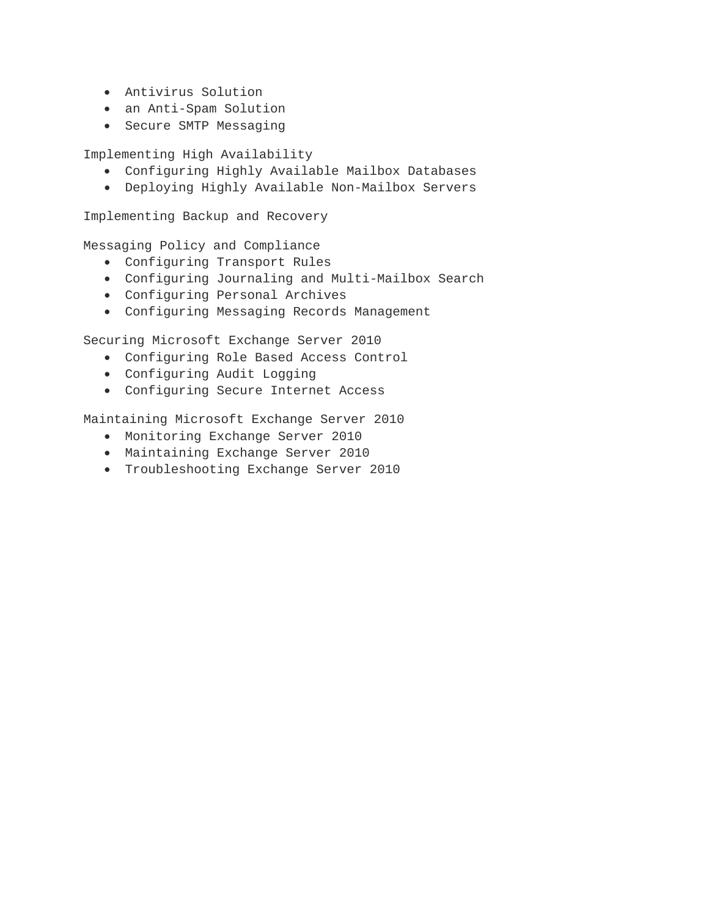- Antivirus Solution
- an Anti-Spam Solution
- Secure SMTP Messaging

Implementing High Availability

- Configuring Highly Available Mailbox Databases
- Deploying Highly Available Non-Mailbox Servers

Implementing Backup and Recovery

Messaging Policy and Compliance

- Configuring Transport Rules
- Configuring Journaling and Multi-Mailbox Search
- Configuring Personal Archives
- Configuring Messaging Records Management

Securing Microsoft Exchange Server 2010

- Configuring Role Based Access Control
- Configuring Audit Logging
- Configuring Secure Internet Access

Maintaining Microsoft Exchange Server 2010

- Monitoring Exchange Server 2010
- Maintaining Exchange Server 2010
- Troubleshooting Exchange Server 2010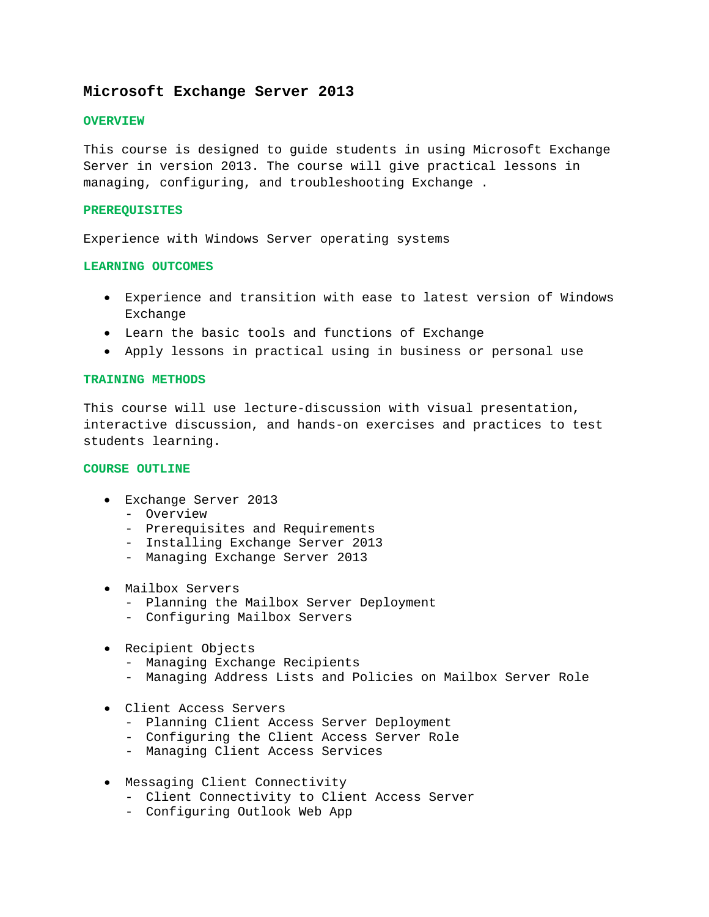#### **Microsoft Exchange Server 2013**

#### **OVERVIEW**

This course is designed to guide students in using Microsoft Exchange Server in version 2013. The course will give practical lessons in managing, configuring, and troubleshooting Exchange .

#### **PREREQUISITES**

Experience with Windows Server operating systems

#### **LEARNING OUTCOMES**

- Experience and transition with ease to latest version of Windows Exchange
- Learn the basic tools and functions of Exchange
- Apply lessons in practical using in business or personal use

#### **TRAINING METHODS**

This course will use lecture-discussion with visual presentation, interactive discussion, and hands-on exercises and practices to test students learning.

#### **COURSE OUTLINE**

- Exchange Server 2013
	- Overview
	- Prerequisites and Requirements
	- Installing Exchange Server 2013
	- Managing Exchange Server 2013
- Mailbox Servers
	- Planning the Mailbox Server Deployment
	- Configuring Mailbox Servers
- Recipient Objects
	- Managing Exchange Recipients
	- Managing Address Lists and Policies on Mailbox Server Role
- Client Access Servers
	- Planning Client Access Server Deployment
	- Configuring the Client Access Server Role
	- Managing Client Access Services
- Messaging Client Connectivity
	- Client Connectivity to Client Access Server
	- Configuring Outlook Web App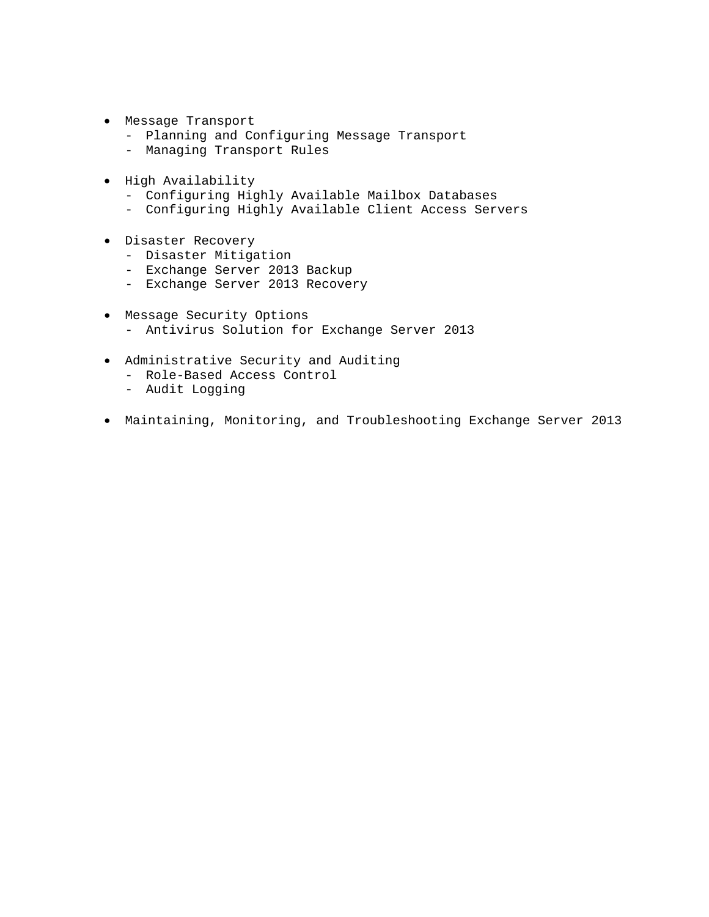- Message Transport
	- Planning and Configuring Message Transport
	- Managing Transport Rules
- High Availability
	- Configuring Highly Available Mailbox Databases
	- Configuring Highly Available Client Access Servers
- Disaster Recovery
	- Disaster Mitigation
	- Exchange Server 2013 Backup
	- Exchange Server 2013 Recovery
- Message Security Options - Antivirus Solution for Exchange Server 2013
- Administrative Security and Auditing
	- Role-Based Access Control
	- Audit Logging
- Maintaining, Monitoring, and Troubleshooting Exchange Server 2013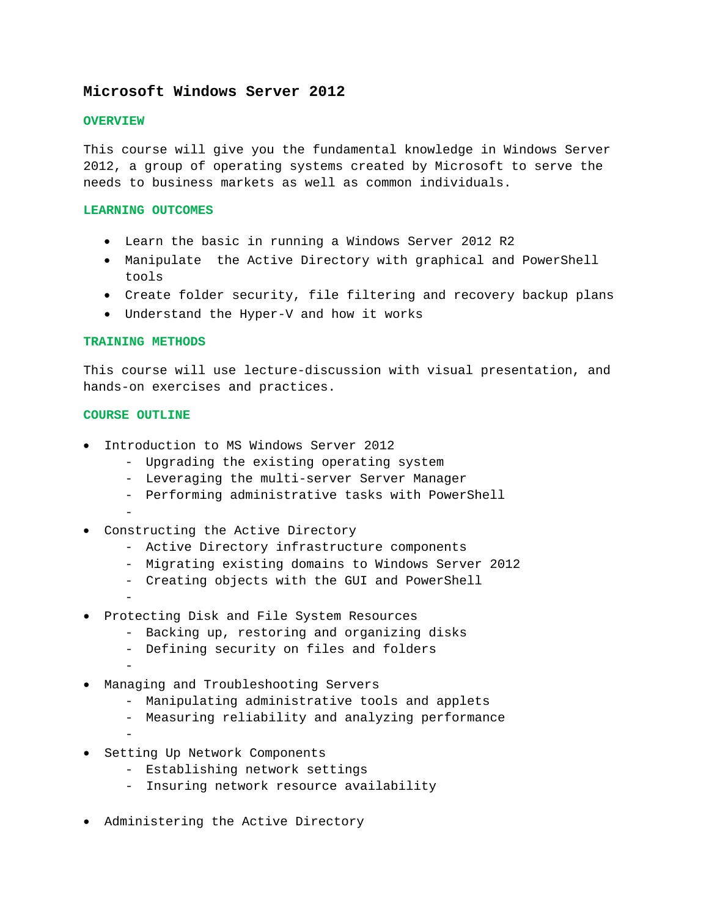### **Microsoft Windows Server 2012**

#### **OVERVIEW**

This course will give you the fundamental knowledge in Windows Server 2012, a group of operating systems created by Microsoft to serve the needs to business markets as well as common individuals.

#### **LEARNING OUTCOMES**

- Learn the basic in running a Windows Server 2012 R2
- Manipulate the Active Directory with graphical and PowerShell tools
- Create folder security, file filtering and recovery backup plans
- Understand the Hyper-V and how it works

#### **TRAINING METHODS**

This course will use lecture-discussion with visual presentation, and hands-on exercises and practices.

#### **COURSE OUTLINE**

- Introduction to MS Windows Server 2012
	- Upgrading the existing operating system
	- Leveraging the multi-server Server Manager
	- Performing administrative tasks with PowerShell
	- -
- Constructing the Active Directory
	- Active Directory infrastructure components
	- Migrating existing domains to Windows Server 2012
	- Creating objects with the GUI and PowerShell
	- -
- Protecting Disk and File System Resources
	- Backing up, restoring and organizing disks
	- Defining security on files and folders
- • Managing and Troubleshooting Servers
	- Manipulating administrative tools and applets
	- Measuring reliability and analyzing performance
	- -
- Setting Up Network Components
	- Establishing network settings
	- Insuring network resource availability
- Administering the Active Directory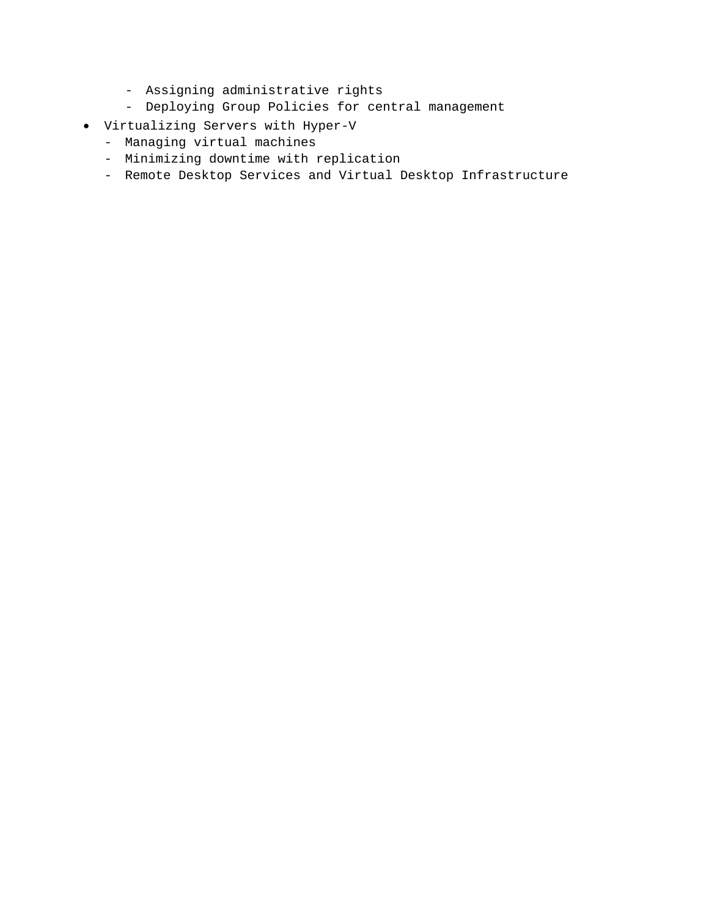- Assigning administrative rights
- Deploying Group Policies for central management
- Virtualizing Servers with Hyper-V
	- Managing virtual machines
	- Minimizing downtime with replication
	- Remote Desktop Services and Virtual Desktop Infrastructure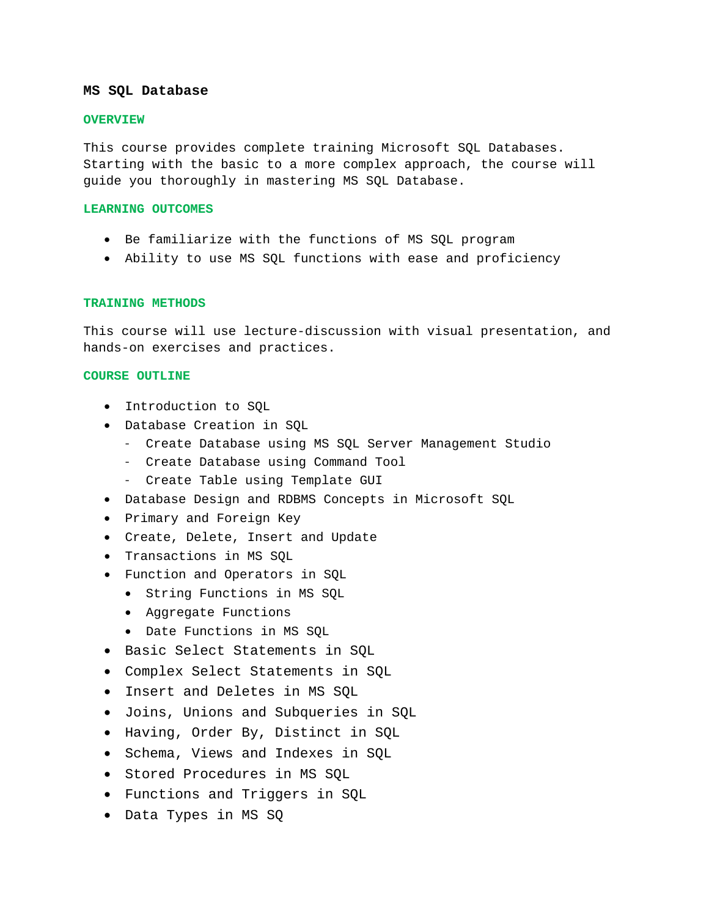#### **MS SQL Database**

#### **OVERVIEW**

This course provides complete training Microsoft SQL Databases. Starting with the basic to a more complex approach, the course will guide you thoroughly in mastering MS SQL Database.

#### **LEARNING OUTCOMES**

- Be familiarize with the functions of MS SQL program
- Ability to use MS SQL functions with ease and proficiency

#### **TRAINING METHODS**

This course will use lecture-discussion with visual presentation, and hands-on exercises and practices.

#### **COURSE OUTLINE**

- Introduction to SQL
- Database Creation in SQL
	- Create Database using MS SQL Server Management Studio
	- Create Database using Command Tool
	- Create Table using Template GUI
- Database Design and RDBMS Concepts in Microsoft SQL
- Primary and Foreign Key
- Create, Delete, Insert and Update
- Transactions in MS SQL
- Function and Operators in SQL
	- String Functions in MS SQL
	- Aggregate Functions
	- Date Functions in MS SQL
- Basic Select Statements in SQL
- Complex Select Statements in SQL
- Insert and Deletes in MS SQL
- Joins, Unions and Subqueries in SQL
- Having, Order By, Distinct in SQL
- Schema, Views and Indexes in SQL
- Stored Procedures in MS SQL
- Functions and Triggers in SQL
- Data Types in MS SQ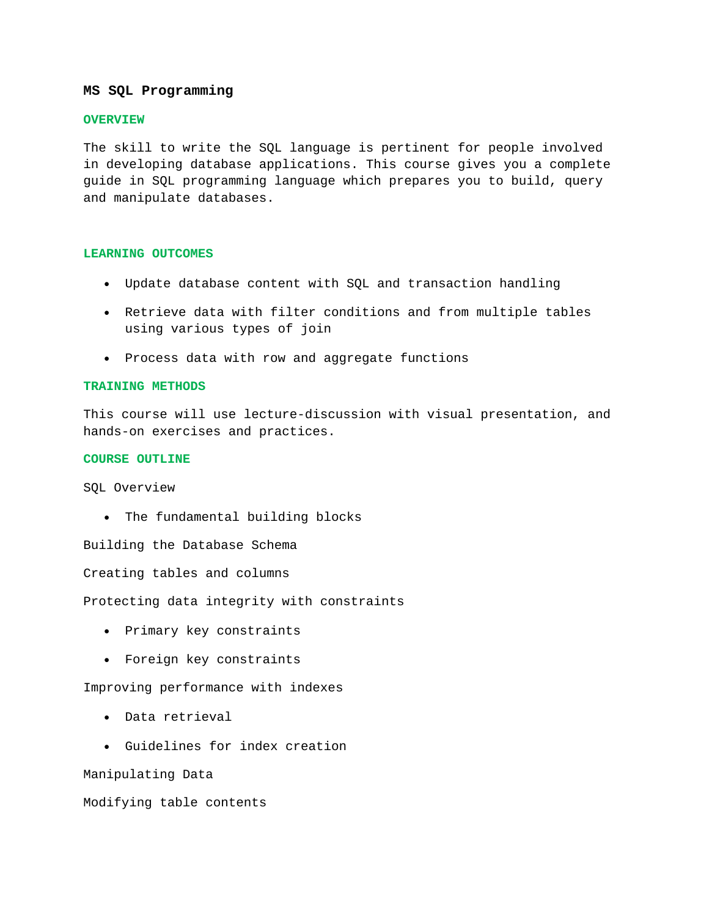#### **MS SQL Programming**

#### **OVERVIEW**

The skill to write the SQL language is pertinent for people involved in developing database applications. This course gives you a complete guide in SQL programming language which prepares you to build, query and manipulate databases.

#### **LEARNING OUTCOMES**

- Update database content with SQL and transaction handling
- Retrieve data with filter conditions and from multiple tables using various types of join
- Process data with row and aggregate functions

#### **TRAINING METHODS**

This course will use lecture-discussion with visual presentation, and hands-on exercises and practices.

#### **COURSE OUTLINE**

SQL Overview

• The fundamental building blocks

Building the Database Schema

Creating tables and columns

Protecting data integrity with constraints

- Primary key constraints
- Foreign key constraints

Improving performance with indexes

- Data retrieval
- Guidelines for index creation

Manipulating Data

Modifying table contents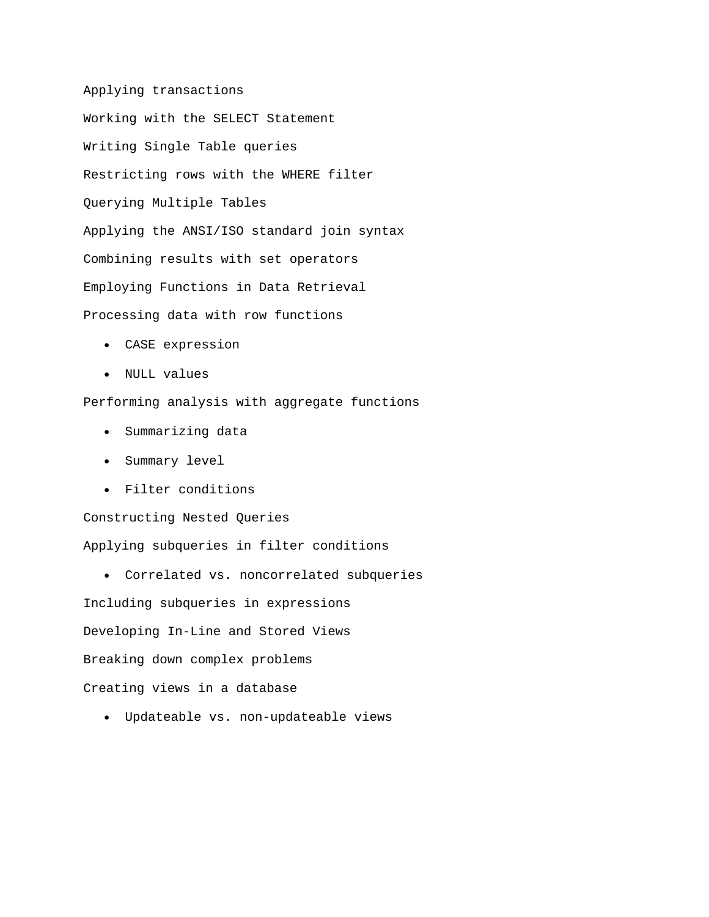Applying transactions Working with the SELECT Statement Writing Single Table queries Restricting rows with the WHERE filter Querying Multiple Tables Applying the ANSI/ISO standard join syntax Combining results with set operators Employing Functions in Data Retrieval Processing data with row functions

- CASE expression
- NULL values

Performing analysis with aggregate functions

- Summarizing data
- Summary level
- Filter conditions

Constructing Nested Queries Applying subqueries in filter conditions

• Correlated vs. noncorrelated subqueries

Including subqueries in expressions Developing In-Line and Stored Views Breaking down complex problems Creating views in a database

• Updateable vs. non-updateable views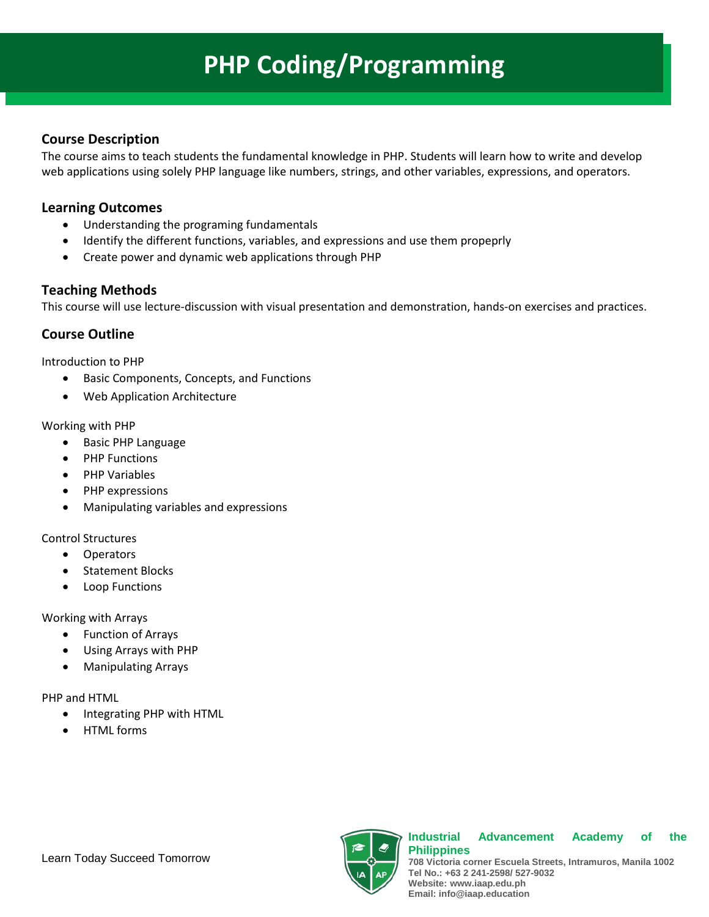# **PHP Coding/Programming**

## **Course Description**

The course aims to teach students the fundamental knowledge in PHP. Students will learn how to write and develop web applications using solely PHP language like numbers, strings, and other variables, expressions, and operators.

## **Learning Outcomes**

- Understanding the programing fundamentals
- Identify the different functions, variables, and expressions and use them propeprly
- Create power and dynamic web applications through PHP

## **Teaching Methods**

This course will use lecture-discussion with visual presentation and demonstration, hands-on exercises and practices.

## **Course Outline**

Introduction to PHP

- Basic Components, Concepts, and Functions
- Web Application Architecture

### Working with PHP

- Basic PHP Language
- PHP Functions
- PHP Variables
- PHP expressions
- Manipulating variables and expressions

### Control Structures

- Operators
- Statement Blocks
- Loop Functions

Working with Arrays

- Function of Arrays
- Using Arrays with PHP
- Manipulating Arrays

PHP and HTML

- Integrating PHP with HTML
- HTML forms



#### **Industrial Advancement Academy of the Philippines**

**708 Victoria corner Escuela Streets, Intramuros, Manila 1002 Tel No.: +63 2 241-2598/ 527-9032 Website: www.iaap.edu.ph Email: info@iaap.education**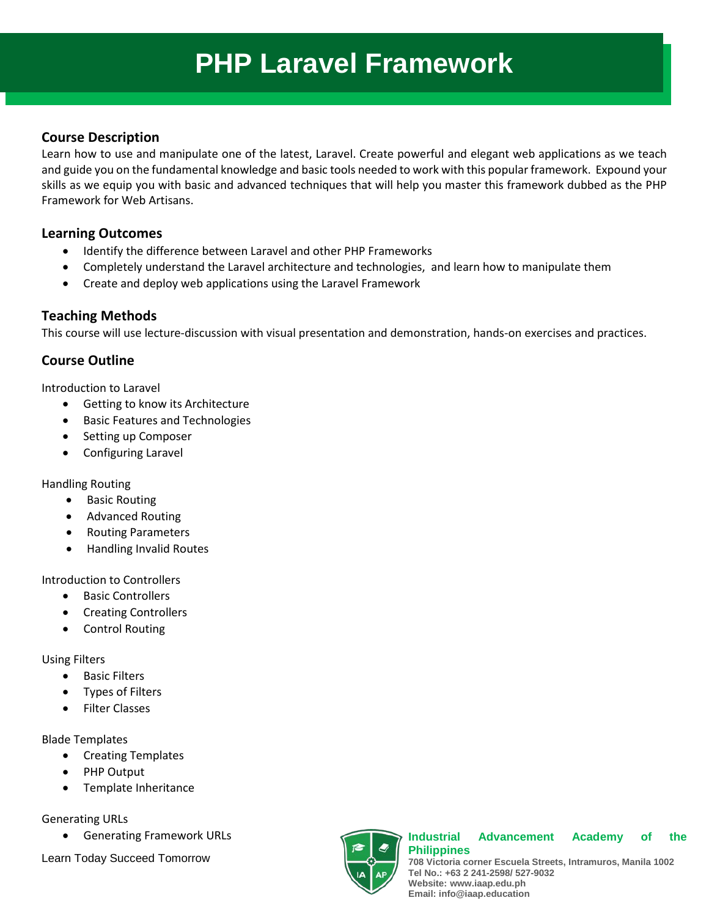# **PHP Laravel Framework**

## **Course Description**

Learn how to use and manipulate one of the latest, Laravel. Create powerful and elegant web applications as we teach and guide you on the fundamental knowledge and basic tools needed to work with this popular framework. Expound your skills as we equip you with basic and advanced techniques that will help you master this framework dubbed as the PHP Framework for Web Artisans.

## **Learning Outcomes**

- Identify the difference between Laravel and other PHP Frameworks
- Completely understand the Laravel architecture and technologies, and learn how to manipulate them
- Create and deploy web applications using the Laravel Framework

## **Teaching Methods**

This course will use lecture-discussion with visual presentation and demonstration, hands-on exercises and practices.

## **Course Outline**

Introduction to Laravel

- Getting to know its Architecture
- Basic Features and Technologies
- Setting up Composer
- Configuring Laravel

Handling Routing

- **Basic Routing**
- Advanced Routing
- Routing Parameters
- Handling Invalid Routes

Introduction to Controllers

- Basic Controllers
- Creating Controllers
- Control Routing

Using Filters

- Basic Filters
- Types of Filters
- Filter Classes

Blade Templates

- Creating Templates
- PHP Output
- Template Inheritance

Generating URLs

• Generating Framework URLs

Learn Today Succeed Tomorrow



#### **Industrial Advancement Academy of the Philippines**

**708 Victoria corner Escuela Streets, Intramuros, Manila 1002 Tel No.: +63 2 241-2598/ 527-9032 Website: www.iaap.edu.ph Email: info@iaap.education**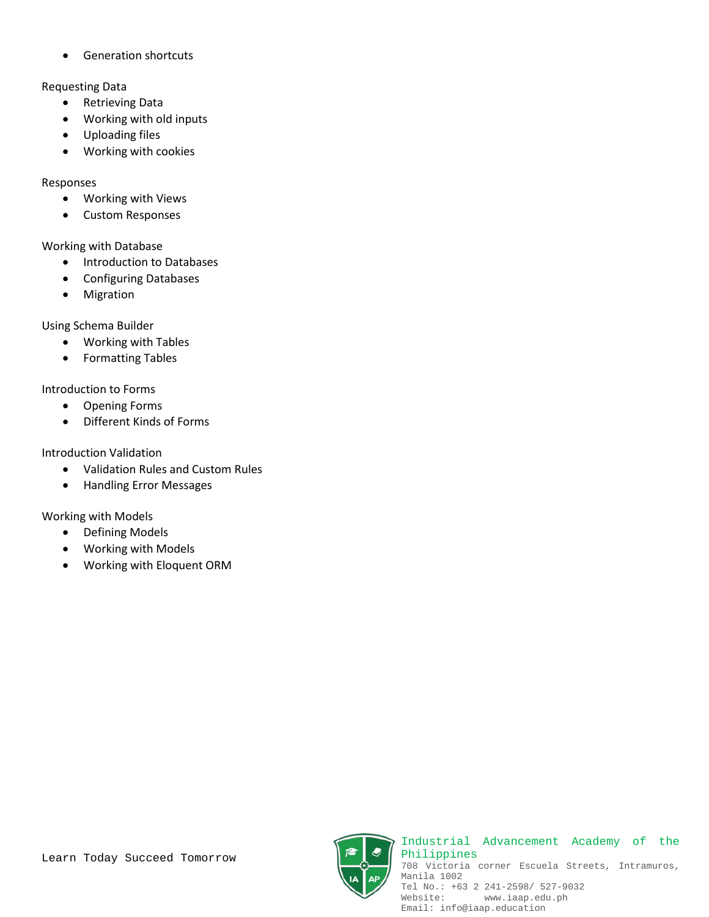• Generation shortcuts

## Requesting Data

- Retrieving Data
- Working with old inputs
- Uploading files
- Working with cookies

## Responses

- Working with Views
- Custom Responses

## Working with Database

- Introduction to Databases
- Configuring Databases
- Migration

Using Schema Builder

- Working with Tables
- Formatting Tables

## Introduction to Forms

- Opening Forms
- Different Kinds of Forms

## Introduction Validation

- Validation Rules and Custom Rules
- Handling Error Messages

## Working with Models

- Defining Models
- Working with Models
- Working with Eloquent ORM



Industrial Advancement Academy of the Philippines 708 Victoria corner Escuela Streets, Intramuros, Manila 1002 Tel No.: +63 2 241-2598/ 527-9032<br>Website: www.iaap.edu.ph Website: www.iaap.edu.ph Email: info@iaap.education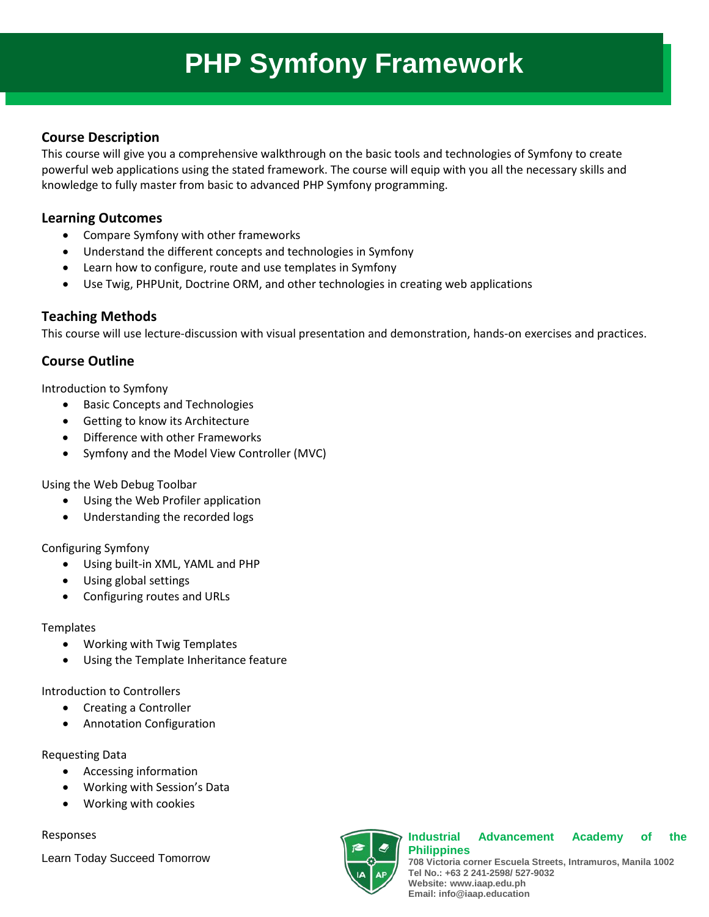# **PHP Symfony Framework**

## **Course Description**

This course will give you a comprehensive walkthrough on the basic tools and technologies of Symfony to create powerful web applications using the stated framework. The course will equip with you all the necessary skills and knowledge to fully master from basic to advanced PHP Symfony programming.

## **Learning Outcomes**

- Compare Symfony with other frameworks
- Understand the different concepts and technologies in Symfony
- Learn how to configure, route and use templates in Symfony
- Use Twig, PHPUnit, Doctrine ORM, and other technologies in creating web applications

## **Teaching Methods**

This course will use lecture-discussion with visual presentation and demonstration, hands-on exercises and practices.

## **Course Outline**

Introduction to Symfony

- Basic Concepts and Technologies
- Getting to know its Architecture
- Difference with other Frameworks
- Symfony and the Model View Controller (MVC)

Using the Web Debug Toolbar

- Using the Web Profiler application
- Understanding the recorded logs

## Configuring Symfony

- Using built-in XML, YAML and PHP
- Using global settings
- Configuring routes and URLs

## **Templates**

- Working with Twig Templates
- Using the Template Inheritance feature

Introduction to Controllers

- Creating a Controller
- Annotation Configuration

## Requesting Data

- Accessing information
- Working with Session's Data
- Working with cookies

## Responses

Learn Today Succeed Tomorrow



#### **Industrial Advancement Academy of the Philippines**

**708 Victoria corner Escuela Streets, Intramuros, Manila 1002 Tel No.: +63 2 241-2598/ 527-9032 Website: www.iaap.edu.ph Email: info@iaap.education**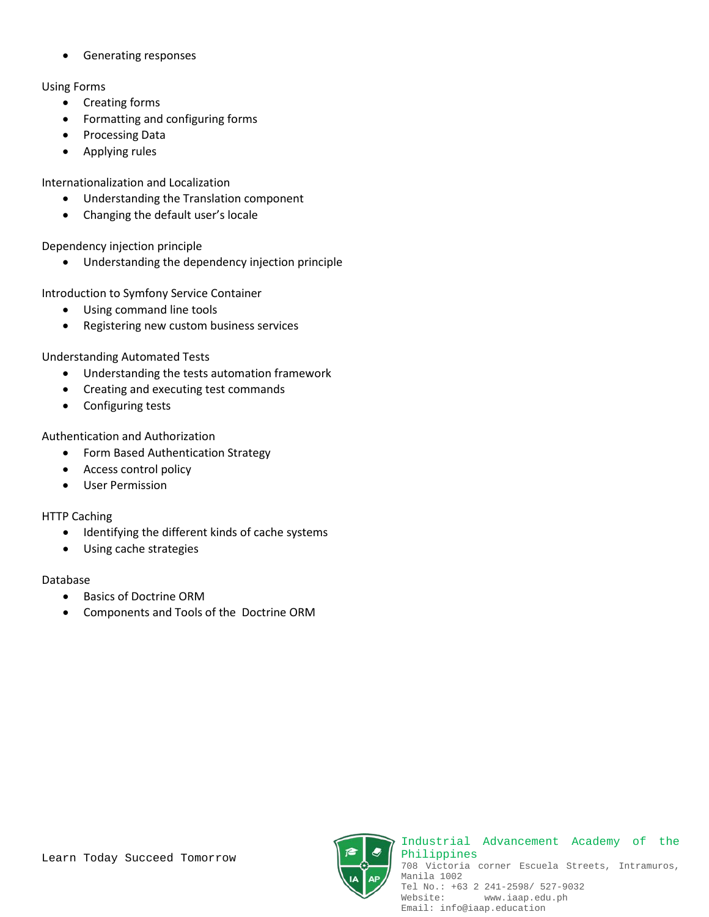• Generating responses

## Using Forms

- Creating forms
- Formatting and configuring forms
- Processing Data
- Applying rules

Internationalization and Localization

- Understanding the Translation component
- Changing the default user's locale

Dependency injection principle

• Understanding the dependency injection principle

Introduction to Symfony Service Container

- Using command line tools
- Registering new custom business services

Understanding Automated Tests

- Understanding the tests automation framework
- Creating and executing test commands
- Configuring tests

Authentication and Authorization

- Form Based Authentication Strategy
- Access control policy
- User Permission

HTTP Caching

- Identifying the different kinds of cache systems
- Using cache strategies

## Database

- Basics of Doctrine ORM
- Components and Tools of the Doctrine ORM

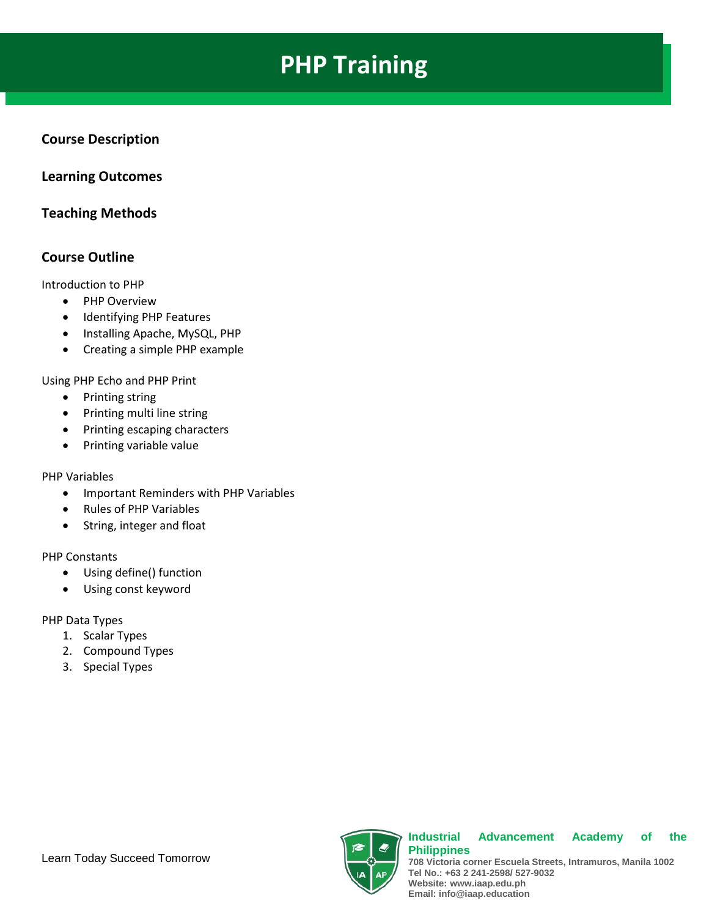# **PHP Training**

## **Course Description**

## **Learning Outcomes**

## **Teaching Methods**

## **Course Outline**

Introduction to PHP

- PHP Overview
- Identifying PHP Features
- Installing Apache, MySQL, PHP
- Creating a simple PHP example

Using PHP Echo and PHP Print

- Printing string
- Printing multi line string
- Printing escaping characters
- Printing variable value

### PHP Variables

- Important Reminders with PHP Variables
- Rules of PHP Variables
- String, integer and float

PHP Constants

- Using define() function
- Using const keyword

PHP Data Types

- 1. Scalar Types
- 2. Compound Types
- 3. Special Types



#### **Industrial Advancement Academy of the Philippines**

**708 Victoria corner Escuela Streets, Intramuros, Manila 1002 Tel No.: +63 2 241-2598/ 527-9032 Website: www.iaap.edu.ph Email: info@iaap.education**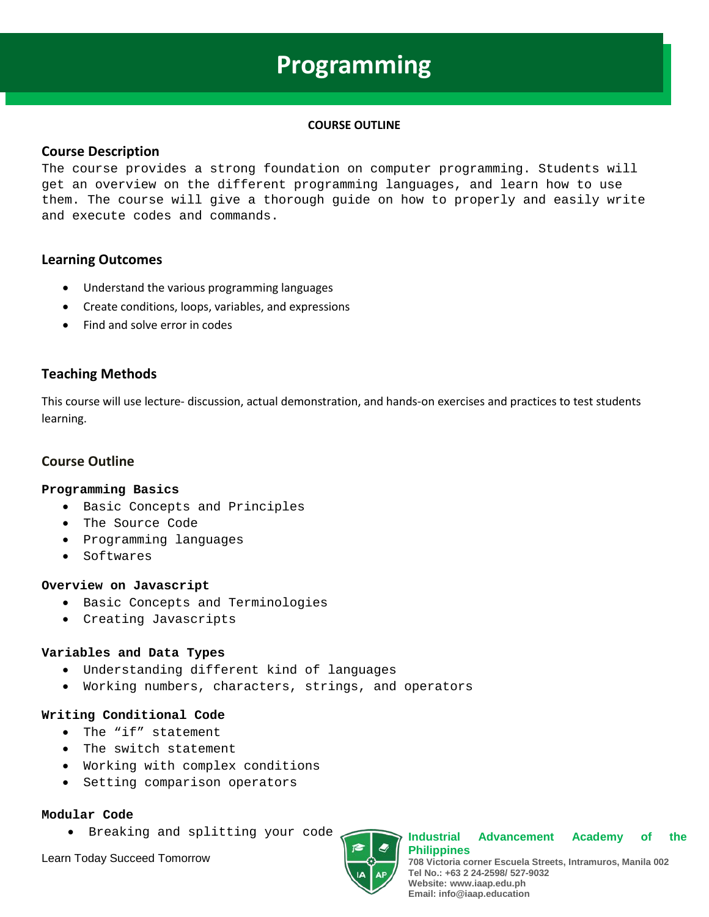## **Programming**

#### **COURSE OUTLINE**

### **Course Description**

The course provides a strong foundation on computer programming. Students will get an overview on the different programming languages, and learn how to use them. The course will give a thorough guide on how to properly and easily write and execute codes and commands.

## **Learning Outcomes**

- Understand the various programming languages
- Create conditions, loops, variables, and expressions
- Find and solve error in codes

## **Teaching Methods**

This course will use lecture- discussion, actual demonstration, and hands-on exercises and practices to test students learning.

## **Course Outline**

#### **Programming Basics**

- Basic Concepts and Principles
- The Source Code
- Programming languages
- Softwares

#### **Overview on Javascript**

- Basic Concepts and Terminologies
- Creating Javascripts

### **Variables and Data Types**

- Understanding different kind of languages
- Working numbers, characters, strings, and operators

### **Writing Conditional Code**

- The "if" statement
- The switch statement
- Working with complex conditions
- Setting comparison operators

#### **Modular Code**

• Breaking and splitting your code

Learn Today Succeed Tomorrow



**Industrial Advancement Academy of the Philippines 708 Victoria corner Escuela Streets, Intramuros, Manila 002 Tel No.: +63 2 24-2598/ 527-9032 Website: www.iaap.edu.ph Email: info@iaap.education**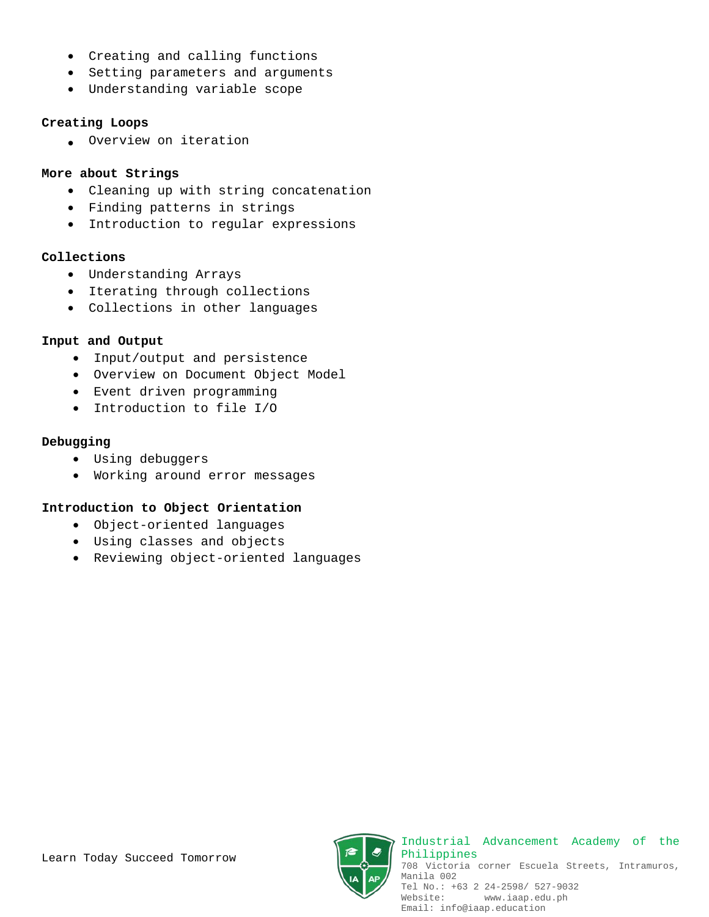- Creating and calling functions
- Setting parameters and arguments
- Understanding variable scope

### **Creating Loops**

• Overview on iteration

### **More about Strings**

- Cleaning up with string concatenation
- Finding patterns in strings
- Introduction to regular expressions

### **Collections**

- Understanding Arrays
- Iterating through collections
- Collections in other languages

### **Input and Output**

- Input/output and persistence
- Overview on Document Object Model
- Event driven programming
- Introduction to file I/O

### **Debugging**

- Using debuggers
- Working around error messages

### **Introduction to Object Orientation**

- Object-oriented languages
- Using classes and objects
- Reviewing object-oriented languages

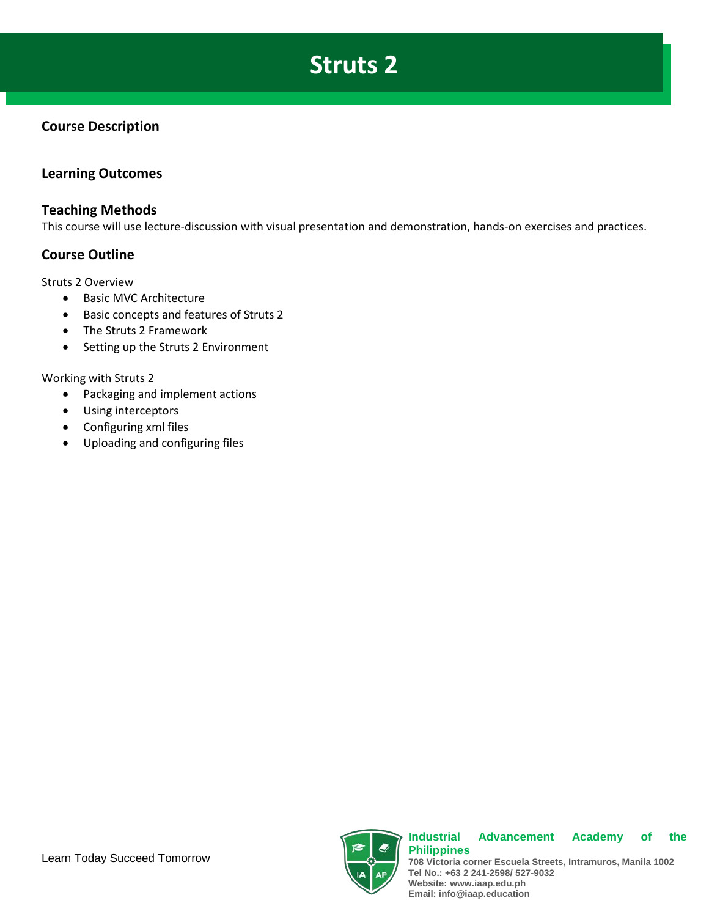# **Struts 2**

## **Course Description**

## **Learning Outcomes**

## **Teaching Methods**

This course will use lecture-discussion with visual presentation and demonstration, hands-on exercises and practices.

## **Course Outline**

Struts 2 Overview

- Basic MVC Architecture
- Basic concepts and features of Struts 2
- The Struts 2 Framework
- Setting up the Struts 2 Environment

### Working with Struts 2

- Packaging and implement actions
- Using interceptors
- Configuring xml files
- Uploading and configuring files



**Tel No.: +63 2 241-2598/ 527-9032 Website: www.iaap.edu.ph Email: info@iaap.education**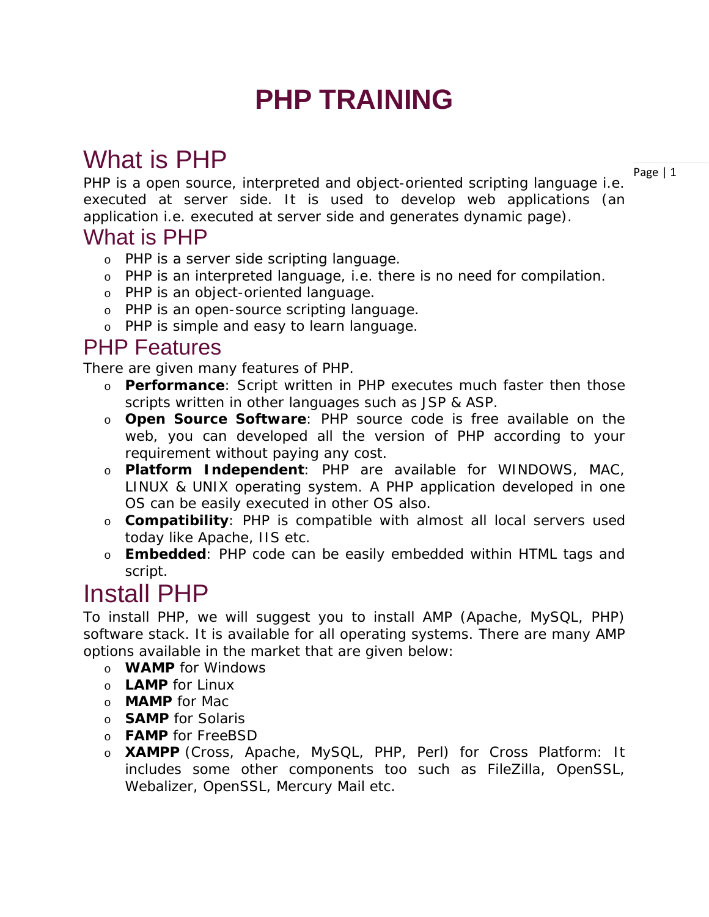# **PHP TRAINING**

# What is PHP

Page | 1

PHP is a open source, interpreted and object-oriented scripting language i.e. executed at server side. It is used to develop web applications (an application i.e. executed at server side and generates dynamic page).

## What is PHP

- o PHP is a server side scripting language.
- o PHP is an interpreted language, i.e. there is no need for compilation.
- o PHP is an object-oriented language.
- o PHP is an open-source scripting language.
- o PHP is simple and easy to learn language.

## PHP Features

There are given many features of PHP.

- o **Performance**: Script written in PHP executes much faster then those scripts written in other languages such as JSP & ASP.
- o **Open Source Software**: PHP source code is free available on the web, you can developed all the version of PHP according to your requirement without paying any cost.
- o **Platform Independent**: PHP are available for WINDOWS, MAC, LINUX & UNIX operating system. A PHP application developed in one OS can be easily executed in other OS also.
- o **Compatibility**: PHP is compatible with almost all local servers used today like Apache, IIS etc.
- o **Embedded**: PHP code can be easily embedded within HTML tags and script.

# Install PHP

To install PHP, we will suggest you to install AMP (Apache, MySQL, PHP) software stack. It is available for all operating systems. There are many AMP options available in the market that are given below:

- o **WAMP** for Windows
- o **LAMP** for Linux
- o **MAMP** for Mac
- o **SAMP** for Solaris
- o **FAMP** for FreeBSD
- o **XAMPP** (Cross, Apache, MySQL, PHP, Perl) for Cross Platform: It includes some other components too such as FileZilla, OpenSSL, Webalizer, OpenSSL, Mercury Mail etc.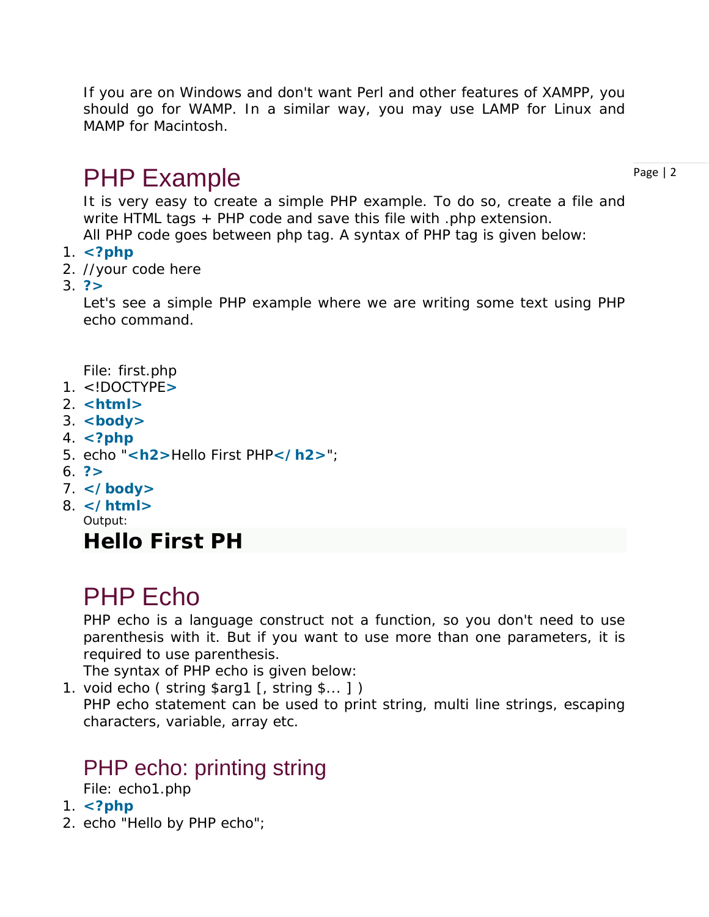If you are on Windows and don't want Perl and other features of XAMPP, you should go for WAMP. In a similar way, you may use LAMP for Linux and MAMP for Macintosh.

# PHP Example

Page | 2

It is very easy to create a simple PHP example. To do so, create a file and write HTML tags + PHP code and save this file with .php extension. All PHP code goes between php tag. A syntax of PHP tag is given below:

- 1. **<?php**
- 2. //your code here
- 3. **?>**

Let's see a simple PHP example where we are writing some text using PHP echo command.

*File: first.php*

- 1. <!DOCTYPE**>**
- 2. **<html>**
- 3. **<body>**
- 4. **<?php**
- 5. echo "**<h2>**Hello First PHP**</h2>**";
- 6. **?>**
- 7. **</body>**
- 8. **</html>** Output:

## **Hello First PH**

# PHP Echo

PHP echo is a language construct not a function, so you don't need to use parenthesis with it. But if you want to use more than one parameters, it is required to use parenthesis.

The syntax of PHP echo is given below:

1. void echo ( string \$arg1 [, string \$... ] )

PHP echo statement can be used to print string, multi line strings, escaping characters, variable, array etc.

## PHP echo: printing string

*File: echo1.php*

- 1. **<?php**
- 2. echo "Hello by PHP echo";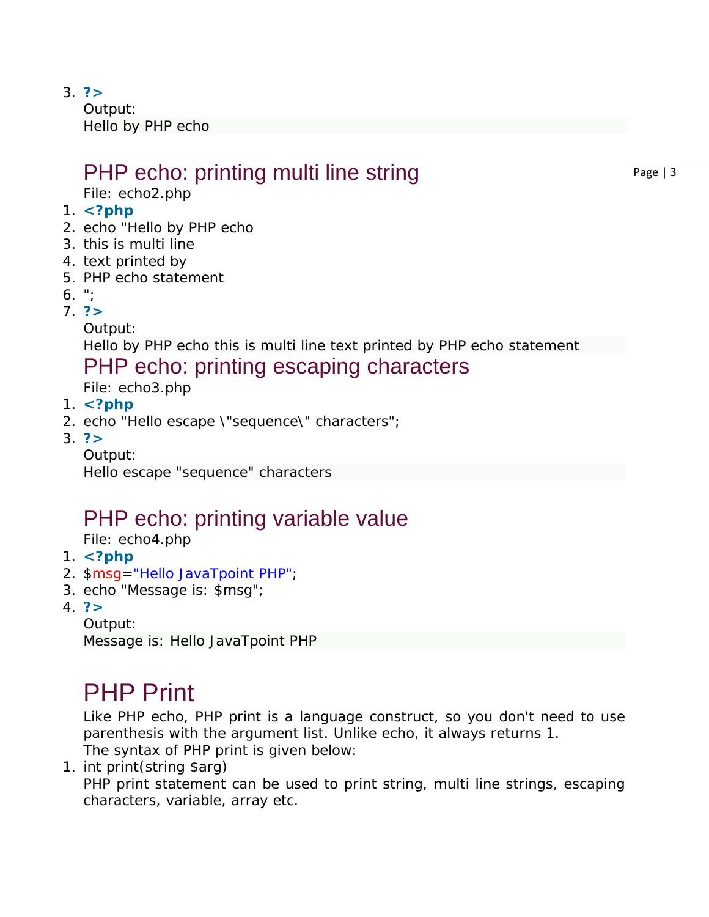3. **?>**

Output: Hello by PHP echo

# PHP echo: printing multi line string

*File: echo2.php*

- 1. **<?php**
- 2. echo "Hello by PHP echo
- 3. this is multi line
- 4. text printed by
- 5. PHP echo statement
- 6. ";
- 7. **?>**

Output:

Hello by PHP echo this is multi line text printed by PHP echo statement

## PHP echo: printing escaping characters

*File: echo3.php*

- 1. **<?php**
- 2. echo "Hello escape \"sequence\" characters";
- 3. **?>**

Output:

Hello escape "sequence" characters

## PHP echo: printing variable value

*File: echo4.php*

- 1. **<?php**
- 2. \$msg="Hello JavaTpoint PHP";
- 3. echo "Message is: \$msg";
- 4. **?>**
	- Output:

Message is: Hello JavaTpoint PHP

# PHP Print

Like PHP echo, PHP print is a language construct, so you don't need to use parenthesis with the argument list. Unlike echo, it always returns 1.

The syntax of PHP print is given below:

1. int print(string \$arg)

PHP print statement can be used to print string, multi line strings, escaping characters, variable, array etc.

Page | 3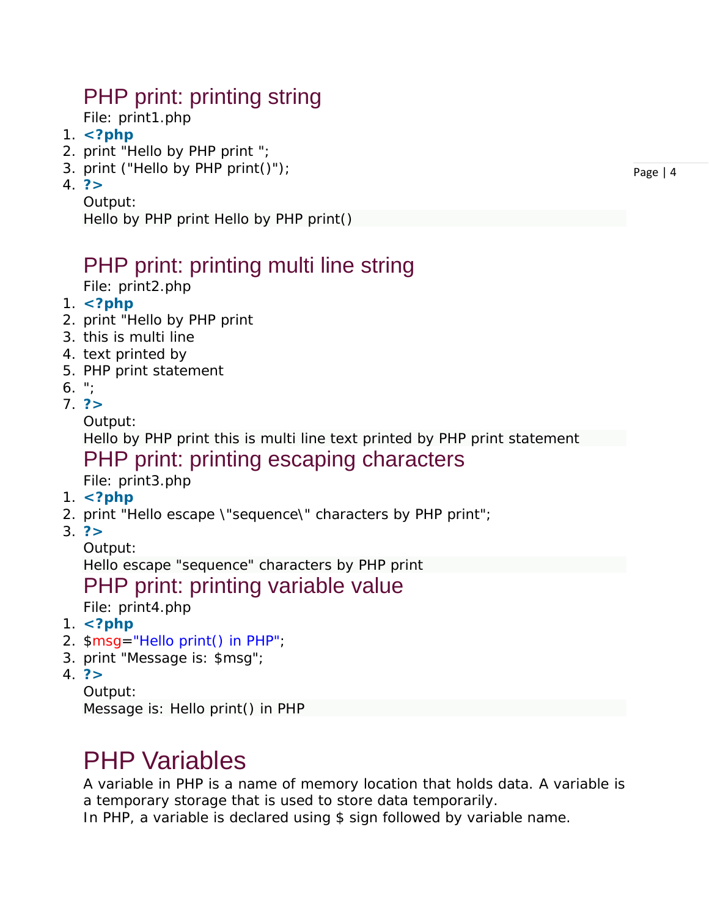# PHP print: printing string

*File: print1.php*

- 1. **<?php**
- 2. print "Hello by PHP print ";
- 3. print ("Hello by PHP print()");
- 4. **?>**
	- Output:

Hello by PHP print Hello by PHP print()

## PHP print: printing multi line string

*File: print2.php*

- 1. **<?php**
- 2. print "Hello by PHP print
- 3. this is multi line
- 4. text printed by
- 5. PHP print statement
- 6.  $"$ :
- 7. **?>**

Output:

Hello by PHP print this is multi line text printed by PHP print statement

PHP print: printing escaping characters

*File: print3.php*

- 1. **<?php**
- 2. print "Hello escape \"sequence\" characters by PHP print";
- 3. **?>**

Output:

Hello escape "sequence" characters by PHP print

## PHP print: printing variable value

*File: print4.php*

- 1. **<?php**
- 2. \$msg="Hello print() in PHP";
- 3. print "Message is: \$msg";
- 4. **?>**

Output:

Message is: Hello print() in PHP

# PHP Variables

A variable in PHP is a name of memory location that holds data. A variable is a temporary storage that is used to store data temporarily.

In PHP, a variable is declared using \$ sign followed by variable name.

Page | 4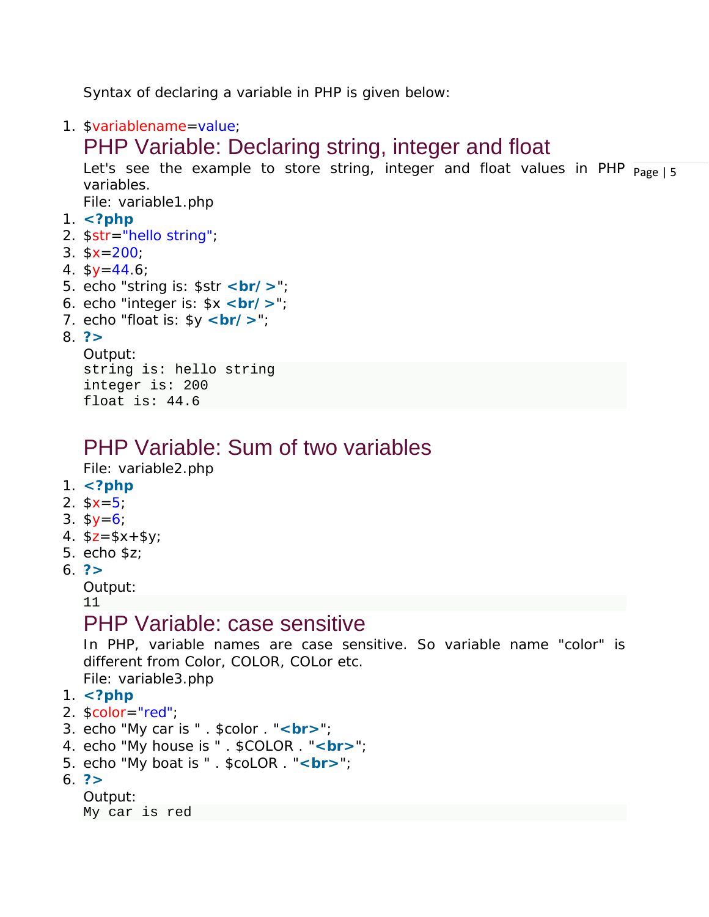Syntax of declaring a variable in PHP is given below:

1. \$variablename=value;

## PHP Variable: Declaring string, integer and float

Let's see the example to store string, integer and float values in PHP  $_{\sf Page\,|\,5}$ variables.

*File: variable1.php*

- 1. **<?php**
- 2. \$str="hello string";
- 3.  $$x=200;$
- 4.  $$y=44.6;$
- 5. echo "string is: \$str <br/>**/>**";
- 6. echo "integer is: \$x **<br/>**";
- 7. echo "float is:  $y < br$  />";

## 8. **?>**

```
Output:
string is: hello string
integer is: 200
float is: 44.6
```
## PHP Variable: Sum of two variables

*File: variable2.php*

- 1. **<?php**
- 2.  $$x=5$ ;
- 3.  $$y=6;$
- 4.  $$z = $x + $y;$
- 5. echo \$z;
- 6. **?>**
	- Output:

11

## PHP Variable: case sensitive

In PHP, variable names are case sensitive. So variable name "color" is different from Color, COLOR, COLor etc. *File: variable3.php*

```
1. <?php
```
- 2. \$color="red";
- 3. echo "My car is " . \$color . "**<br>**";
- 4. echo "My house is " . \$COLOR . "**<br>**";
- 5. echo "My boat is " . \$coLOR . "**<br>**";
- 6. **?>**

```
Output:
My car is red
```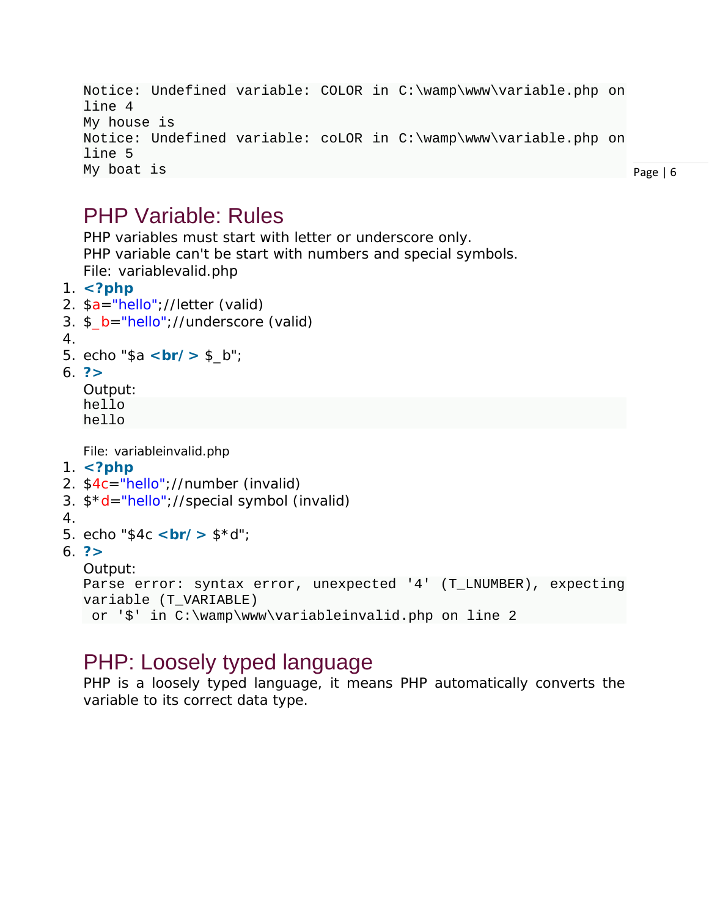```
Notice: Undefined variable: COLOR in C:\wamp\www\variable.php on 
line 4
My house is 
Notice: Undefined variable: coLOR in C:\wamp\www\variable.php on 
line 5
My boat is
```
Page | 6

## PHP Variable: Rules

PHP variables must start with letter or underscore only. PHP variable can't be start with numbers and special symbols. *File: variablevalid.php*

- 1. **<?php**
- 2. \$a="hello";//letter (valid)
- 3. \$\_b="hello";//underscore (valid)
- 4.
- 5. echo "\$a <br/>**br/>** \$\_b";
- 6. **?>**

Output: hello hello

*File: variableinvalid.php*

- 1. **<?php**
- 2. \$4c="hello";//number (invalid)
- 3. \$\*d="hello";//special symbol (invalid)
- 4.
- 5. echo "\$4c <br/>**sr/>** \$\*d";
- 6. **?>**

```
Output:
```

```
Parse error: syntax error, unexpected '4' (T_LNUMBER), expecting 
variable (T_VARIABLE)
or '$' in C:\wamp\www\variableinvalid.php on line 2
```
# PHP: Loosely typed language

PHP is a loosely typed language, it means PHP automatically converts the variable to its correct data type.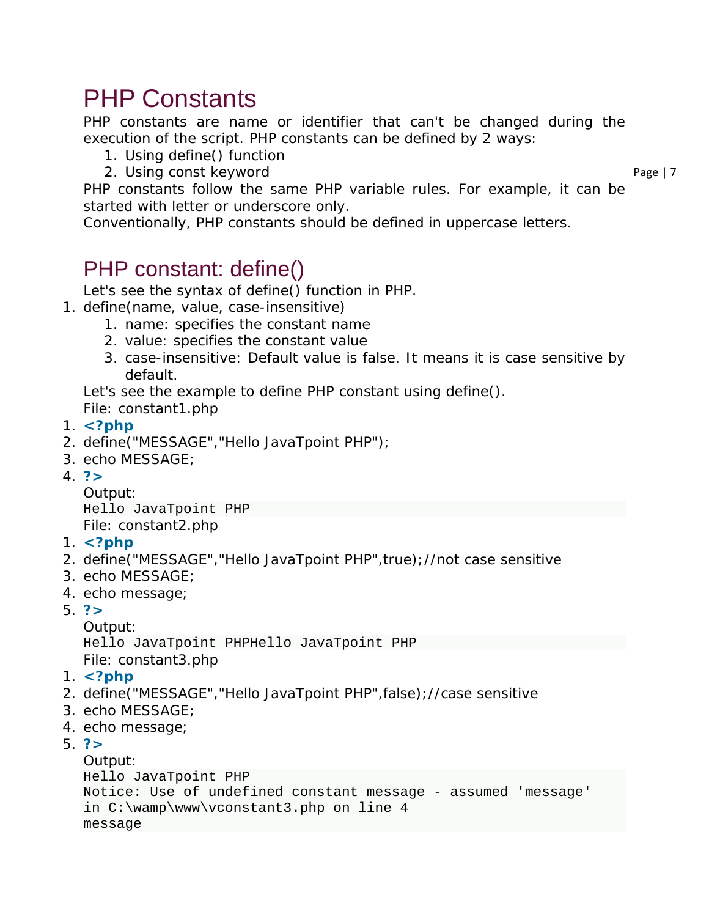# PHP Constants

PHP constants are name or identifier that can't be changed during the execution of the script. PHP constants can be defined by 2 ways:

- 1. Using define() function
- 2. Using const keyword

Page | 7

PHP constants follow the same PHP variable rules. For example, it can be started with letter or underscore only.

Conventionally, PHP constants should be defined in uppercase letters.

## PHP constant: define()

Let's see the syntax of define() function in PHP.

- 1. define(name, value, case-insensitive)
	- 1. name: specifies the constant name
	- 2. value: specifies the constant value
	- 3. case-insensitive: Default value is false. It means it is case sensitive by default.

Let's see the example to define PHP constant using define().

*File: constant1.php*

- 1. **<?php**
- 2. define("MESSAGE","Hello JavaTpoint PHP");
- 3. echo MESSAGE;
- 4. **?>**

Output: Hello JavaTpoint PHP *File: constant2.php*

- 1. **<?php**
- 2. define("MESSAGE","Hello JavaTpoint PHP",true);//not case sensitive
- 3. echo MESSAGE;
- 4. echo message;
- 5. **?>**

Output:

Hello JavaTpoint PHPHello JavaTpoint PHP *File: constant3.php*

- 1. **<?php**
- 2. define("MESSAGE","Hello JavaTpoint PHP",false);//case sensitive
- 3. echo MESSAGE;
- 4. echo message;

5. **?>**

```
Output:
Hello JavaTpoint PHP
Notice: Use of undefined constant message - assumed 'message' 
in C:\wamp\www\vconstant3.php on line 4
message
```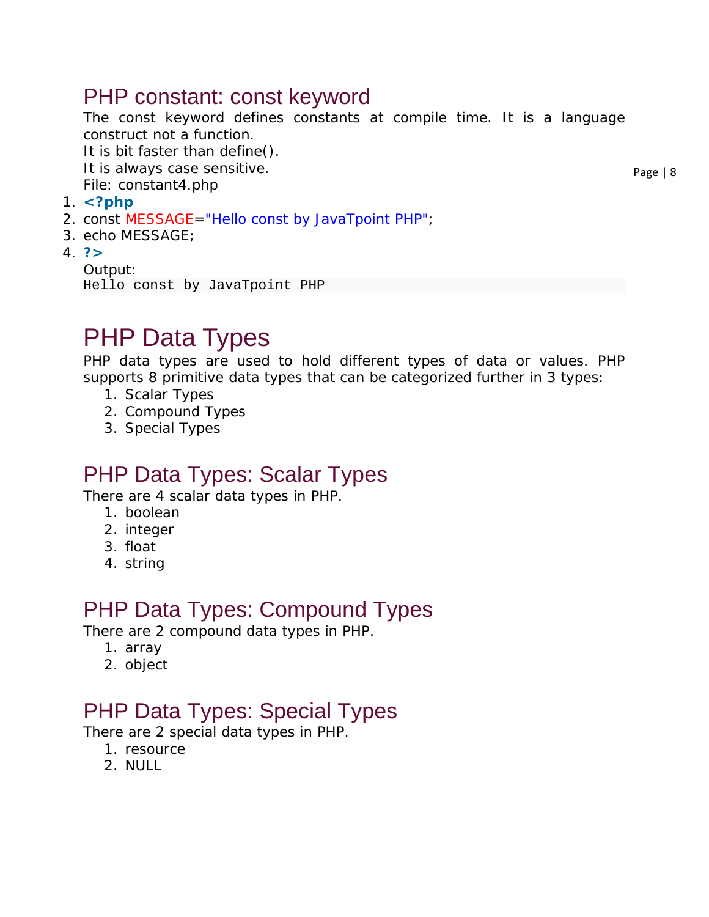## PHP constant: const keyword

The const keyword defines constants at compile time. It is a language construct not a function.

It is bit faster than define().

It is always case sensitive.

*File: constant4.php*

- 1. **<?php**
- 2. const MESSAGE="Hello const by JavaTpoint PHP";
- 3. echo MESSAGE;
- 4. **?>**

Output: Hello const by JavaTpoint PHP

# PHP Data Types

PHP data types are used to hold different types of data or values. PHP supports 8 primitive data types that can be categorized further in 3 types:

- 1. Scalar Types
- 2. Compound Types
- 3. Special Types

## PHP Data Types: Scalar Types

There are 4 scalar data types in PHP.

- 1. boolean
- 2. integer
- 3. float
- 4. string

## PHP Data Types: Compound Types

There are 2 compound data types in PHP.

- 1. array
- 2. object

## PHP Data Types: Special Types

There are 2 special data types in PHP.

- 1. resource
- 2. NULL

Page | 8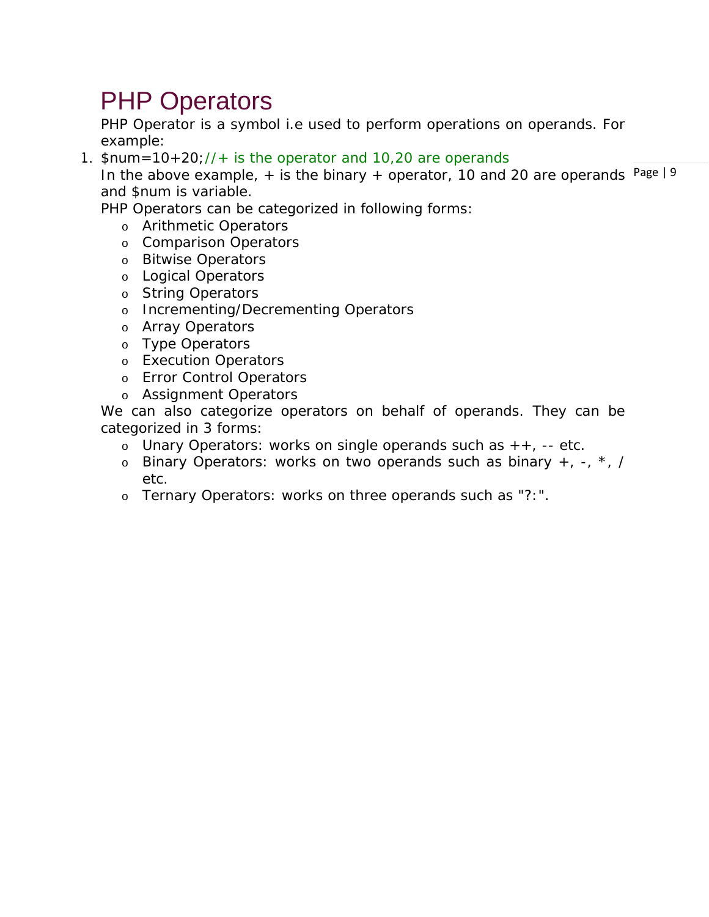# PHP Operators

PHP Operator is a symbol i.e used to perform operations on operands. For example:

1.  $\text{Sum} = 10 + 20$ ; //+ is the operator and 10,20 are operands

In the above example,  $+$  is the binary  $+$  operator, 10 and 20 are operands Page | 9 and \$num is variable.

PHP Operators can be categorized in following forms:

- o Arithmetic Operators
- o Comparison Operators
- o Bitwise Operators
- o Logical Operators
- o String Operators
- o Incrementing/Decrementing Operators
- o Array Operators
- o Type Operators
- o Execution Operators
- o Error Control Operators
- o Assignment Operators

We can also categorize operators on behalf of operands. They can be categorized in 3 forms:

- o Unary Operators: works on single operands such as  $++$ , -- etc.
- $\circ$  Binary Operators: works on two operands such as binary  $+, -, *, /$ etc.
- o Ternary Operators: works on three operands such as "?:".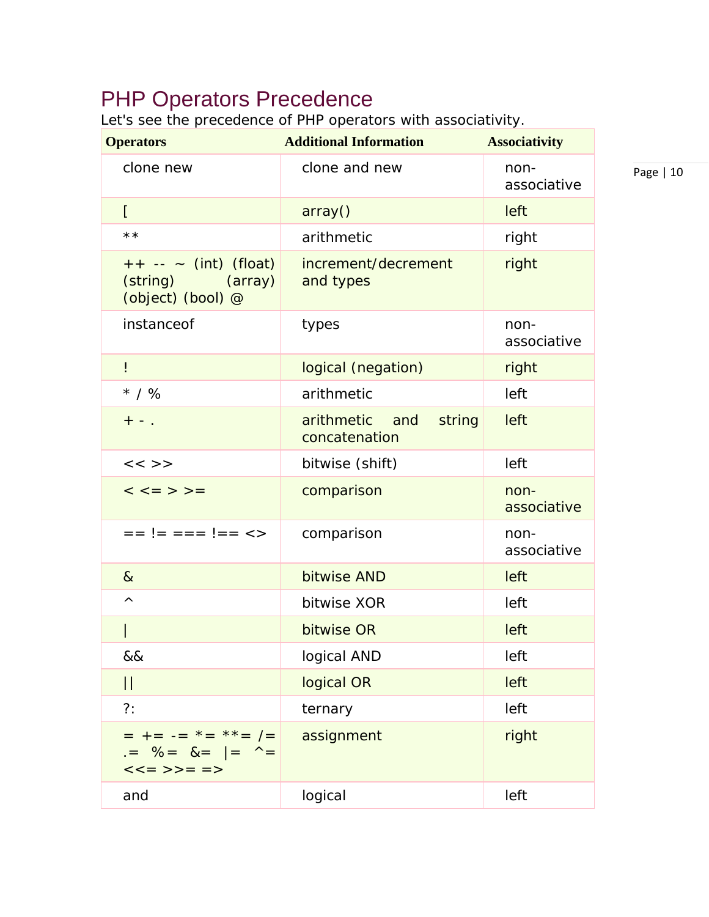## PHP Operators Precedence

Let's see the precedence of PHP operators with associativity.

| <b>Operators</b>                                                              | <b>Additional Information</b>          | <b>Associativity</b> |
|-------------------------------------------------------------------------------|----------------------------------------|----------------------|
| clone new                                                                     | clone and new                          | non-<br>associative  |
| $\Gamma$                                                                      | array()                                | left                 |
| $\star\star$                                                                  | arithmetic                             | right                |
| $++ -- (int) (float)$<br>(string) (array)<br>(object) (bool) @                | increment/decrement<br>and types       | right                |
| instanceof                                                                    | types                                  | non-<br>associative  |
| Ļ                                                                             | logical (negation)                     | right                |
| $*$ / %                                                                       | arithmetic                             | left                 |
| $+ -$ .                                                                       | arithmetic and string<br>concatenation | left                 |
| $<<$ >>                                                                       | bitwise (shift)                        | left                 |
| $\lt$ $\lt$ = > > =                                                           | comparison                             | non-<br>associative  |
| $== != == != == <>$                                                           | comparison                             | non-<br>associative  |
| $\alpha$                                                                      | bitwise AND                            | left                 |
| Λ                                                                             | bitwise XOR                            | left                 |
|                                                                               | bitwise OR                             | left                 |
| &&                                                                            | logical AND                            | left                 |
| $\begin{array}{c} \hline \end{array}$                                         | logical OR                             | left                 |
| $?$ :                                                                         | ternary                                | left                 |
| $=$ += -= $*$ = $*$ $=$ $=$ $($<br>$. = \% = \& =   = \wedge =$<br>$<<=>>==>$ | assignment                             | right                |
| and                                                                           | logical                                | left                 |

Page | 10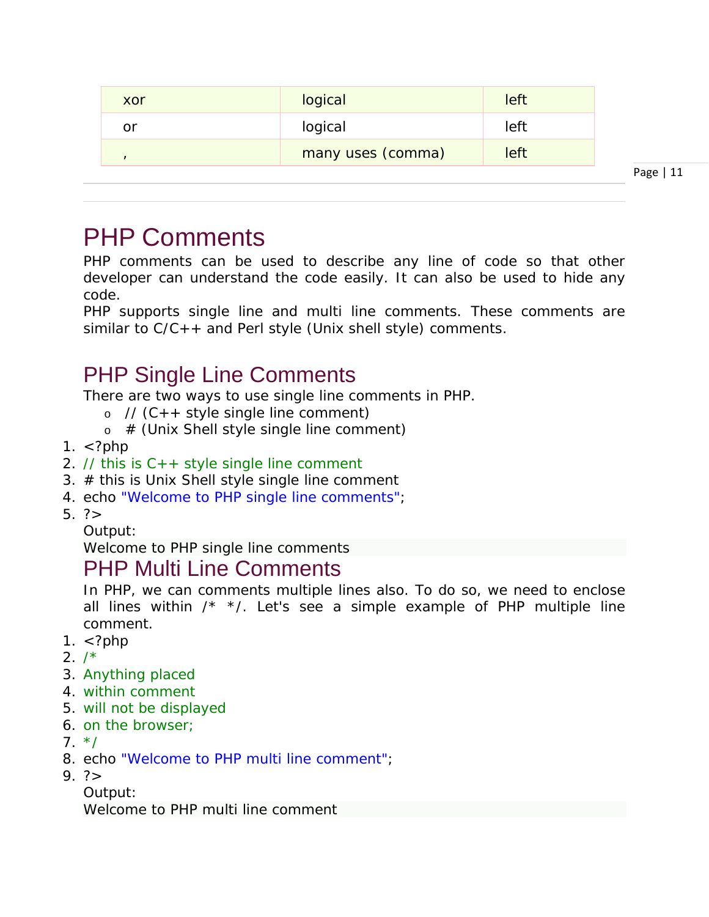| logical<br>left<br>or<br>many uses (comma)<br>left | xor | logical | left |
|----------------------------------------------------|-----|---------|------|
|                                                    |     |         |      |
|                                                    |     |         |      |

Page | 11

# PHP Comments

PHP comments can be used to describe any line of code so that other developer can understand the code easily. It can also be used to hide any code.

PHP supports single line and multi line comments. These comments are similar to  $C/C++$  and Perl style (Unix shell style) comments.

## PHP Single Line Comments

There are two ways to use single line comments in PHP.

- $\circ$  // (C + + style single line comment)
- $\circ$  # (Unix Shell style single line comment)
- 1.  $\lt$ ?php
- 2. // this is  $C++$  style single line comment
- 3. # this is Unix Shell style single line comment
- 4. echo "Welcome to PHP single line comments";
- 5. ?>
	- Output:

Welcome to PHP single line comments

## PHP Multi Line Comments

In PHP, we can comments multiple lines also. To do so, we need to enclose all lines within  $\frac{x}{1}$  \*/. Let's see a simple example of PHP multiple line comment.

- 1. <?php
- $2. /*$
- 3. Anything placed
- 4. within comment
- 5. will not be displayed
- 6. on the browser;
- $7. */$
- 8. echo "Welcome to PHP multi line comment";
- $9. ? >$

Output:

Welcome to PHP multi line comment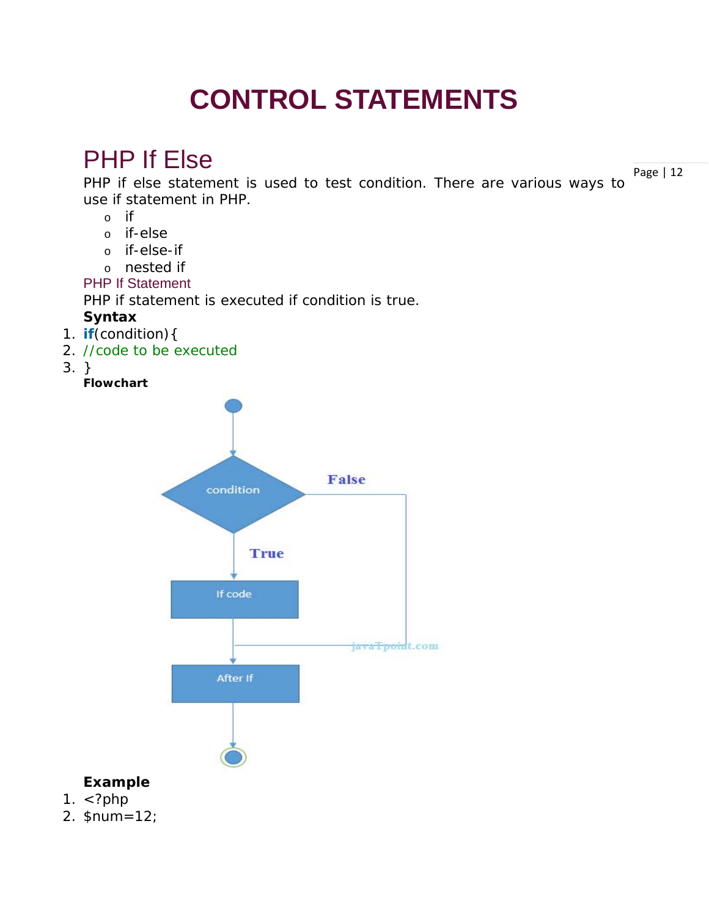# **CONTROL STATEMENTS**

# PHP If Else

Page | 12 PHP if else statement is used to test condition. There are various ways to use if statement in PHP.

- o if
- o if-else
- o if-else-if
- o nested if
- PHP If Statement

PHP if statement is executed if condition is true.

## **Syntax**

- 1. **if**(condition){
- 2. //code to be executed
- 3. }

**Flowchart**



## **Example**

- 1.  $\langle$ ?php
- 2. \$num=12;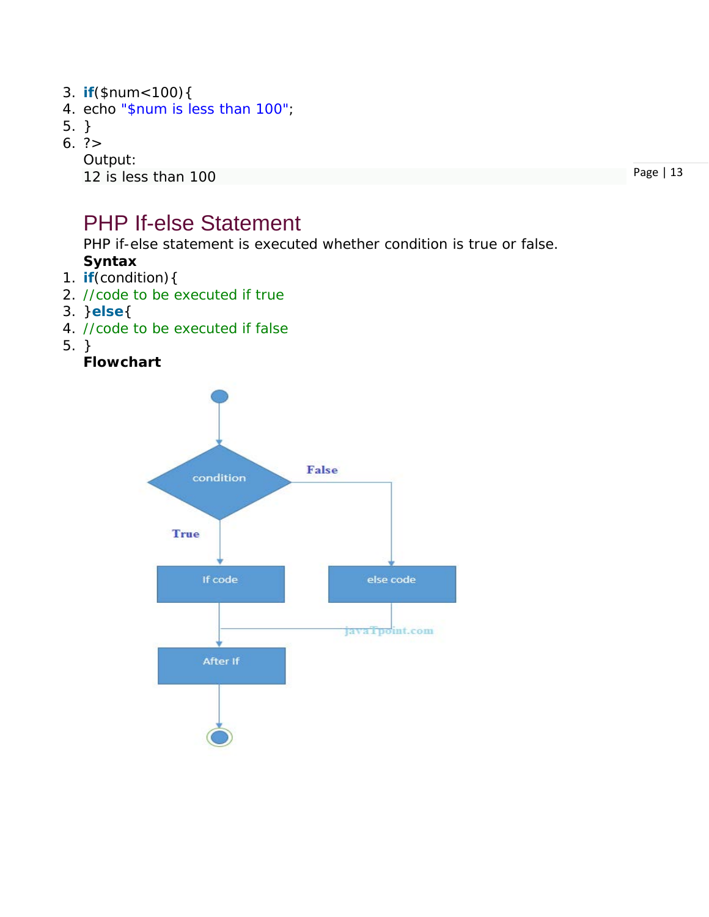- 3. **if**(\$num<100){
- 4. echo "\$num is less than 100";
- 5. }
- 6. ?>

Output:

12 is less than 100

Page | 13

### PHP If-else Statement

PHP if-else statement is executed whether condition is true or false.

### **Syntax**

- 1. **if**(condition){
- 2. //code to be executed if true
- 3. }**else**{
- 4. //code to be executed if false
- 5. }

#### **Flowchart**

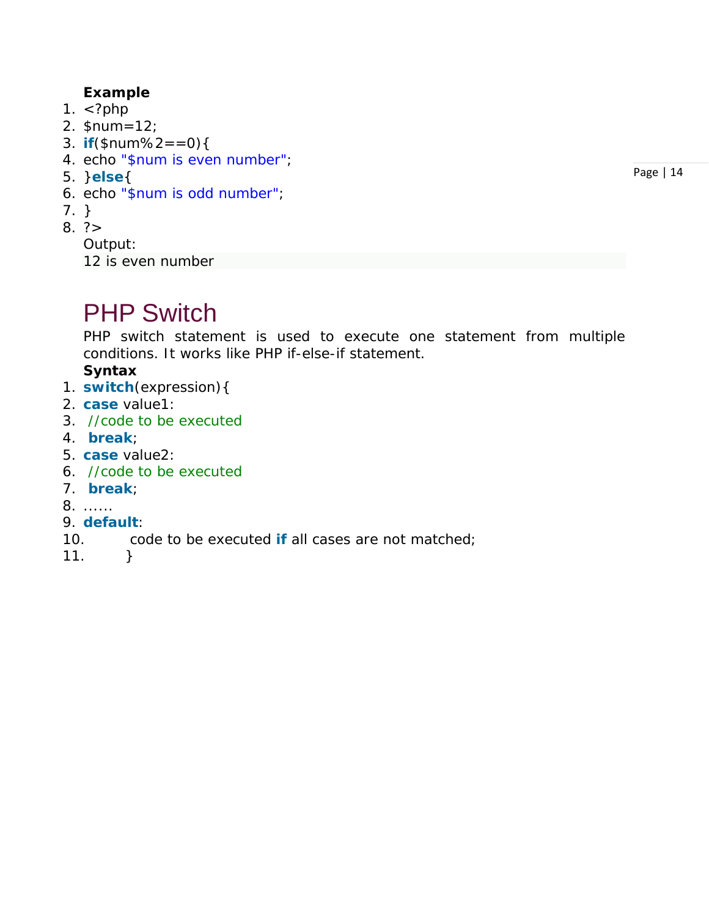#### **Example**

- 1.  $\lt$ ?php
- 2. \$num=12;
- 3. **if**(\$num%2==0){
- 4. echo "\$num is even number";
- 5. }**else**{
- 6. echo "\$num is odd number";
- 7. }
- $8. ? >$

Output:

12 is even number

## PHP Switch

PHP switch statement is used to execute one statement from multiple conditions. It works like PHP if-else-if statement.

#### **Syntax**

- 1. **switch**(expression){
- 2. **case** value1:
- 3. //code to be executed
- 4. **break**;
- 5. **case** value2:
- 6. //code to be executed
- 7. **break**;
- 8. ......
- 9. **default**:
- 10. code to be executed **if** all cases are not matched;
- $11.$  }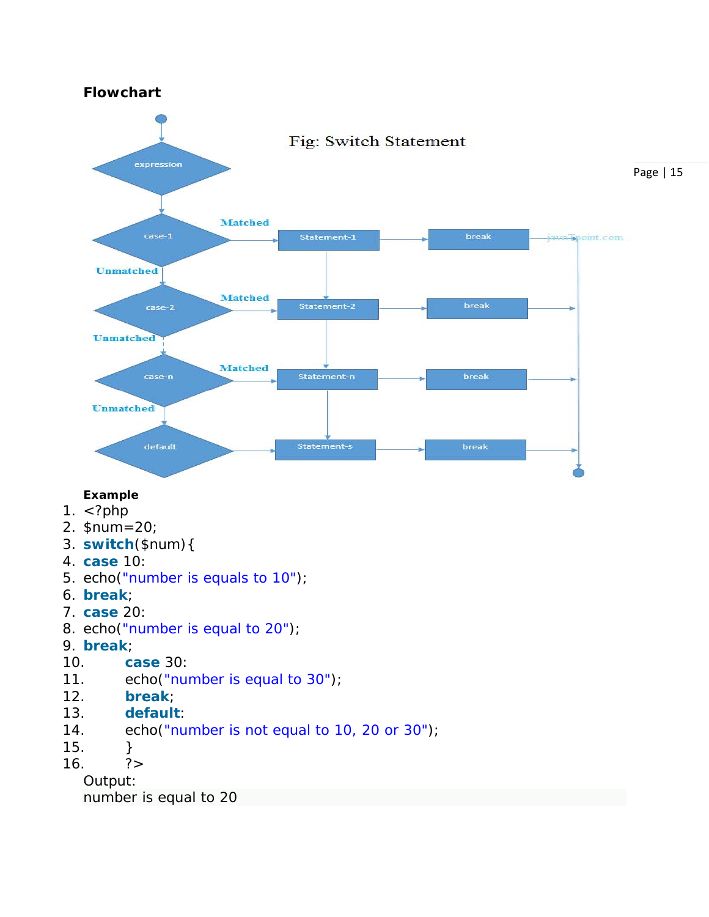#### **Flowchart**



#### **Example**

- 1. <?php
- 2. \$num=20;
- 3. **switch**(\$num){
- 4. **case** 10:
- 5. echo("number is equals to 10");
- 6. **break**;
- 7. **case** 20:
- 8. echo("number is equal to 20");
- 9. **break**;
- 10. **case** 30:
- 11. echo("number is equal to 30");
- 12. **break**;
- 13. **default**:
- 14. echo("number is not equal to 10, 20 or 30");
- $15.$  }
- $16.$  ?>

Output: number is equal to 20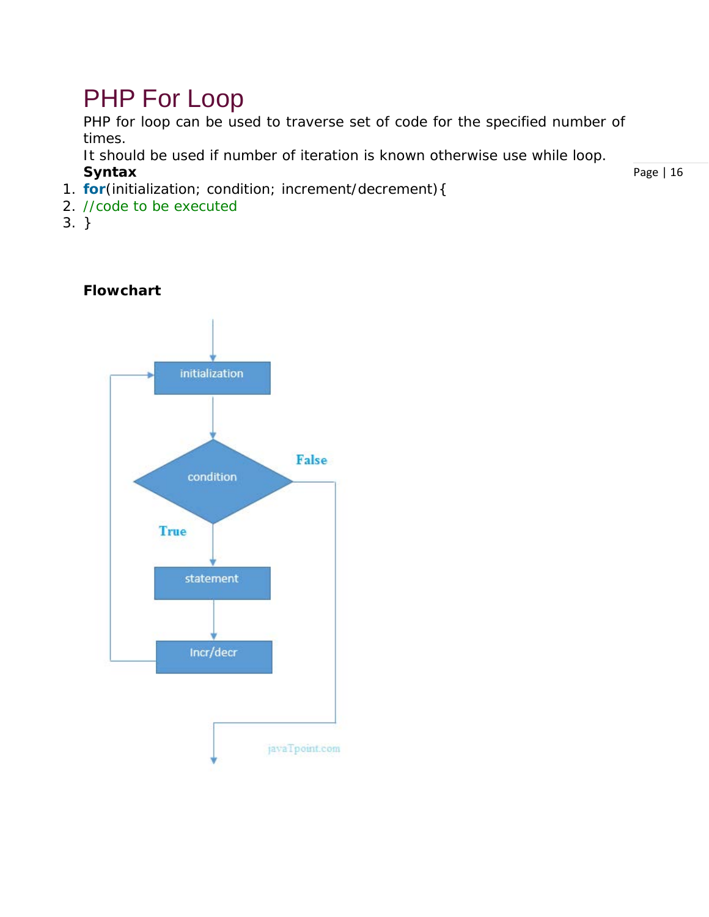## PHP For Loop

PHP for loop can be used to traverse set of code for the specified number of times.

It should be used if number of iteration is known otherwise use while loop. **Syntax**

- 1. **for**(initialization; condition; increment/decrement){
- 2. //code to be executed
- 3. }

#### **Flowchart**

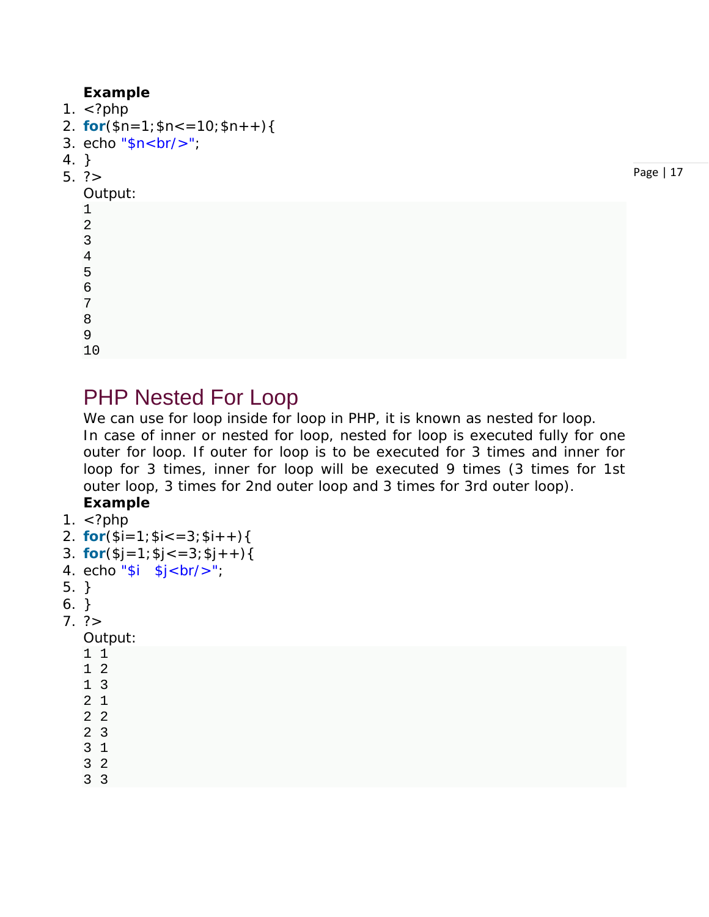#### **Example**

1.  $\lt$ ?php

- 2. **for** $(\$n=1;\$n<=10;\$n++)$ {
- 3. echo " $\sqrt{s}$ n<br/> $\sqrt{s}$ ";
- 4. }
- 5. ?>

#### Output:

Page | 17

# PHP Nested For Loop

We can use for loop inside for loop in PHP, it is known as nested for loop. In case of inner or nested for loop, nested for loop is executed fully for one outer for loop. If outer for loop is to be executed for 3 times and inner for loop for 3 times, inner for loop will be executed 9 times (3 times for 1st outer loop, 3 times for 2nd outer loop and 3 times for 3rd outer loop).

### **Example**

```
1. \lt?php
```
- 2. **for** $(\$i=1; \$i<=3; \$i++)\{$
- 3. **for** $(\$j=1;\$j<=3;\$j++)\{$
- 4. echo "\$ $i$  \$ $j$  < br/>br/>";
- 5. }
- 6. }
- $7. ?>$

Output:

- 1 1
- 1 2
- 1 3
- 2 1
- 2 2
- 2 3
- 3 1
- 3 2
- 3 3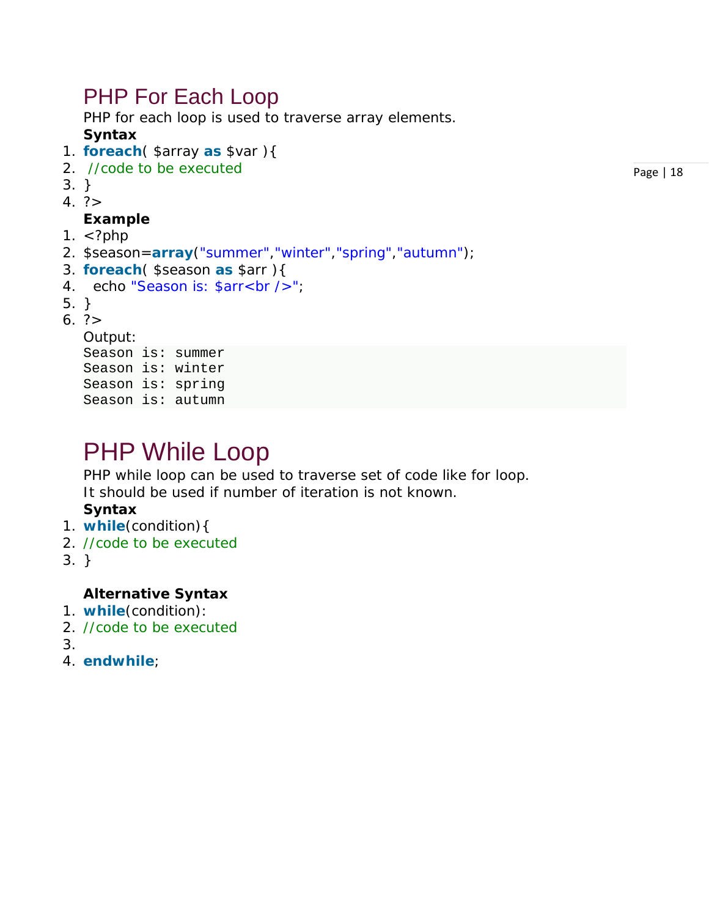### PHP For Each Loop

PHP for each loop is used to traverse array elements.

#### **Syntax**

- 1. **foreach**( \$array **as** \$var ){
- 2. //code to be executed
- 3. }
- $4. ? >$

#### **Example**

- 1.  $\lt$ ?php
- 2. \$season=**array**("summer","winter","spring","autumn");
- 3. **foreach**( \$season **as** \$arr ){
- 4. echo "Season is: \$arr<br />";
- 5. }
- $6. ? >$

Output:

Season is: summer Season is: winter Season is: spring Season is: autumn

## PHP While Loop

PHP while loop can be used to traverse set of code like for loop. It should be used if number of iteration is not known.

#### **Syntax**

- 1. **while**(condition){
- 2. //code to be executed
- 3. }

#### **Alternative Syntax**

- 1. **while**(condition):
- 2. //code to be executed
- 3.
- 4. **endwhile**;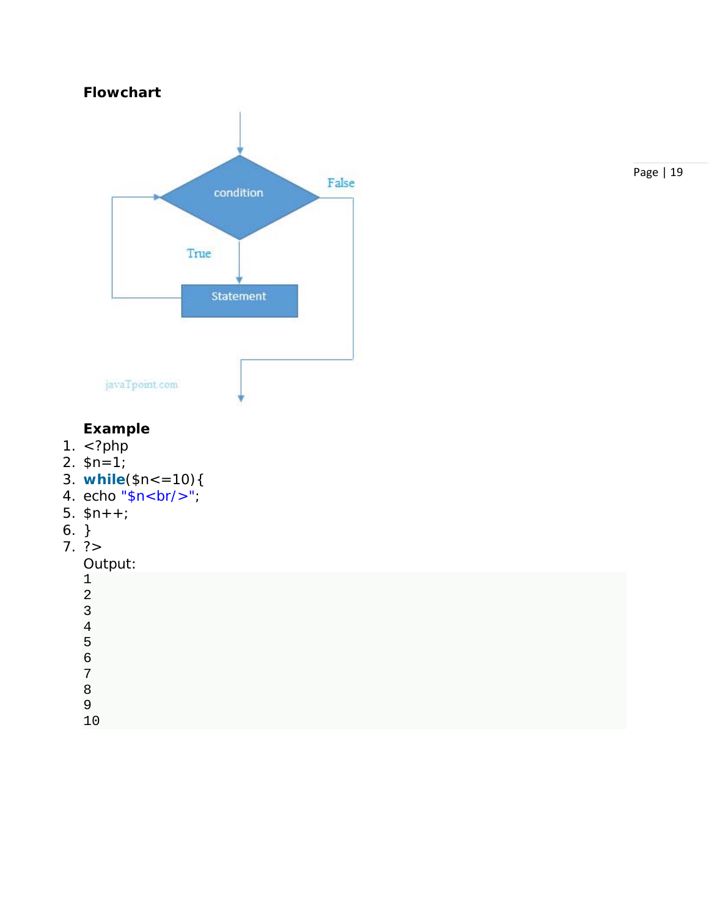

#### Page | 19

#### **Example**

- 1.  $\langle$ ?php
- 2.  $\sin^{-1}$ ;
- 3. **while**(\$n<=10){
- 4. echo "\$n<br/>" ;
- 5. \$n++;
- 6. }
- 7. ?>

```
Output:
```

| ⌒<br>4 |  |  |  |
|--------|--|--|--|
| 3      |  |  |  |
| 4      |  |  |  |
| 5      |  |  |  |
| 6      |  |  |  |
| ⇁      |  |  |  |
| 8      |  |  |  |
| 9      |  |  |  |
|        |  |  |  |
|        |  |  |  |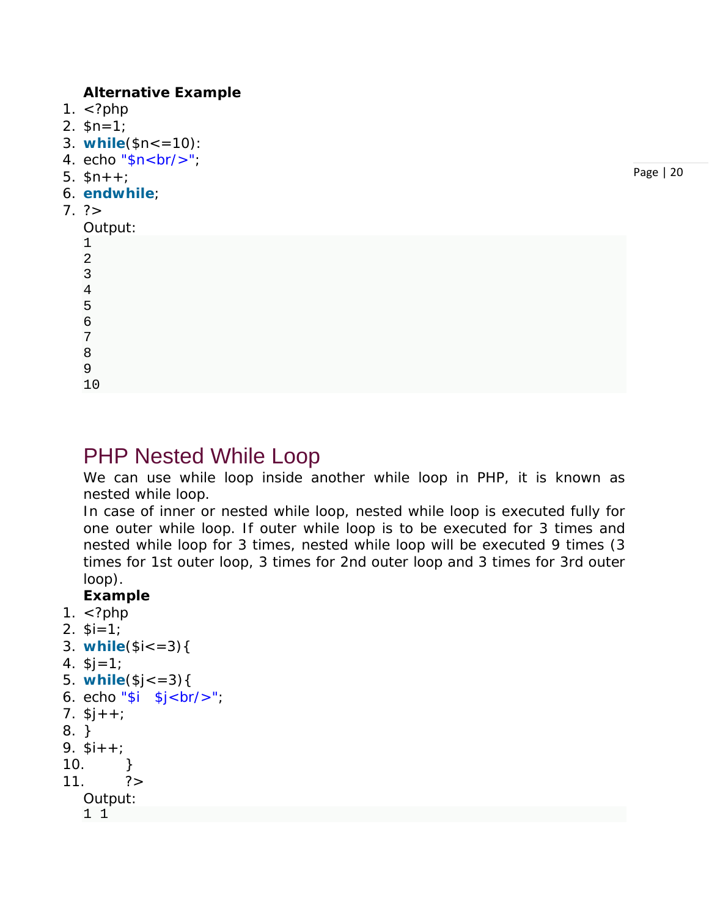#### **Alternative Example**

- 1.  $\langle$ ?php
- 2.  $$n=1;$
- 3. **while**(\$n<=10):
- 4. echo " $n < b r / >$ ";
- 5.  $$n++$ :
- 6. **endwhile**;
- $7. ? >$

1

#### Output:

| 2 |  |
|---|--|
| 3 |  |
| 4 |  |
| 5 |  |
| 6 |  |
| 7 |  |
|   |  |

- 8 9
- 10

### PHP Nested While Loop

We can use while loop inside another while loop in PHP, it is known as nested while loop.

In case of inner or nested while loop, nested while loop is executed fully for one outer while loop. If outer while loop is to be executed for 3 times and nested while loop for 3 times, nested while loop will be executed 9 times (3 times for 1st outer loop, 3 times for 2nd outer loop and 3 times for 3rd outer loop).

#### **Example**

- 1.  $\lt$ ?php
- 2.  $$i=1;$

```
3. while($i<=3){
```

```
4. $j=1;
```

```
5. while($j<=3){
```

```
6. echo "i \ sj < br' >";
```
- 7.  $$j++;$
- 8. }

```
9. $i++;
```
- $10.$  }
- $11.$   $?$
- Output:
	- 1 1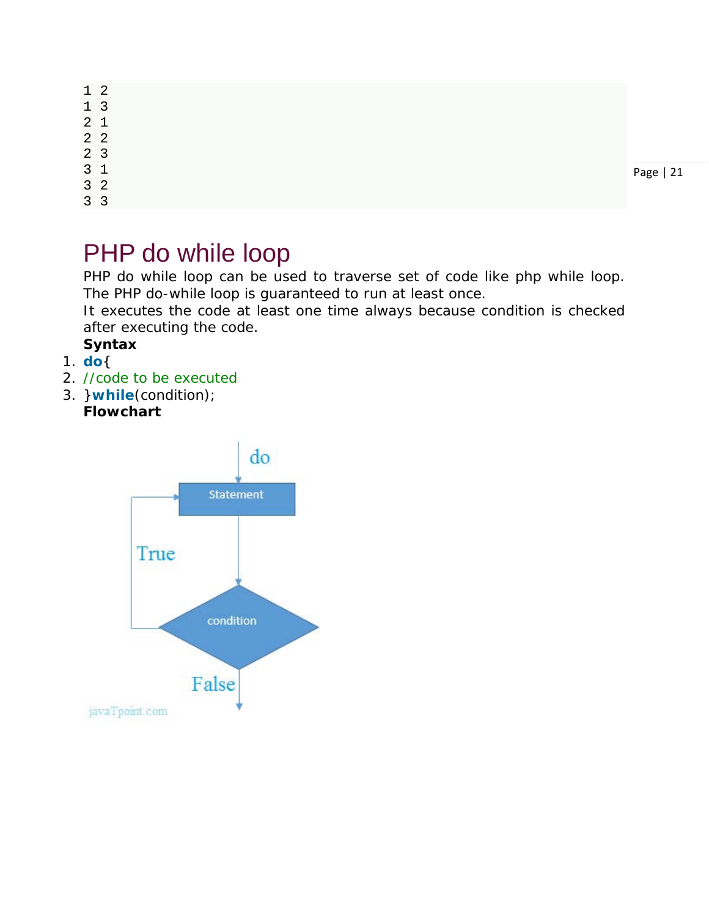|                | $1\quad2$      |           |
|----------------|----------------|-----------|
|                | 1 <sub>3</sub> |           |
| 2 <sub>1</sub> |                |           |
|                | 2 <sub>2</sub> |           |
| 2 <sub>3</sub> |                |           |
| 3 <sub>1</sub> |                | Page   21 |
|                | 3 <sup>2</sup> |           |
|                | $\sim$ $\sim$  |           |

#### 3 3

## PHP do while loop

PHP do while loop can be used to traverse set of code like php while loop. The PHP do-while loop is guaranteed to run at least once.

It executes the code at least one time always because condition is checked after executing the code.

### **Syntax**

- 1. **do**{
- 2. //code to be executed
- 3. }**while**(condition); **Flowchart**

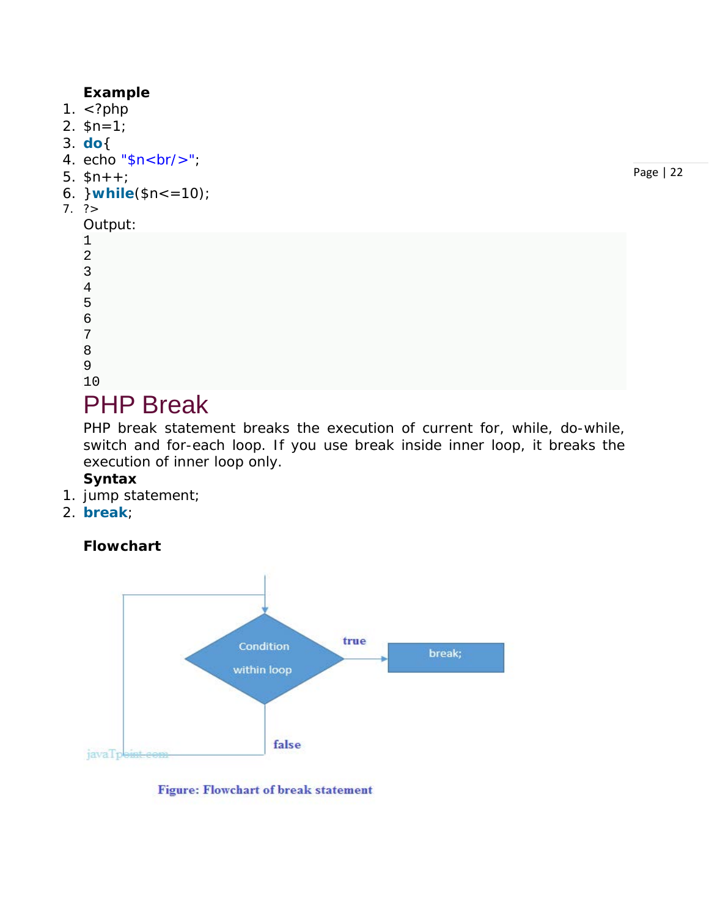#### **Example**

- 1.  $\langle$ ?php
- 2. \$n=1;
- 3. **do**{
- 4. echo "\$n<br/>>";
- 5.  $$n++;$
- 6. }**while**(\$n<=10);
- 7. ?>

```
Output:
1
2
3
4
5
6
```
7

- 8 9
- 10

### PHP Break

PHP break statement breaks the execution of current for, while, do-while, switch and for-each loop. If you use break inside inner loop, it breaks the execution of inner loop only.

#### **Syntax**

- 1. jump statement;
- 2. **break**;

#### **Flowchart**



#### **Figure: Flowchart of break statement**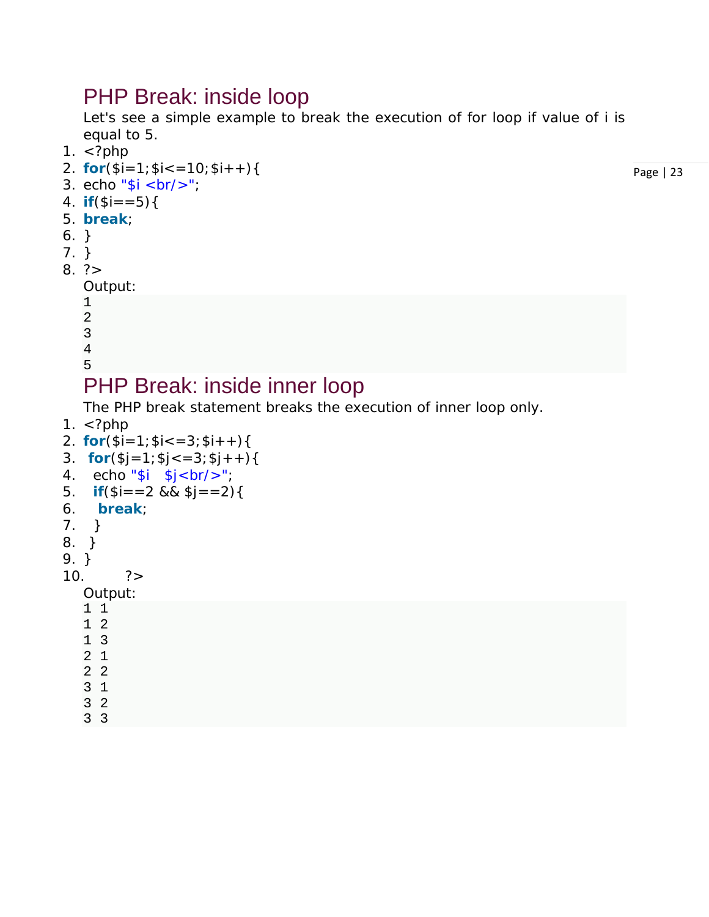### PHP Break: inside loop

Let's see a simple example to break the execution of for loop if value of i is equal to 5.

- 1. <?php
- 2. **for** $(\$i=1; \$i<=10; \$i++)$ {
- 3. echo " $i < br$ />";
- 4. **if** $(\$i == 5)$ {
- 5. **break**;
- 6. }
- 7. }
- $8. ? >$

```
Output:
```
1 2

- 3
- 4
- 5

### PHP Break: inside inner loop

The PHP break statement breaks the execution of inner loop only.

1.  $\lt$ ?php

```
2. for(\$i=1; \$i<=3; \$i++)\{
```

```
3. for(\$j=1;\$j<=3;\$j++){
```

```
4. echo "\sin \frac{\pi}{2} sj < br/>br/>";
```

```
5. if(\$i = 2 \&\&\$j = 2)
```
- 6. **break**;
- 7. }
- 8. }
- 9. }

```
10. ?>
```
#### Output:

- 1 1 1 2 1 3 2 1
- 2 2 3 1
- 3 2
- 3 3

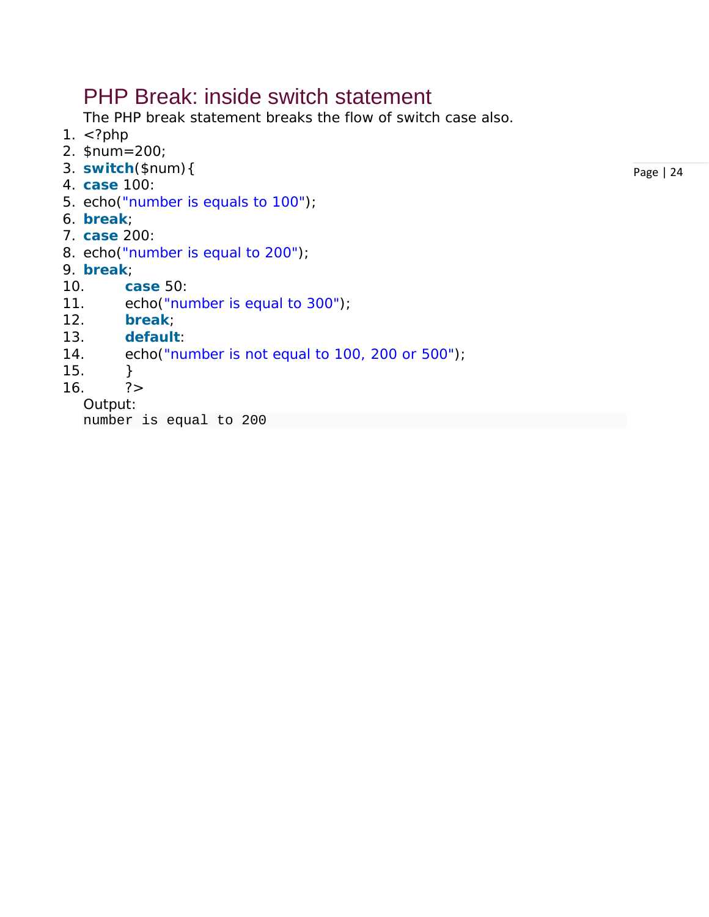### PHP Break: inside switch statement

The PHP break statement breaks the flow of switch case also.

- 1.  $\lt$ ?php
- 2. \$num=200;
- 3. **switch**(\$num){
- 4. **case** 100:
- 5. echo("number is equals to 100");
- 6. **break**;
- 7. **case** 200:
- 8. echo("number is equal to 200");
- 9. **break**;
- 10. **case** 50:
- 11. echo("number is equal to 300");
- 12. **break**;
- 13. **default**:
- 14. echo("number is not equal to 100, 200 or 500");
- 15. }
- $16.$   $?$

#### Output:

number is equal to 200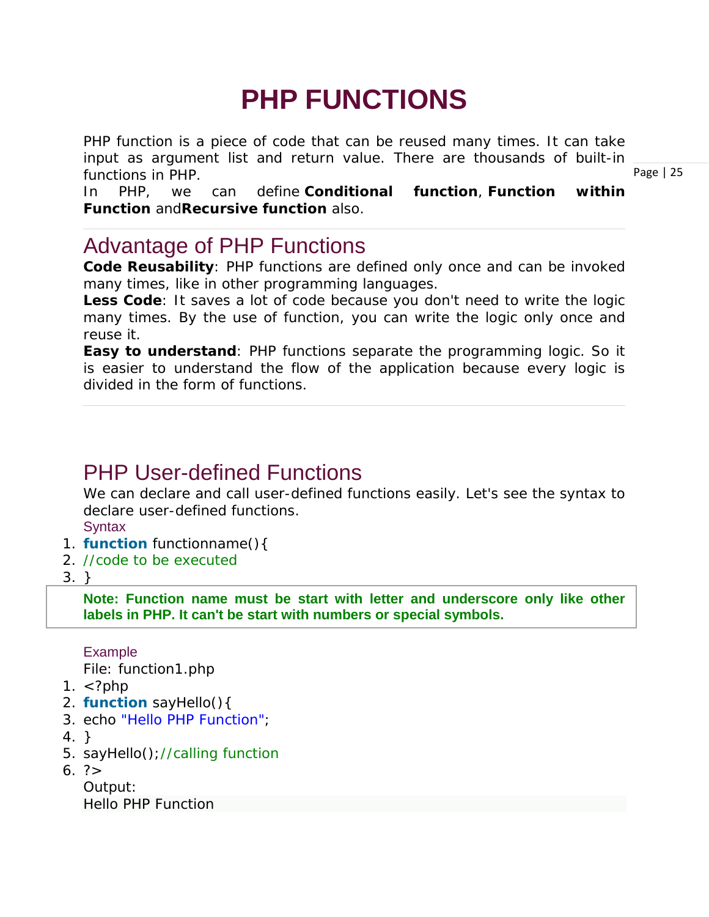# **PHP FUNCTIONS**

PHP function is a piece of code that can be reused many times. It can take input as argument list and return value. There are thousands of built-in functions in PHP.

In PHP, we can define **Conditional function**, **Function within Function** and**Recursive function** also.

### Advantage of PHP Functions

**Code Reusability**: PHP functions are defined only once and can be invoked many times, like in other programming languages.

**Less Code**: It saves a lot of code because you don't need to write the logic many times. By the use of function, you can write the logic only once and reuse it.

**Easy to understand**: PHP functions separate the programming logic. So it is easier to understand the flow of the application because every logic is divided in the form of functions.

### PHP User-defined Functions

We can declare and call user-defined functions easily. Let's see the syntax to declare user-defined functions.

**Syntax** 

- 1. **function** functionname(){
- 2. //code to be executed
- 3. }

**Note: Function name must be start with letter and underscore only like other labels in PHP. It can't be start with numbers or special symbols.**

Example

*File: function1.php*

- 1.  $\lt$ ?php
- 2. **function** sayHello(){
- 3. echo "Hello PHP Function";
- 4. }
- 5. sayHello();//calling function
- 6. ?>

Output: Hello PHP Function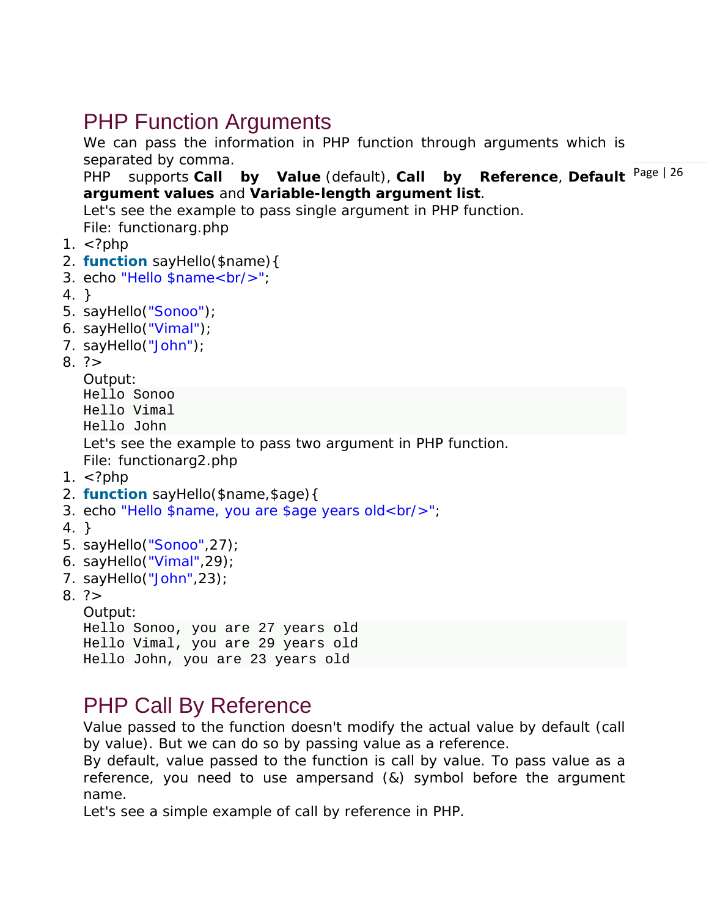### PHP Function Arguments

We can pass the information in PHP function through arguments which is separated by comma.

by Reference, Default Page | 26 PHP supports **Call by Value** (default), **Call argument values** and **Variable-length argument list**.

Let's see the example to pass single argument in PHP function.

*File: functionarg.php*

- 1.  $\lt$ ?php
- 2. **function** sayHello(\$name){
- 3. echo "Hello \$name<br/>";
- 4. }
- 5. sayHello("Sonoo");
- 6. sayHello("Vimal");
- 7. sayHello("John");
- $8. ? >$

Output:

```
Hello Sonoo
Hello Vimal
Hello John
Let's see the example to pass two argument in PHP function.
File: functionarg2.php
```
- 1.  $\lt$ ?php
- 2. **function** sayHello(\$name,\$age){
- 3. echo "Hello \$name, you are \$age years old<br/>>";
- 4. }
- 5. sayHello("Sonoo",27);
- 6. sayHello("Vimal",29);
- 7. sayHello("John",23);
- $8. ? >$

Output:

```
Hello Sonoo, you are 27 years old
Hello Vimal, you are 29 years old
Hello John, you are 23 years old
```
### PHP Call By Reference

Value passed to the function doesn't modify the actual value by default (call by value). But we can do so by passing value as a reference.

By default, value passed to the function is call by value. To pass value as a reference, you need to use ampersand (&) symbol before the argument name.

Let's see a simple example of call by reference in PHP.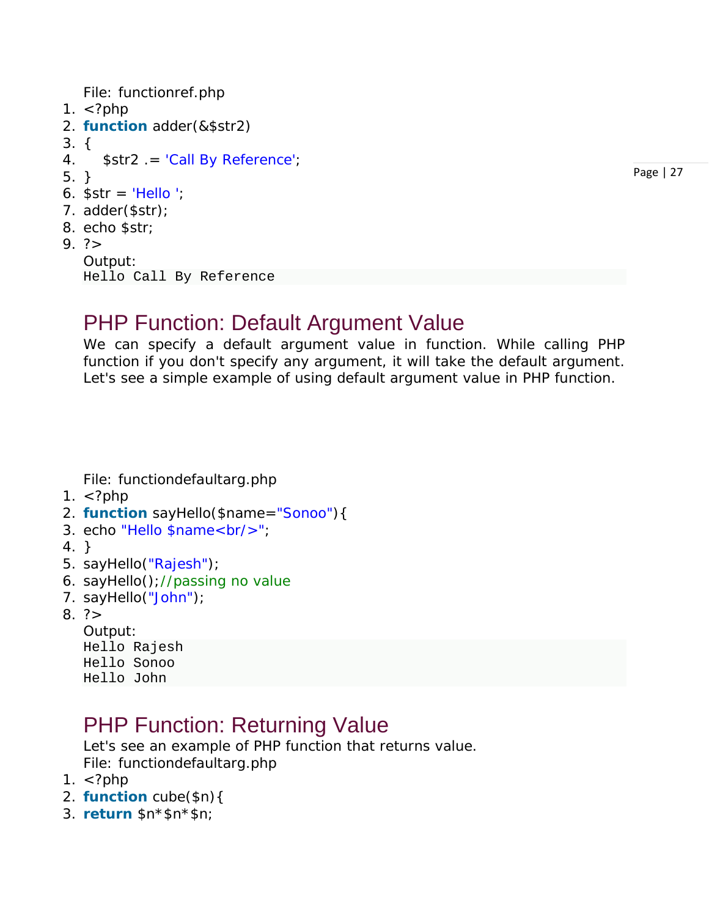```
File: functionref.php
```
- 1.  $\lt$ ?php
- 2. **function** adder(&\$str2)
- 3. {
- 4. \$str2 .= 'Call By Reference';
- 5. }
- 6.  $\text{Sstr} = \text{Hello}$
- 7. adder(\$str);
- 8. echo \$str;
- $9. ? >$

```
Output:
Hello Call By Reference
```
### PHP Function: Default Argument Value

We can specify a default argument value in function. While calling PHP function if you don't specify any argument, it will take the default argument. Let's see a simple example of using default argument value in PHP function.

*File: functiondefaultarg.php*

- 1.  $\lt$ ?php
- 2. **function** sayHello(\$name="Sonoo"){
- 3. echo "Hello \$name<br/>";
- 4. }
- 5. sayHello("Rajesh");
- 6. sayHello();//passing no value
- 7. sayHello("John");
- $8.7$ 
	- Output: Hello Rajesh Hello Sonoo Hello John

### PHP Function: Returning Value

Let's see an example of PHP function that returns value. *File: functiondefaultarg.php*

- 1.  $\lt$ ?php
- 2. **function** cube(\$n){
- 3. **return** \$n\*\$n\*\$n;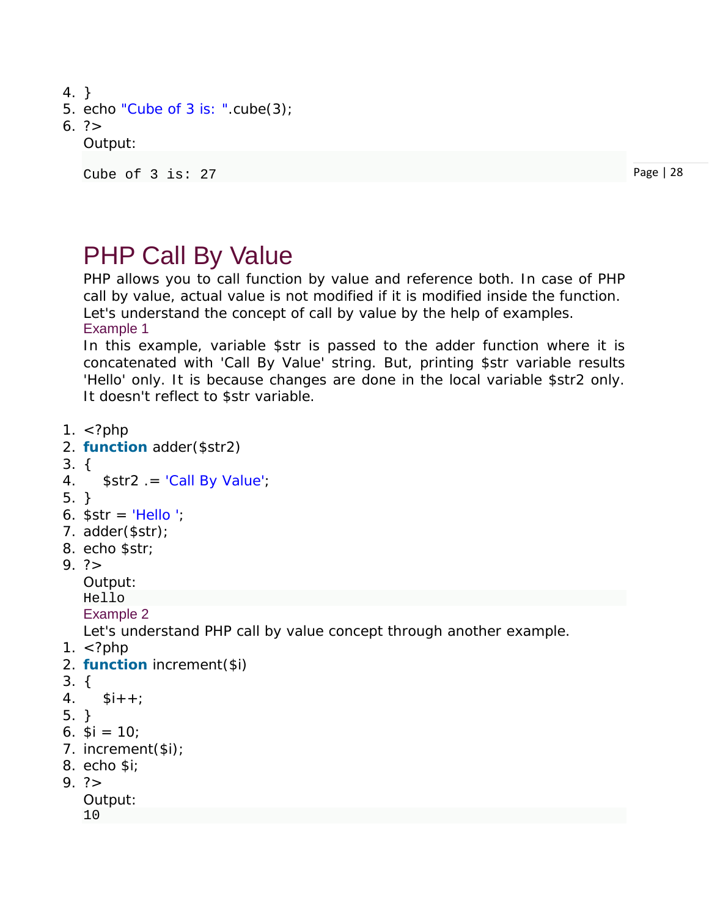- 4. }
- 5. echo "Cube of 3 is: ".cube(3);

#### 6. ?>

#### Output:

```
Cube of 3 is: 27
```
Page | 28

## PHP Call By Value

PHP allows you to call function by value and reference both. In case of PHP call by value, actual value is not modified if it is modified inside the function. Let's understand the concept of call by value by the help of examples. Example 1

In this example, variable \$str is passed to the adder function where it is concatenated with 'Call By Value' string. But, printing \$str variable results 'Hello' only. It is because changes are done in the local variable \$str2 only. It doesn't reflect to \$str variable.

- 1.  $\lt$ ?php
- 2. **function** adder(\$str2)
- 3. {
- 4.  $$str2 = 'Call By Value';$
- 5. }
- 6.  $\text{Sstr} = \text{Hello}$
- 7. adder(\$str);
- 8. echo \$str;
- $9. ? >$

Output:

Hello

Example 2

Let's understand PHP call by value concept through another example.

- 1.  $\lt$ ?php
- 2. **function** increment(\$i)
- 3. {
- 4.  $$i++;$
- 5. }
- 6.  $$i = 10$ ;
- 7. increment(\$i);
- 8. echo \$i;
- $9. ? >$

Output: 10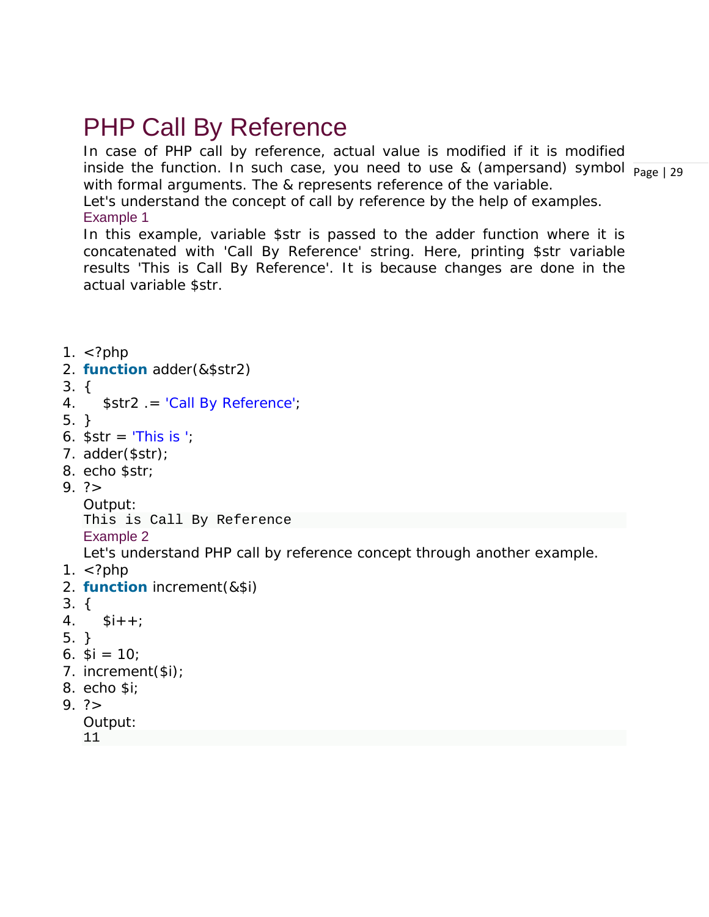## PHP Call By Reference

inside the function. In such case, you need to use & (ampersand) symbol  $\frac{}{\text{Page}+29}$ In case of PHP call by reference, actual value is modified if it is modified with formal arguments. The & represents reference of the variable. Let's understand the concept of call by reference by the help of examples.

Example 1

In this example, variable \$str is passed to the adder function where it is concatenated with 'Call By Reference' string. Here, printing \$str variable results 'This is Call By Reference'. It is because changes are done in the actual variable \$str.

1.  $\lt$ ?php 2. **function** adder(&\$str2) 3. { 4. \$str2 .= 'Call By Reference'; 5. } 6.  $\text{Sstr} = \text{This is }$ 7. adder(\$str); 8. echo \$str;  $9. ? >$ Output: This is Call By Reference Example 2 Let's understand PHP call by reference concept through another example. 1.  $\lt$ ?php 2. **function** increment(&\$i) 3. {  $4.$   $$i++$ ; 5. } 6.  $$i = 10;$ 7. increment(\$i); 8. echo \$i;  $9. ? >$ Output: 11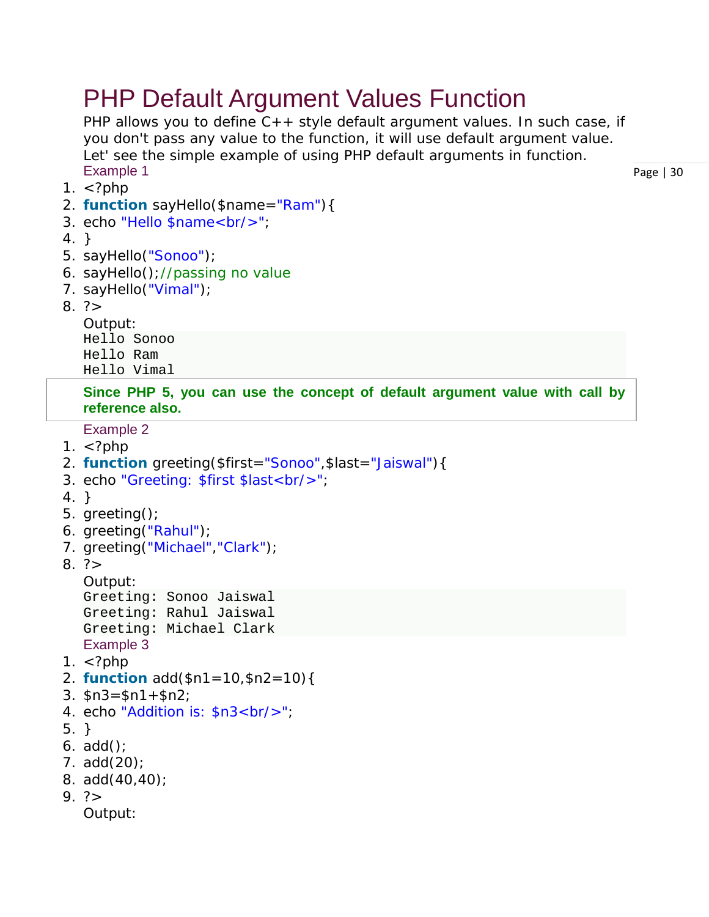## PHP Default Argument Values Function

PHP allows you to define C++ style default argument values. In such case, if you don't pass any value to the function, it will use default argument value. Let' see the simple example of using PHP default arguments in function. Example 1

- 1.  $\lt$ ?php
- 2. **function** sayHello(\$name="Ram"){
- 3. echo "Hello \$name<br/>";
- 4. }
- 5. sayHello("Sonoo");
- 6. sayHello();//passing no value
- 7. sayHello("Vimal");
- $8. ? >$

Output: Hello Sonoo Hello Ram Hello Vimal

**Since PHP 5, you can use the concept of default argument value with call by reference also.**

Example 2

- 1.  $\lt$ ?php
- 2. **function** greeting(\$first="Sonoo",\$last="Jaiswal"){
- 3. echo "Greeting: \$first \$last<br/>>";
- 4. }
- 5. greeting();
- 6. greeting("Rahul");
- 7. greeting("Michael", "Clark");
- $8. ? >$

Output:

```
Greeting: Sonoo Jaiswal
Greeting: Rahul Jaiswal
Greeting: Michael Clark
Example 3
```
- 1.  $\lt$ ?php
- 2. **function** add(\$n1=10,\$n2=10){
- 3.  $$n3 = $n1 + $n2$ ;
- 4. echo "Addition is: \$n3<br/>";
- 5. }
- 6. add();
- 7. add(20);
- 8. add(40,40);
- 9. ?>

Output: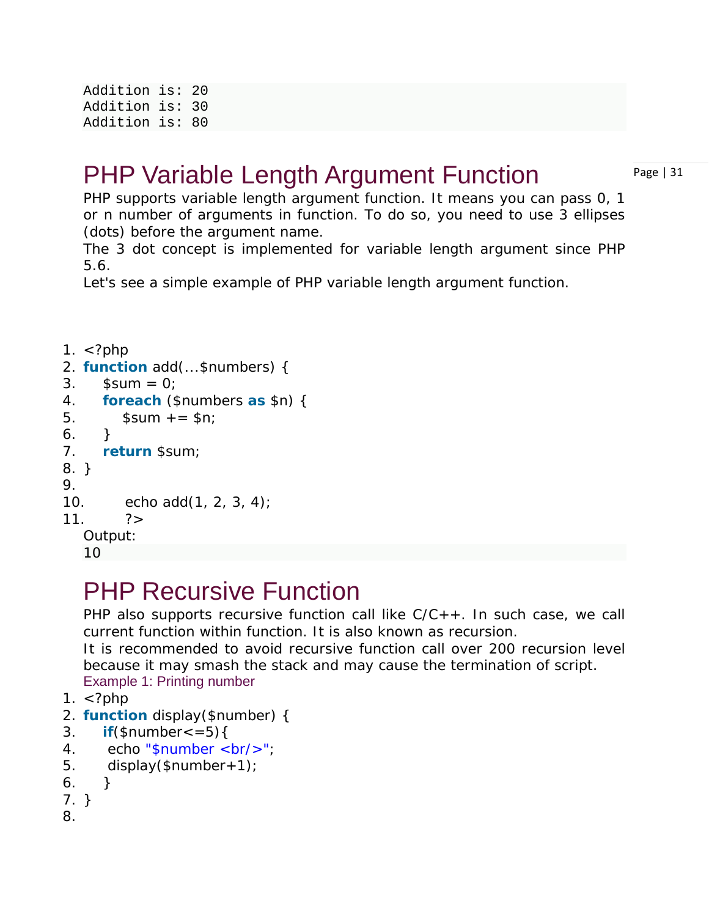Addition is: 20 Addition is: 30 Addition is: 80

## PHP Variable Length Argument Function

Page | 31

PHP supports variable length argument function. It means you can pass 0, 1 or n number of arguments in function. To do so, you need to use 3 ellipses (dots) before the argument name.

The 3 dot concept is implemented for variable length argument since PHP 5.6.

Let's see a simple example of PHP variable length argument function.

```
1. \lt?php
2. function add(...$numbers) { 
3. $sum = 0;4. foreach ($numbers as $n) { 
5. $sum += $n;6. } 
7. return $sum; 
8. } 
9. 
10. echo add(1, 2, 3, 4); 
11. 2Output:
  10
```
## PHP Recursive Function

PHP also supports recursive function call like  $C/C++$ . In such case, we call current function within function. It is also known as recursion.

It is recommended to avoid recursive function call over 200 recursion level because it may smash the stack and may cause the termination of script. Example 1: Printing number

- 1.  $\lt$ ?php
- 2. **function** display(\$number) {
- 3. **if**( $$number < = 5$ ){
- 4. echo "\$number <br/> <br/>>";
- 5. display( $$number+1$ );
- 6. }
- 7. }
- 8.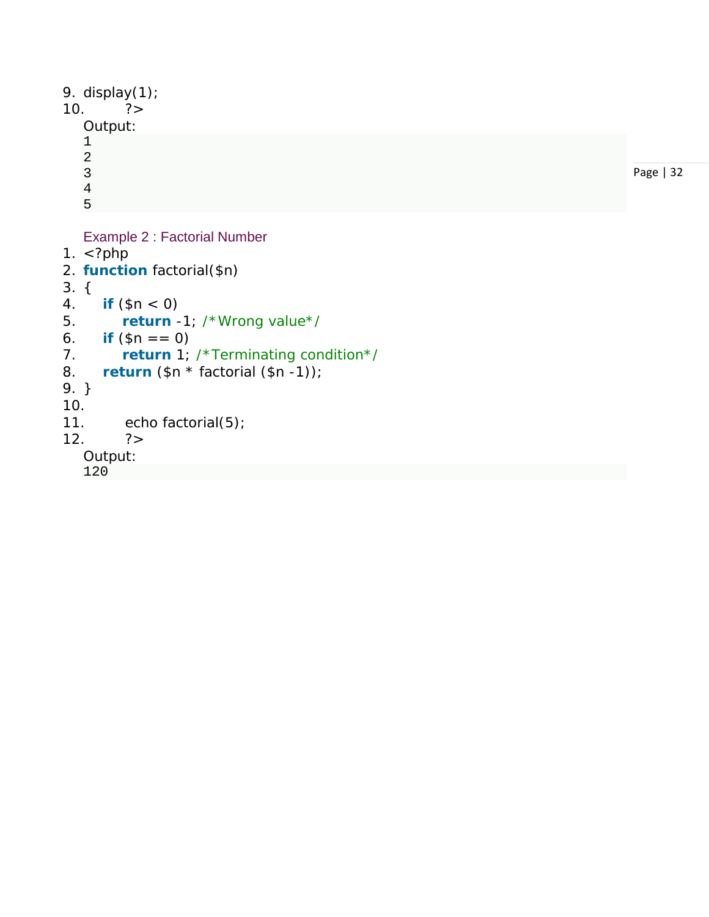```
9. display(1); 
10. ?Output: \mathbf{1}12345
    \overline{a}\overline{3}Page | 32
    \overline{4}5
    Example 2 : Factorial Number
1. \langle?php
2. function factorial($n
) 
3.
{
```

```
4. if
          ($n
< 0)
```

```
5. return
-1; /*Wrong value*/
```

```
6.7.7if (\$n == 0)
```

```
7. return 1; /*Terminating condition*/
```

```
8. return
($n
* factorial
($n
-1));
```

```
9.
}
```

```
10.
```

```
11. echo factorial(5);
```

```
12. ?>
```

```
Output:
```

```
120
```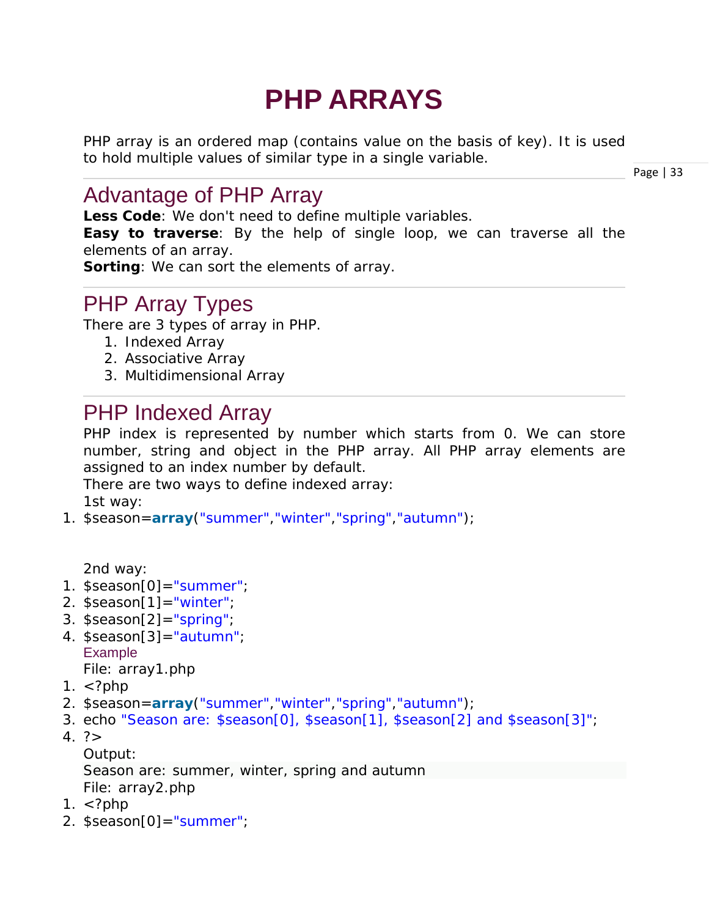# **PHP ARRAYS**

PHP array is an ordered map (contains value on the basis of key). It is used to hold multiple values of similar type in a single variable.

Page | 33

### Advantage of PHP Array

**Less Code**: We don't need to define multiple variables. **Easy to traverse**: By the help of single loop, we can traverse all the elements of an array.

**Sorting**: We can sort the elements of array.

### PHP Array Types

There are 3 types of array in PHP.

- 1. Indexed Array
- 2. Associative Array
- 3. Multidimensional Array

### PHP Indexed Array

PHP index is represented by number which starts from 0. We can store number, string and object in the PHP array. All PHP array elements are assigned to an index number by default.

There are two ways to define indexed array: 1st way:

1. \$season=**array**("summer","winter","spring","autumn");

2nd way:

- 1. \$season[0]="summer";
- 2. \$season[1]="winter";
- 3. \$season[2]="spring";
- 4.  $$season[3] = "autumn";$ Example *File: array1.php*
- 1.  $\lt$ ?php
- 2. \$season=**array**("summer","winter","spring","autumn");
- 3. echo "Season are: \$season[0], \$season[1], \$season[2] and \$season[3]";
- $4. ? >$

Output:

Season are: summer, winter, spring and autumn *File: array2.php*

- 1.  $\lt$ ?php
- 2. \$season[0]="summer";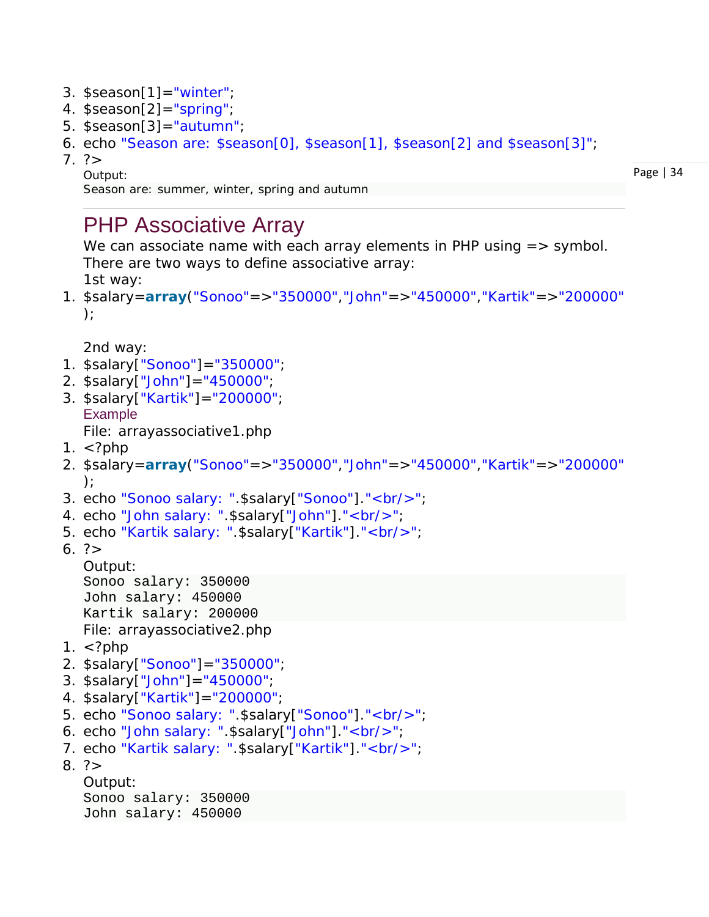- 3. \$season[1]="winter";
- 4. \$season[2]="spring";
- 5.  $$season[3] = "autumn";$
- 6. echo "Season are: \$season[0], \$season[1], \$season[2] and \$season[3]";
- $7. ? >$

Output:

Page | 34

```
Season are: summer, winter, spring and autumn
```
### PHP Associative Array

We can associate name with each array elements in PHP using => symbol. There are two ways to define associative array: 1st way:

1. \$salary=**array**("Sonoo"=>"350000","John"=>"450000","Kartik"=>"200000"  $)$ ;

2nd way:

- 1. \$salary["Sonoo"]="350000";
- 2. \$salary["John"]="450000";
- 3. \$salary["Kartik"]="200000"; Example

*File: arrayassociative1.php*

- 1.  $\lt$ ?php
- 2. \$salary=**array**("Sonoo"=>"350000","John"=>"450000","Kartik"=>"200000" );
- 3. echo "Sonoo salary: ".\$salary["Sonoo"]."<br/>>br/>";
- 4. echo "John salary: ".\$salary["John"]."<br/>>";
- 5. echo "Kartik salary: ".\$salary["Kartik"]."<br/>";
- 6. ?>

```
Output:
Sonoo salary: 350000
John salary: 450000
Kartik salary: 200000
File: arrayassociative2.php
```
- 1.  $\lt$ ?php
- 2. \$salary["Sonoo"]="350000";
- 3. \$salary["John"]="450000";
- 4. \$salary["Kartik"]="200000";
- 5. echo "Sonoo salary: ".\$salary["Sonoo"]."<br/>>br/>";
- 6. echo "John salary: ".\$salary["John"]."<br/>";
- 7. echo "Kartik salary: ".\$salary["Kartik"]."<br/>>";
- $8. ? >$

```
Output:
Sonoo salary: 350000
John salary: 450000
```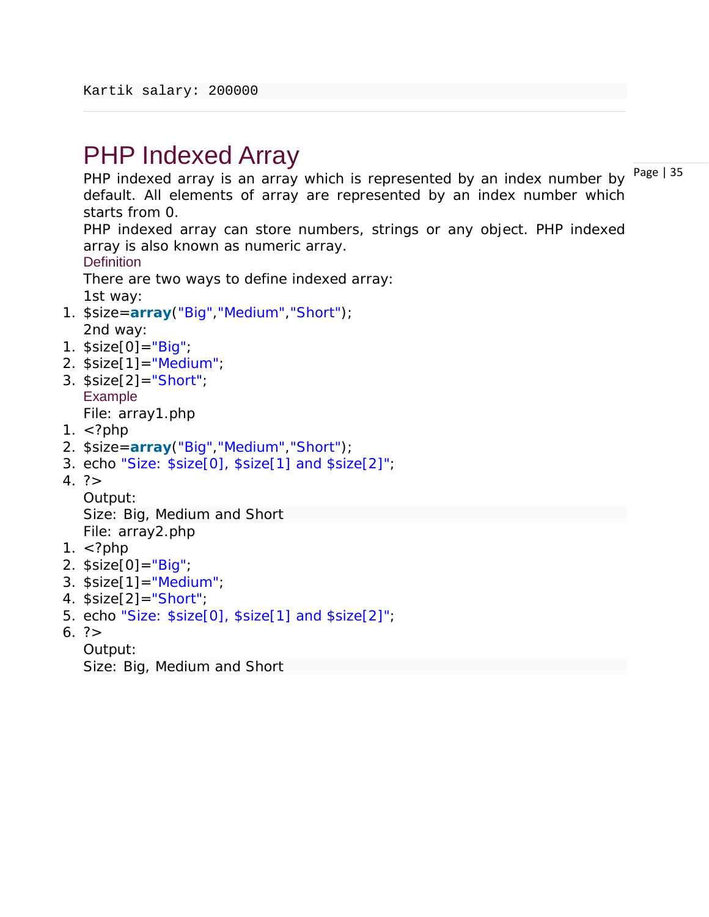## PHP Indexed Array

PHP indexed array is an array which is represented by an index number by  $^{Page|35}$ default. All elements of array are represented by an index number which starts from 0.

PHP indexed array can store numbers, strings or any object. PHP indexed array is also known as numeric array.

**Definition** 

There are two ways to define indexed array: 1st way:

- 1. \$size=**array**("Big","Medium","Short"); 2nd way:
- 1. \$size[0]="Big";
- 2.  $$size[1] = "Median";$
- 3. \$size[2]="Short"; Example *File: array1.php*
- 1.  $\lt$ ?php
- 2. \$size=**array**("Big","Medium","Short");
- 3. echo "Size: \$size[0], \$size[1] and \$size[2]";
- $4. ? >$

Output: Size: Big, Medium and Short *File: array2.php*

- 1.  $\lt$ ?php
- 2.  $$size[0] = "Big";$
- 3.  $$size[1] = "Median";$
- 4. \$size[2]="Short";
- 5. echo "Size: \$size[0], \$size[1] and \$size[2]";
- 6. ?>

Output:

Size: Big, Medium and Short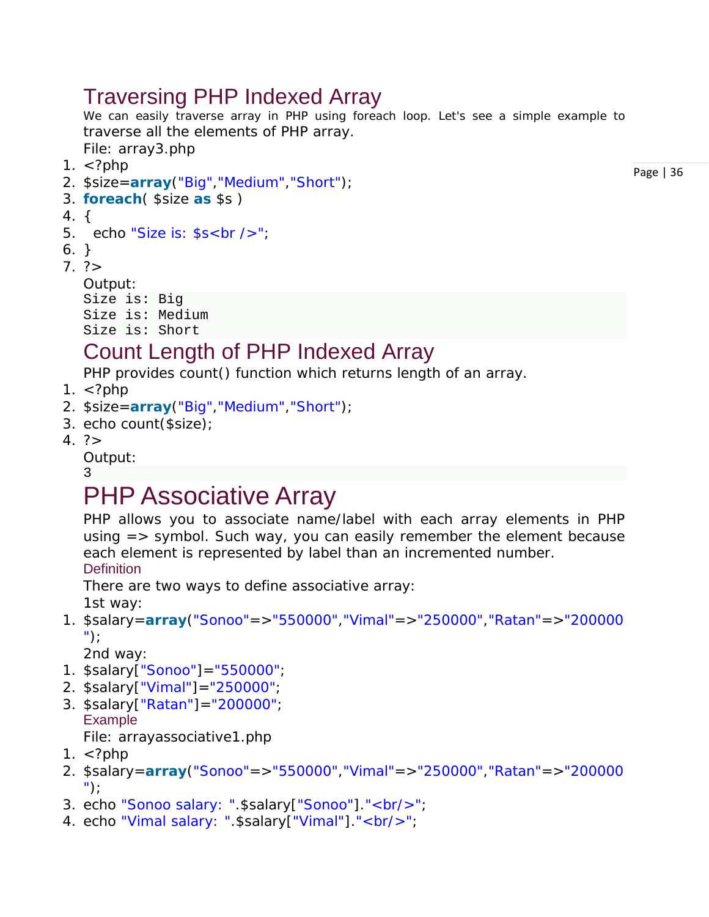### Traversing PHP Indexed Array

We can easily traverse array in PHP using foreach loop. Let's see a simple example to traverse all the elements of PHP array.

*File: array3.php*

- 1.  $\lt$ ?php
- 2. \$size=**array**("Big","Medium","Short");
- 3. **foreach**( \$size **as** \$s )
- 4. {
- 5. echo "Size is: \$s<br />";
- 6. }
- $7. ? >$

```
Output:
Size is: Big
Size is: Medium
Size is: Short
```
## Count Length of PHP Indexed Array

PHP provides count() function which returns length of an array.

- 1.  $\lt$ ?php
- 2. \$size=**array**("Big","Medium","Short");
- 3. echo count(\$size);
- $4. ? >$

Output:

#### 3

## PHP Associative Array

PHP allows you to associate name/label with each array elements in PHP using => symbol. Such way, you can easily remember the element because each element is represented by label than an incremented number. **Definition** 

There are two ways to define associative array:

1st way:

1. \$salary=**array**("Sonoo"=>"550000","Vimal"=>"250000","Ratan"=>"200000 ");

2nd way:

- 1. \$salary["Sonoo"]="550000";
- 2. \$salary["Vimal"]="250000";
- 3. \$salary["Ratan"]="200000"; Example

*File: arrayassociative1.php*

- 1.  $\lt$ ?php
- 2. \$salary=**array**("Sonoo"=>"550000","Vimal"=>"250000","Ratan"=>"200000 ");
- 3. echo "Sonoo salary: ".\$salary["Sonoo"]."<br/>";
- 4. echo "Vimal salary: ".\$salary["Vimal"]."<br/>>";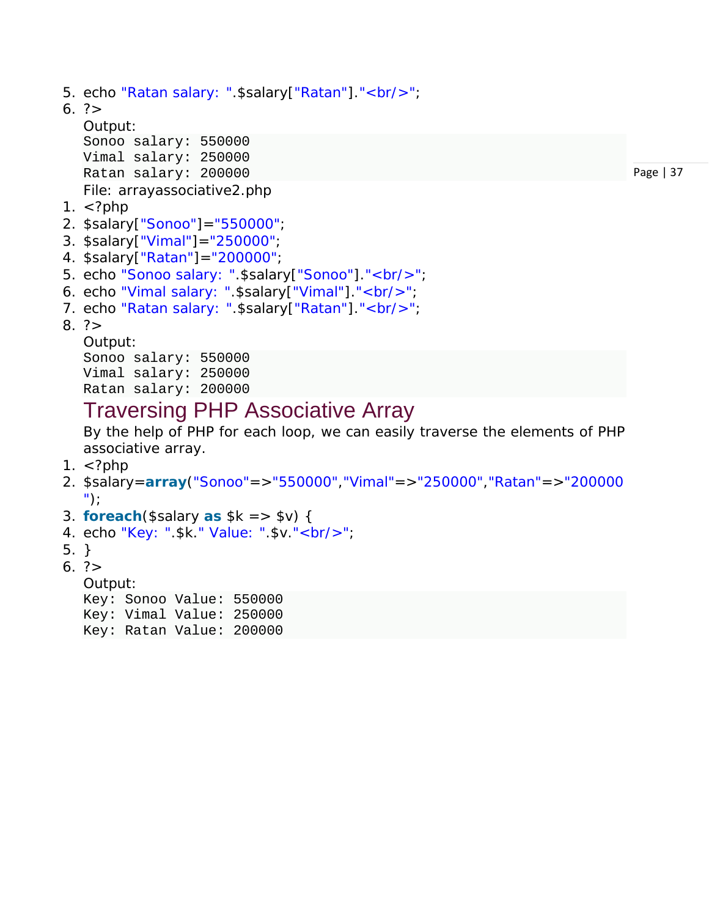```
5. echo "Ratan salary: ".$salary["Ratan"]."<br/>"; 
6. ?> 
  Output:
  Sonoo salary: 550000
  Vimal salary: 250000
  Ratan salary: 200000
  File: arrayassociative2.php
1. \lt?php
2. $salary["Sonoo"]="550000"; 
3. $salary["Vimal"]="250000"; 
4. $salary["Ratan"]="200000"; 
5. echo "Sonoo salary: ".$salary["Sonoo"]."<br/>>br/>";
6. echo "Vimal salary: ".$salary["Vimal"]."<br/>"; 
7. echo "Ratan salary: ".$salary["Ratan"]."<br/>>";
8. ? >Output:
  Sonoo salary: 550000
```
Vimal salary: 250000

#### Ratan salary: 200000

### Traversing PHP Associative Array

By the help of PHP for each loop, we can easily traverse the elements of PHP associative array.

- 1.  $\lt$ ?php
- 2. \$salary=**array**("Sonoo"=>"550000","Vimal"=>"250000","Ratan"=>"200000 ");
- 3. **foreach**(\$salary **as** \$k => \$v) {
- 4. echo "Key: ".\$k." Value: ".\$v."<br/>";
- 5. }
- 6. ?>

Output:

```
Key: Sonoo Value: 550000
Key: Vimal Value: 250000
Key: Ratan Value: 200000
```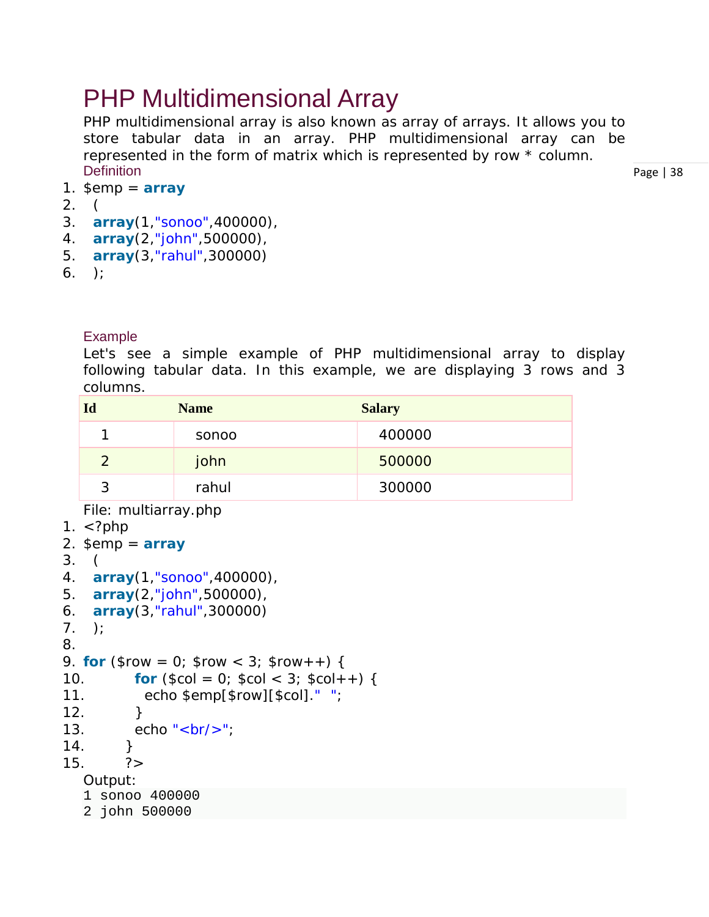## PHP Multidimensional Array

PHP multidimensional array is also known as array of arrays. It allows you to store tabular data in an array. PHP multidimensional array can be represented in the form of matrix which is represented by row \* column. **Definition** 

Page | 38

- 1.  $\varepsilon$ emp =  $\arctan$
- 2. (
- 3. **array**(1,"sonoo",400000),
- 4. **array**(2,"john",500000),
- 5. **array**(3,"rahul",300000)
- $6.$  );

#### Example

Let's see a simple example of PHP multidimensional array to display following tabular data. In this example, we are displaying 3 rows and 3 columns.

| 1d            | <b>Name</b> | <b>Salary</b> |
|---------------|-------------|---------------|
|               | sonoo       | 400000        |
| $\mathcal{P}$ | john        | 500000        |
| 2             | rahul       | 300000        |

*File: multiarray.php*

```
1. \langle?php
2. \varepsilon = \arctan\theta3. ( 
4. array(1,"sonoo",400000), 
5. array(2,"john",500000), 
6. array(3,"rahul",300000) 
7. );
8. 
9. for ($row = 0; $row < 3; $row + +) {
10. for (\$col = 0; \$col < 3; \$col + +) {
11. echo $emp[$row][$col]." "; 
12. }
13. echo "<br/>\langle b r / \rangle";
14. } 
15. ?Output:
   1 sonoo 400000 
   2 john 500000
```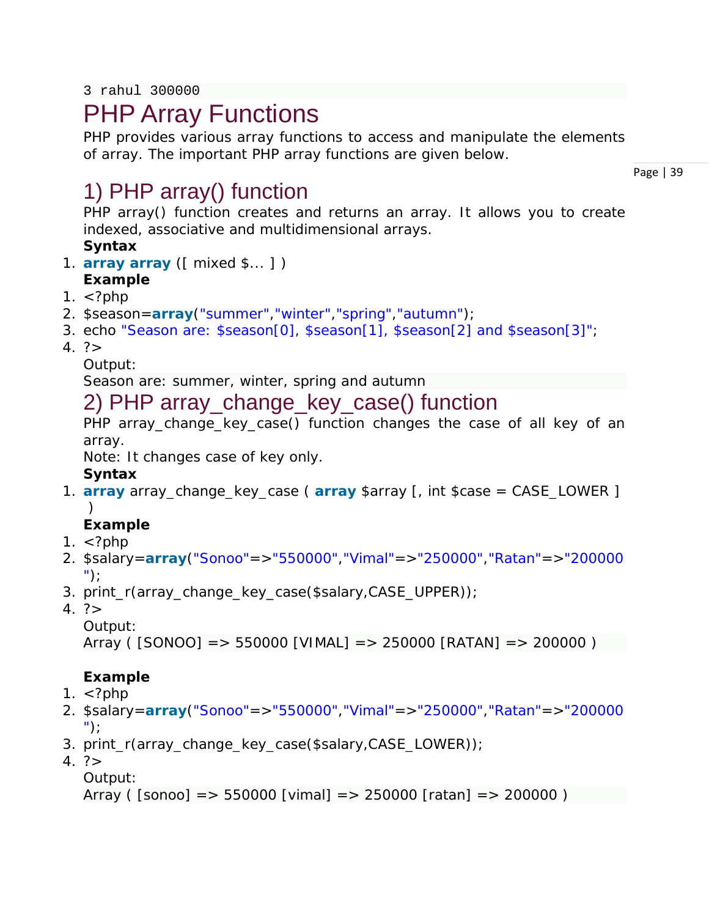3 rahul 300000

## PHP Array Functions

PHP provides various array functions to access and manipulate the elements of array. The important PHP array functions are given below.

Page | 39

### 1) PHP array() function

PHP array() function creates and returns an array. It allows you to create indexed, associative and multidimensional arrays. **Syntax**

- 1. **array array** ([ mixed \$... ] )
- **Example**
- 1.  $\lt$ ?php
- 2. \$season=**array**("summer","winter","spring","autumn");
- 3. echo "Season are: \$season[0], \$season[1], \$season[2] and \$season[3]";
- $4. ? >$

Output:

Season are: summer, winter, spring and autumn

### 2) PHP array\_change\_key\_case() function

PHP array change key case() function changes the case of all key of an array.

Note: It changes case of key only.

#### **Syntax**

1. **array** array\_change\_key\_case ( **array** \$array [, int \$case = CASE\_LOWER ]  $\lambda$ 

### **Example**

- 1.  $\lt$ ?php
- 2. \$salary=**array**("Sonoo"=>"550000","Vimal"=>"250000","Ratan"=>"200000 ");
- 3. print\_r(array\_change\_key\_case(\$salary,CASE\_UPPER));
- $4. ? >$

Output:

```
Array ( [SONOO] => 550000 [VIMAL] => 250000 [RATAN] => 200000 )
```
### **Example**

- 1.  $\langle$ ?php
- 2. \$salary=**array**("Sonoo"=>"550000","Vimal"=>"250000","Ratan"=>"200000 ");
- 3. print\_r(array\_change\_key\_case(\$salary,CASE\_LOWER));
- $4. ? >$ 
	- Output:

```
Array ( [sonoo] => 550000 [vimal] => 250000 [ratan] => 200000 )
```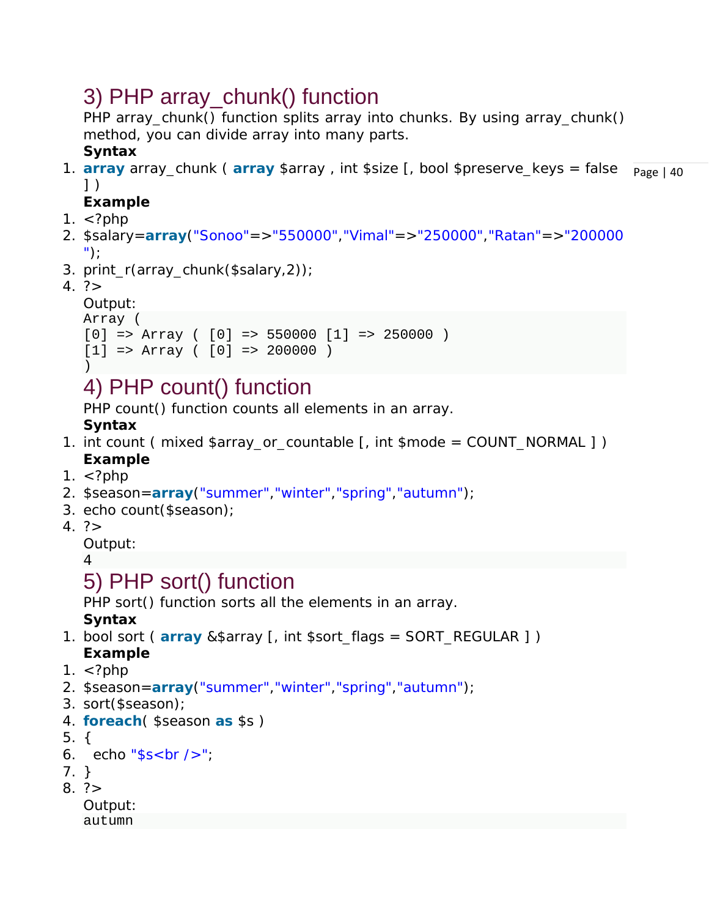## 3) PHP array\_chunk() function

PHP array\_chunk() function splits array into chunks. By using array\_chunk() method, you can divide array into many parts.

### **Syntax**

1. array array\_chunk ( array \$array , int \$size [, bool \$preserve\_keys = false Rage | 40 ] )

### **Example**

- 1.  $\langle$ ?php
- 2. \$salary=**array**("Sonoo"=>"550000","Vimal"=>"250000","Ratan"=>"200000 ");
- 3. print\_r(array\_chunk(\$salary,2));
- $4. ? >$

```
Output:
Array (
```

```
[0] => Array ( [0] => 550000 [1] => 250000 )
[1] => Array ( [0] => 200000 )
```

```
)
```
## 4) PHP count() function

PHP count() function counts all elements in an array.

**Syntax**

- 1. int count (mixed  $\frac{1}{2}$ array\_or\_countable [, int  $\frac{1}{2}$  mode = COUNT\_NORMAL ] ) **Example**
- 1.  $\lt$ ?php
- 2. \$season=**array**("summer","winter","spring","autumn");
- 3. echo count(\$season);
- $4. ? >$

Output:

4

## 5) PHP sort() function

PHP sort() function sorts all the elements in an array.

**Syntax**

- 1. bool sort ( **array** &\$array [, int \$sort\_flags = SORT\_REGULAR ] ) **Example**
- 1.  $\lt$ ?php
- 2. \$season=**array**("summer","winter","spring","autumn");
- 3. sort(\$season);
- 4. **foreach**( \$season **as** \$s )
- 5. {

```
6. echo "ss < br />";
```
7. }

```
8. ? >
```
Output: autumn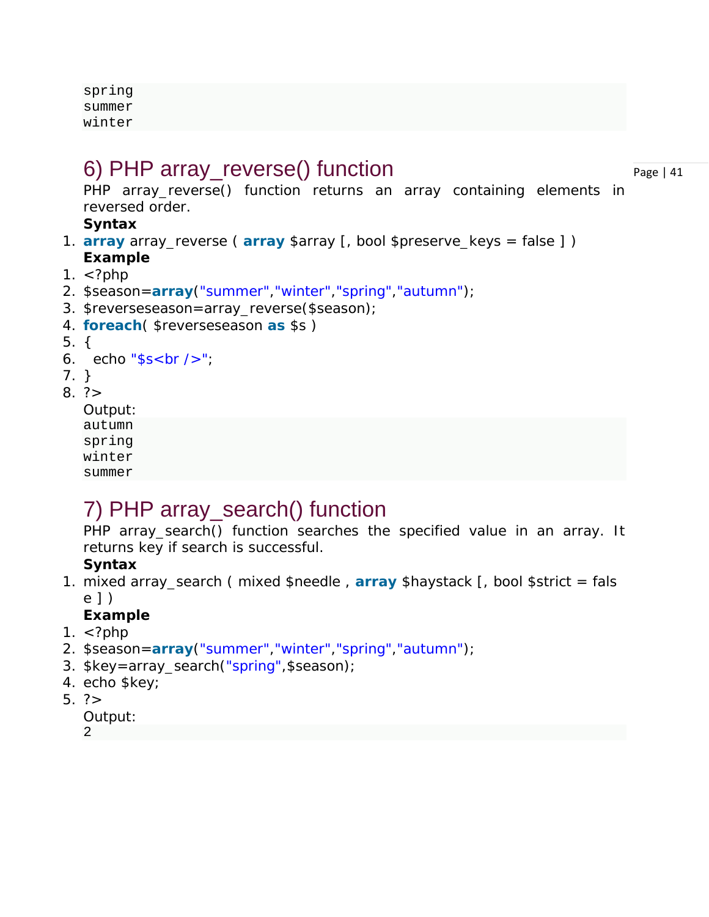spring summer winter

### 6) PHP array\_reverse() function

Page | 41

PHP array\_reverse() function returns an array containing elements in reversed order.

#### **Syntax**

- 1. **array** array\_reverse ( **array** \$array [, bool \$preserve\_keys = false ] ) **Example**
- 1.  $\lt$ ?php
- 2. \$season=**array**("summer","winter","spring","autumn");
- 3. \$reverseseason=array\_reverse(\$season);
- 4. **foreach**( \$reverseseason **as** \$s )
- 5. {
- 6. echo " $s$ s < br  $/$  >";
- 7. }
- $8. ? >$

Output: autumn spring winter summer

### 7) PHP array\_search() function

PHP array\_search() function searches the specified value in an array. It returns key if search is successful.

#### **Syntax**

1. mixed array\_search ( mixed \$needle , **array** \$haystack [, bool \$strict = fals e ] )

#### **Example**

- 1.  $\lt$ ?php
- 2. \$season=**array**("summer","winter","spring","autumn");
- 3. \$key=array\_search("spring",\$season);
- 4. echo \$key;
- 5.  $?$

```
Output:
```
2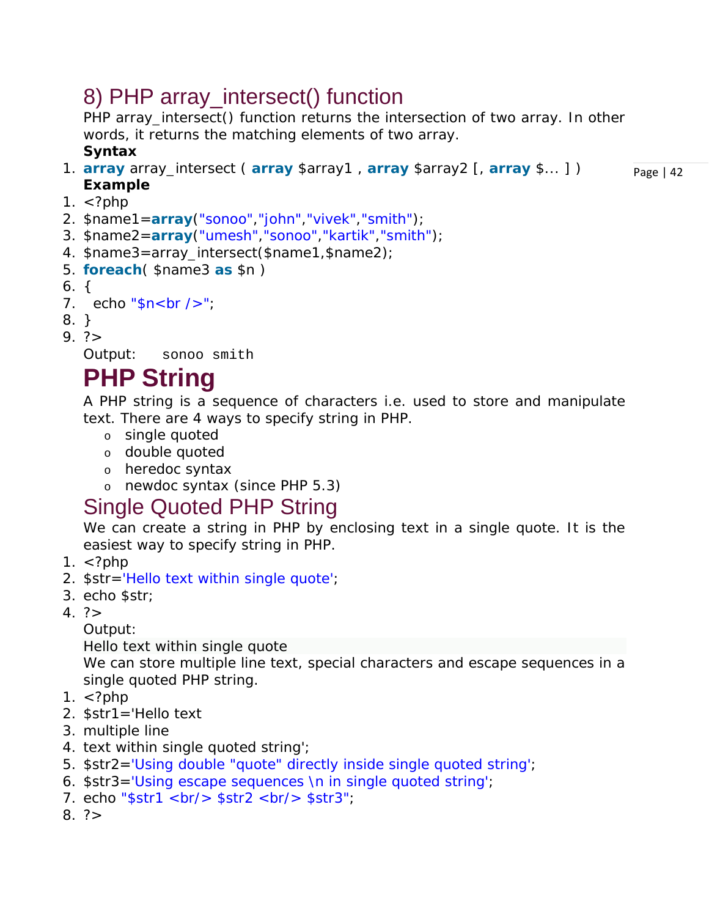## 8) PHP array\_intersect() function

PHP array\_intersect() function returns the intersection of two array. In other words, it returns the matching elements of two array. **Syntax**

- Page | 42 1. **array** array\_intersect ( **array** \$array1 , **array** \$array2 [, **array** \$... ] ) **Example**
- 1.  $\lt$ ?php
- 2. \$name1=**array**("sonoo","john","vivek","smith");
- 3. \$name2=**array**("umesh","sonoo","kartik","smith");
- 4. \$name3=array\_intersect(\$name1,\$name2);
- 5. **foreach**( \$name3 **as** \$n )
- 6. {

```
7. echo \sqrt[4]{\pi}sh\sqrt[4]{\pi};
```
- 8. }
- $9. ? >$

Output: sonoo smith

## **PHP String**

A PHP string is a sequence of characters i.e. used to store and manipulate text. There are 4 ways to specify string in PHP.

- o single quoted
- o double quoted
- o heredoc syntax
- o newdoc syntax (since PHP 5.3)

### Single Quoted PHP String

We can create a string in PHP by enclosing text in a single quote. It is the easiest way to specify string in PHP.

- 1.  $\lt$ ?php
- 2. \$str='Hello text within single quote';
- 3. echo \$str;
- $4. ? >$

Output:

Hello text within single quote

We can store multiple line text, special characters and escape sequences in a single quoted PHP string.

- 1.  $\lt$ ?php
- 2. \$str1='Hello text
- 3. multiple line
- 4. text within single quoted string';
- 5. \$str2='Using double "quote" directly inside single quoted string';
- 6. \$str3='Using escape sequences \n in single quoted string';
- 7. echo " $sstr1$  <br/> $\langle$  str2 <br/> <br/>  $\langle$  str3";
- $8. ? >$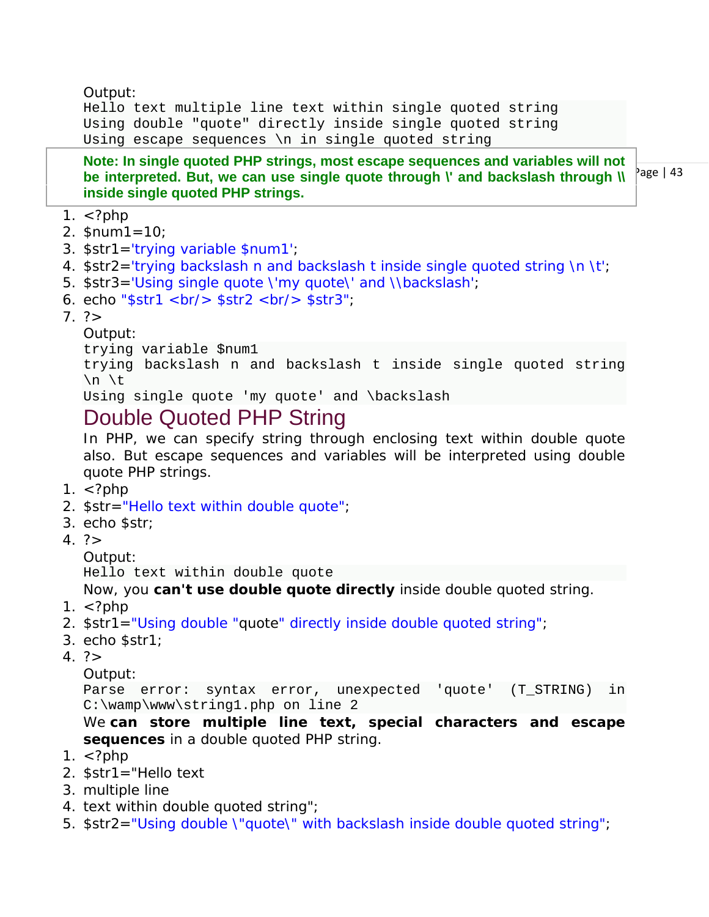Output:

Hello text multiple line text within single quoted string Using double "quote" directly inside single quoted string Using escape sequences \n in single quoted string

**Note: In single quoted PHP strings, most escape sequences and variables will not be interpreted. But, we can use single quote through \' and backslash through \\ inside single quoted PHP strings.**

- 1.  $\lt$ ?php
- 2.  $$num1=10;$
- 3. \$str1='trying variable \$num1';
- 4. \$str2='trying backslash n and backslash t inside single quoted string \n \t';
- 5. \$str3='Using single quote \'my quote\' and \\backslash';
- 6. echo " $$str1$  <br/>  $k$  >  $$str2$  <br/> $k$  >  $$str3$ ";
- $7.$ ?>

Output:

trying variable \$num1

trying backslash n and backslash t inside single quoted string \n \t

Using single quote 'my quote' and \backslash

### Double Quoted PHP String

In PHP, we can specify string through enclosing text within double quote also. But escape sequences and variables will be interpreted using double quote PHP strings.

- 1.  $\lt$ ?php
- 2. \$str="Hello text within double quote";
- 3. echo \$str;
- $4. ? >$

Output:

Hello text within double quote

Now, you **can't use double quote directly** inside double quoted string.

- 1.  $\langle$ ?php
- 2. \$str1="Using double "quote" directly inside double quoted string";
- 3. echo \$str1;
- $4. ? >$

Output:

```
Parse error: syntax error, unexpected 'quote' (T_STRING) in 
C:\wamp\www\string1.php on line 2
```
We **can store multiple line text, special characters and escape sequences** in a double quoted PHP string.

- 1.  $\lt$ ?php
- 2. \$str1="Hello text
- 3. multiple line
- 4. text within double quoted string";
- 5. \$str2="Using double \"quote\" with backslash inside double quoted string";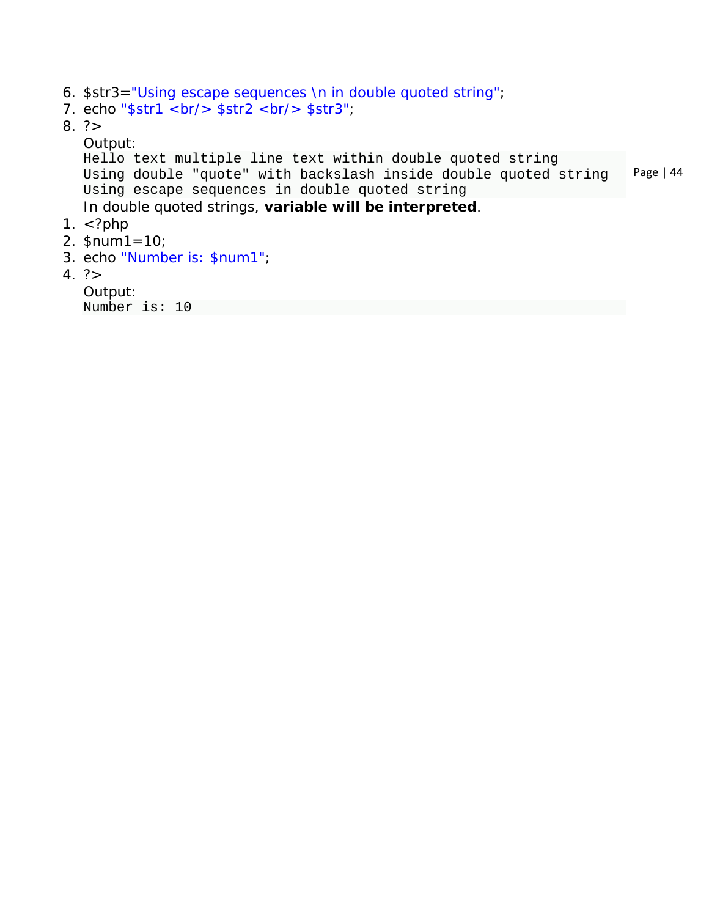- 6. \$str3="Using escape sequences \n in double quoted string";
- 7. echo " $$str1$  <br/>  $k$  >  $$str2$  <br/>  $k$  >  $$str3$ ";
- $8. ? >$

#### Output:

```
Page | 44
  Hello text multiple line text within double quoted string 
  Using double "quote" with backslash inside double quoted string 
  Using escape sequences in double quoted string
  In double quoted strings, variable will be interpreted.
1. \lt?php
2. $num1=10;
```
- 3. echo "Number is: \$num1";
- $4. ? >$

```
Output:
Number is: 10
```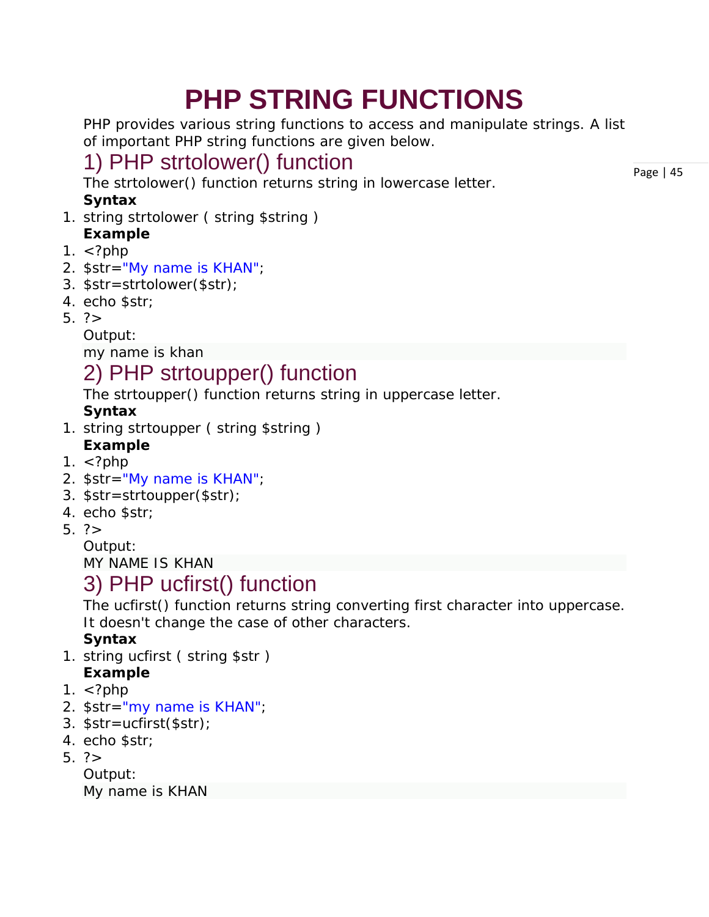# **PHP STRING FUNCTIONS**

PHP provides various string functions to access and manipulate strings. A list of important PHP string functions are given below.

## 1) PHP strtolower() function

The strtolower() function returns string in lowercase letter.

#### **Syntax**

- 1. string strtolower (string \$string) **Example**
- 1.  $\lt$ ?php
- 2. \$str="My name is KHAN";
- 3. \$str=strtolower(\$str);
- 4. echo \$str;
- 5.  $?$

Output:

my name is khan

## 2) PHP strtoupper() function

The strtoupper() function returns string in uppercase letter.

### **Syntax**

1. string strtoupper (string \$string)

### **Example**

- 1.  $\lt$ ?php
- 2. \$str="My name is KHAN";
- 3. \$str=strtoupper(\$str);
- 4. echo \$str;
- $5. ? >$

Output:

MY NAME IS KHAN

### 3) PHP ucfirst() function

The ucfirst() function returns string converting first character into uppercase. It doesn't change the case of other characters.

#### **Syntax**

- 1. string ucfirst ( string \$str ) **Example**
- 1.  $\langle$ ?php
- 2. \$str="my name is KHAN";
- 3. \$str=ucfirst(\$str);
- 4. echo \$str;
- 5.  $?$

Output:

My name is KHAN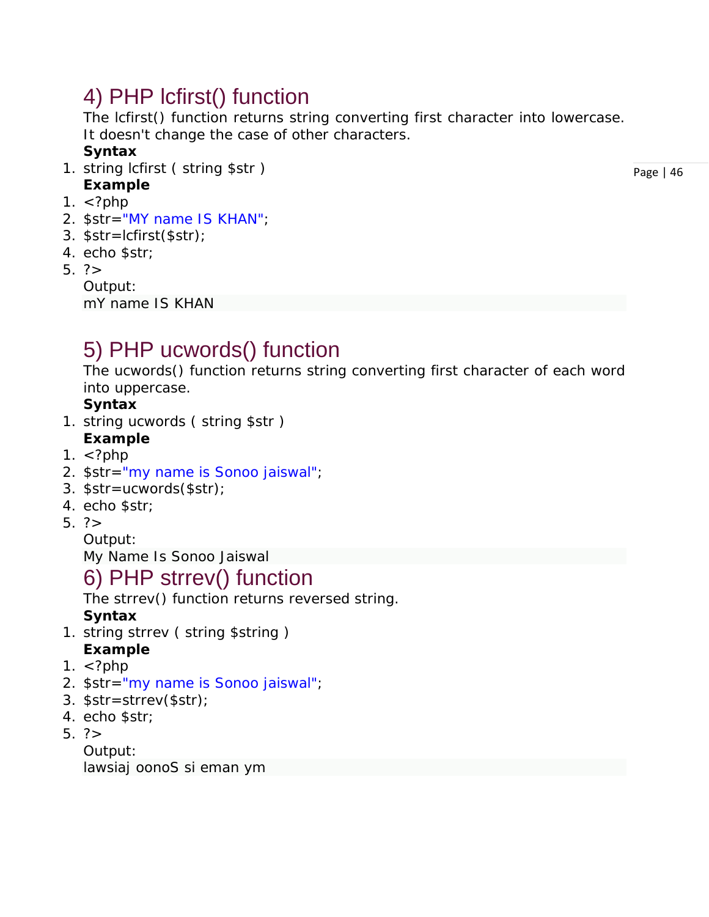### 4) PHP lcfirst() function

The lcfirst() function returns string converting first character into lowercase. It doesn't change the case of other characters.

#### **Syntax**

- 1. string lcfirst ( string \$str ) **Example**
- 1.  $\lt$ ?php
- 2. \$str="MY name IS KHAN";
- 3. \$str=lcfirst(\$str);
- 4. echo \$str;
- 5. ?>

Output: mY name IS KHAN

## 5) PHP ucwords() function

The ucwords() function returns string converting first character of each word into uppercase.

#### **Syntax**

1. string ucwords ( string \$str )

#### **Example**

- 1.  $\lt$ ?php
- 2. \$str="my name is Sonoo jaiswal";
- 3. \$str=ucwords(\$str);
- 4. echo \$str;
- 5. ?>

Output:

My Name Is Sonoo Jaiswal

### 6) PHP strrev() function

The strrev() function returns reversed string.

#### **Syntax**

- 1. string strrev ( string \$string ) **Example**
- 1.  $\lt$ ?php
- 2. \$str="my name is Sonoo jaiswal";
- 3. \$str=strrev(\$str);
- 4. echo \$str;
- 5.  $?$

Output: lawsiaj oonoS si eman ym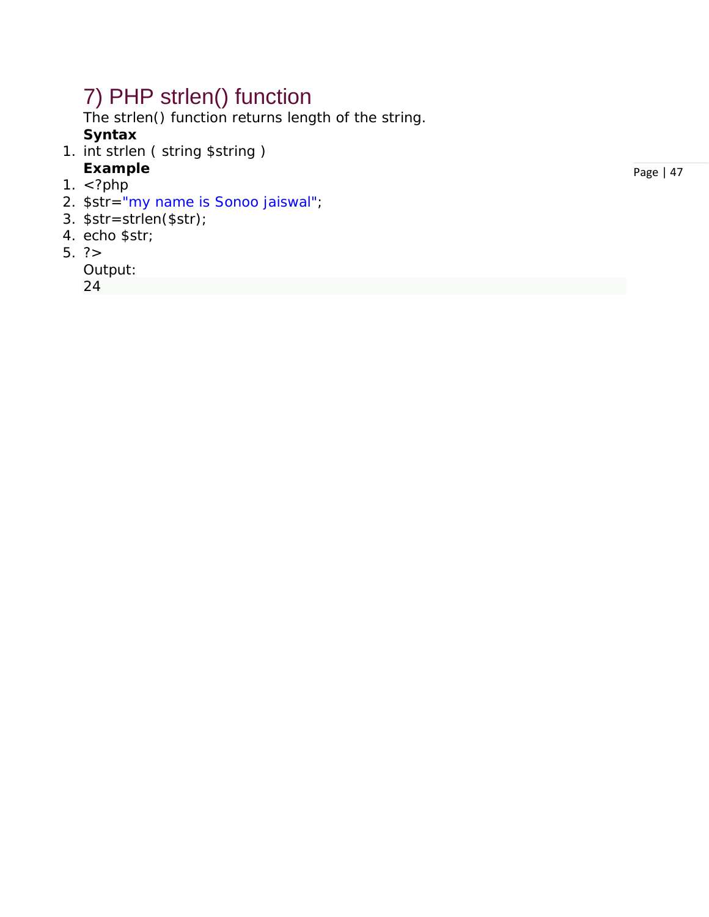## 7) PHP strlen() function

The strlen() function returns length of the string.

#### **Syntax**

- 1. int strlen ( string \$string )
- **Example**
- 1.  $\langle$ ?php
- 2. \$str="my name is Sonoo jaiswal";
- 3. \$str=strlen(\$str);
- 4. echo \$str;
- 5. ?>

Output:

24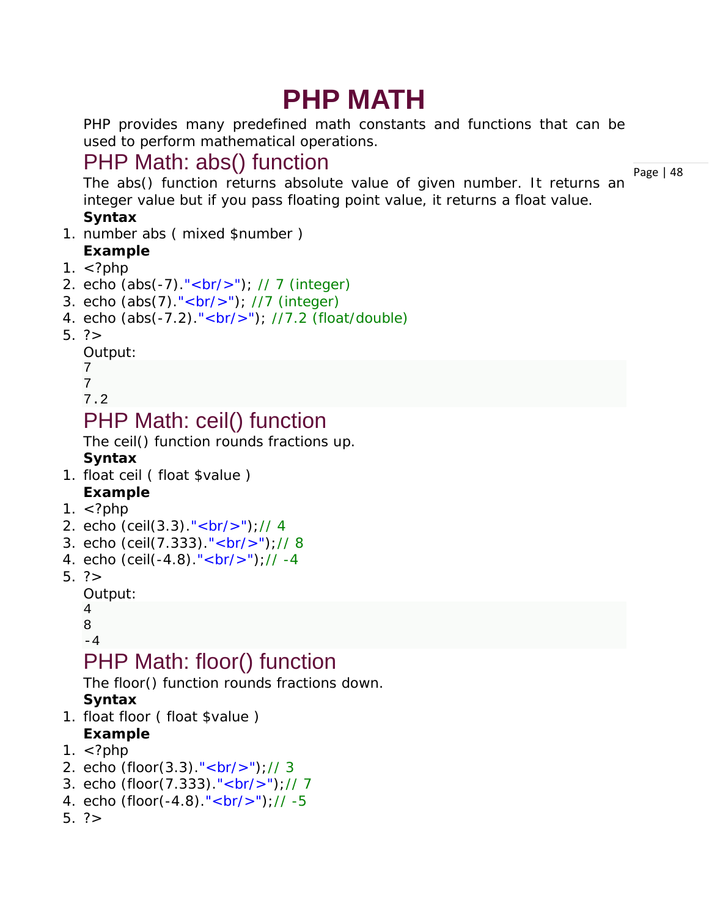# **PHP MATH**

PHP provides many predefined math constants and functions that can be used to perform mathematical operations.

### PHP Math: abs() function

The abs() function returns absolute value of given number. It returns an integer value but if you pass floating point value, it returns a float value.

#### **Syntax**

- 1. number abs ( mixed \$number ) **Example**
- 1.  $\langle$ ?php
- 2. echo  $(abs(-7)$ ."<br/> $(k-7)$ ; // 7 (integer)
- 3. echo  $(abs(7)$ ."<br/> $(br/$ ); //7 (integer)
- 4. echo (abs(-7.2)."<br/>>br/>"); //7.2 (float/double)
- 5.  $?$

```
Output:
```
7

```
7
```

```
7.2
```
### PHP Math: ceil() function

The ceil() function rounds fractions up.

#### **Syntax**

- 1. float ceil ( float \$value )
- **Example**
- 1.  $\lt$ ?php
- 2. echo (ceil(3.3)."<br/>");// 4
- 3. echo (ceil(7.333)."<br/>");// 8
- 4. echo (ceil(-4.8)."<br/>>br/>");// -4
- 5.  $?$

```
Output:
```

```
4
```

```
8
-4
```
### PHP Math: floor() function

The floor() function rounds fractions down.

#### **Syntax**

1. float floor ( float \$value )

#### **Example**

- 1.  $\lt$ ?php
- 2. echo (floor(3.3)." <  $br/$  );// 3
- 3. echo (floor(7.333)."<br/>");// 7
- 4. echo (floor(-4.8)." < br/>br/>");// -5
- 5. ?>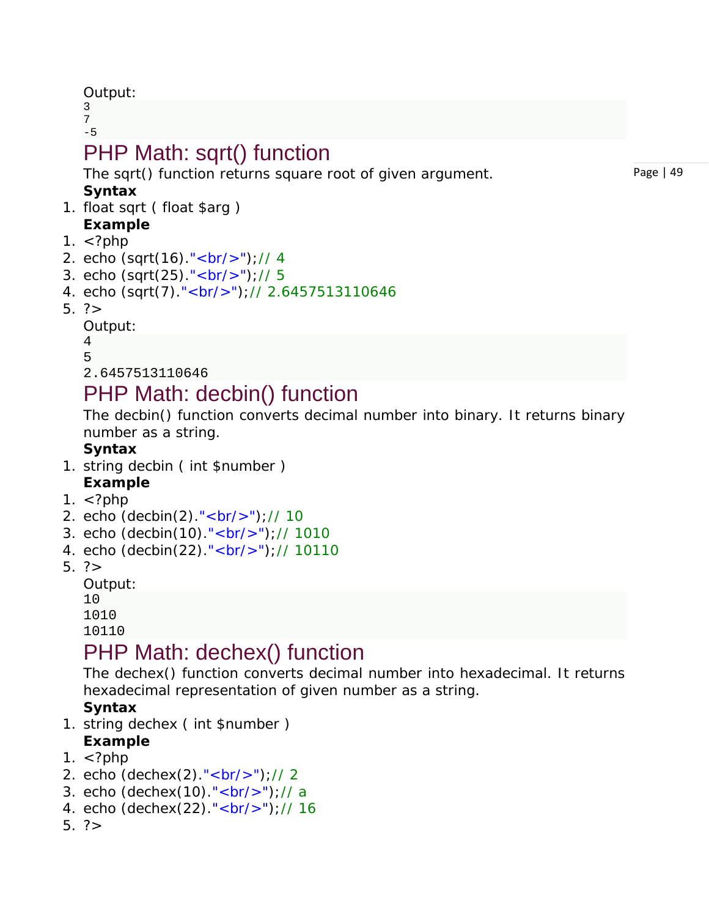Output:

3 7  $-5$ 

## PHP Math: sqrt() function

The sqrt() function returns square root of given argument. **Syntax**

- 1. float sqrt ( float \$arg )
- **Example**
- 1.  $\lt$ ?php
- 2. echo (sqrt(16)."<br/>");// 4
- 3. echo (sqrt(25)."<br/>");// 5
- 4. echo (sqrt(7)."<br/>br/>");// 2.6457513110646
- $5. ? >$

Output:

```
4
5
2.6457513110646
```
### PHP Math: decbin() function

The decbin() function converts decimal number into binary. It returns binary number as a string.

#### **Syntax**

- 1. string decbin ( int \$number ) **Example**
- 1.  $\lt$ ?php
- 2. echo (decbin(2)."<br/>");// 10
- 3. echo (decbin(10)."<br/>");// 1010
- 4. echo (decbin(22)."<br/>");// 10110
- 5. ?>

Output:

10 1010

10110

### PHP Math: dechex() function

The dechex() function converts decimal number into hexadecimal. It returns hexadecimal representation of given number as a string.

#### **Syntax**

- 1. string dechex ( int \$number )
- **Example**
- 1.  $\langle$ ?php
- 2. echo (dechex(2)."<br/>");// 2
- 3. echo (dechex(10)."<br/>");// a
- 4. echo (dechex(22)."<br/>");// 16
- $5.7$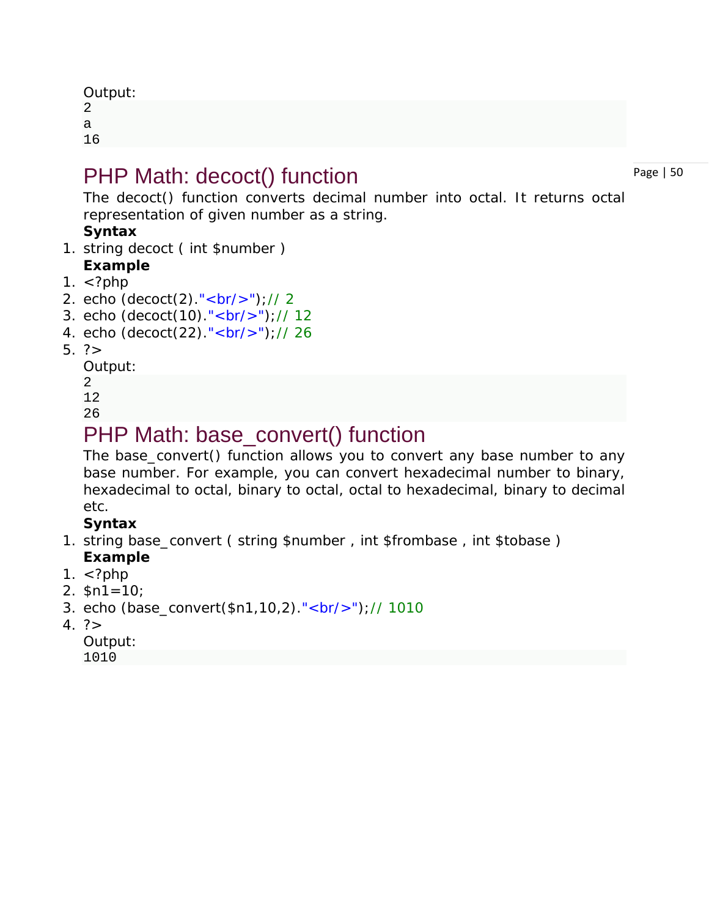| Output: |
|---------|
| 2       |
| а       |
| 16      |

### PHP Math: decoct() function

The decoct() function converts decimal number into octal. It returns octal representation of given number as a string.

#### **Syntax**

- 1. string decoct ( int \$number )
- **Example**
- 1.  $\lt$ ?php
- 2. echo  $(decot(2). "  
  
~  
  
  
  
  
~  
"  
  
)//2$
- 3. echo (decoct(10)."<br/>");// 12
- 4. echo (decoct(22)."<br/>");// 26
- 5. ?>

Output:

2

12

26

### PHP Math: base\_convert() function

The base\_convert() function allows you to convert any base number to any base number. For example, you can convert hexadecimal number to binary, hexadecimal to octal, binary to octal, octal to hexadecimal, binary to decimal etc.

#### **Syntax**

- 1. string base\_convert ( string \$number , int \$frombase , int \$tobase ) **Example**
- 1.  $\lt$ ?php
- 2.  $$n1=10$ ;
- 3. echo (base\_convert(\$n1,10,2)."<br/>");// 1010
- $4. ? >$

Output: 1010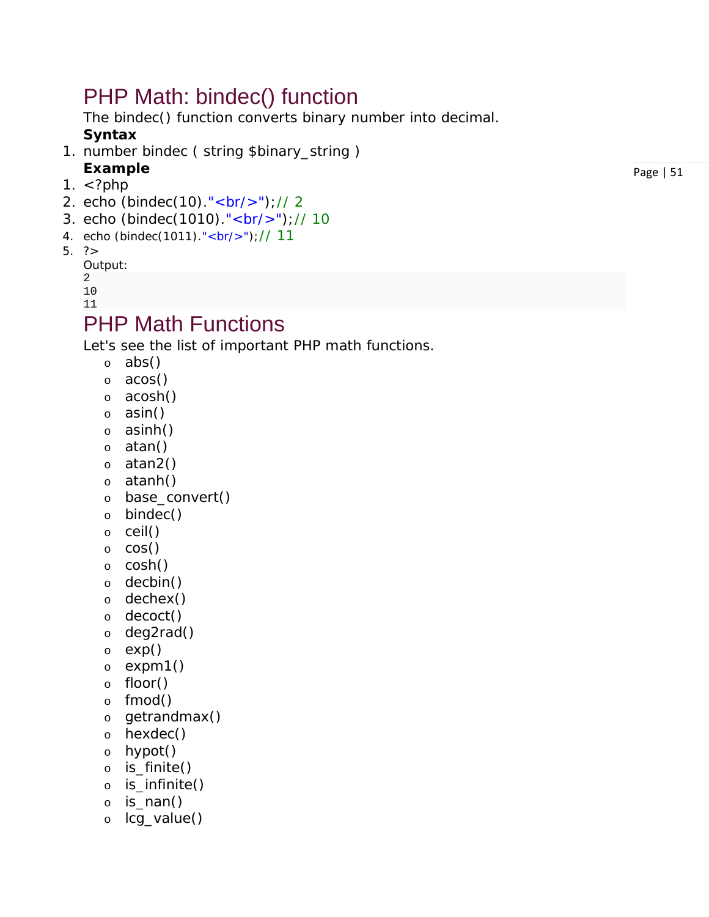### PHP Math: bindec() function

The bindec() function converts binary number into decimal.

#### **Syntax**

- 1. number bindec ( string \$binary\_string ) **Example**
- 1.  $\lt$ ?php
- 2. echo (bindec(10)."<br/>");// 2
- 3. echo (bindec(1010)."<br/>");// 10
- 4. echo (bindec(1011)."<br/>");// 11

#### 5. ?>

Output:

2

10 11

### PHP Math Functions

Let's see the list of important PHP math functions.

- o abs()
- o acos()
- o acosh()
- o asin()
- o asinh()
- o atan()
- o atan2()
- o atanh()
- o base\_convert()
- o bindec()
- o ceil()
- o cos()
- o cosh()
- o decbin()
- o dechex()
- o decoct()
- o deg2rad()
- o exp()
- o expm1()
- o floor()
- o fmod()
- o getrandmax()
- o hexdec()
- o hypot()
- o is\_finite()
- o is\_infinite()
- o is\_nan()
- o lcg\_value()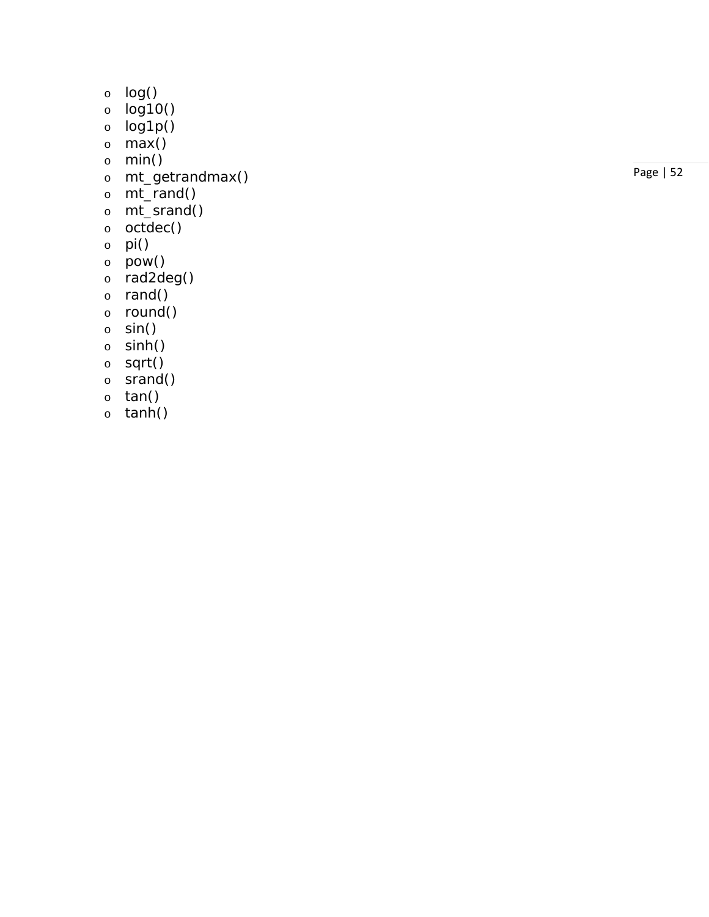- o log()
- o log10()
- o log1p()
- $\circ$  max()
- o min()
- o mt\_getrandmax()
- o mt\_rand()
- o mt\_srand()
- o octdec()
- $\circ$  pi()
- o pow()
- o rad2deg()
- o rand()
- o round()
- o sin()
- o sinh()
- o sqrt()
- o srand()
- o tan()
- o tanh()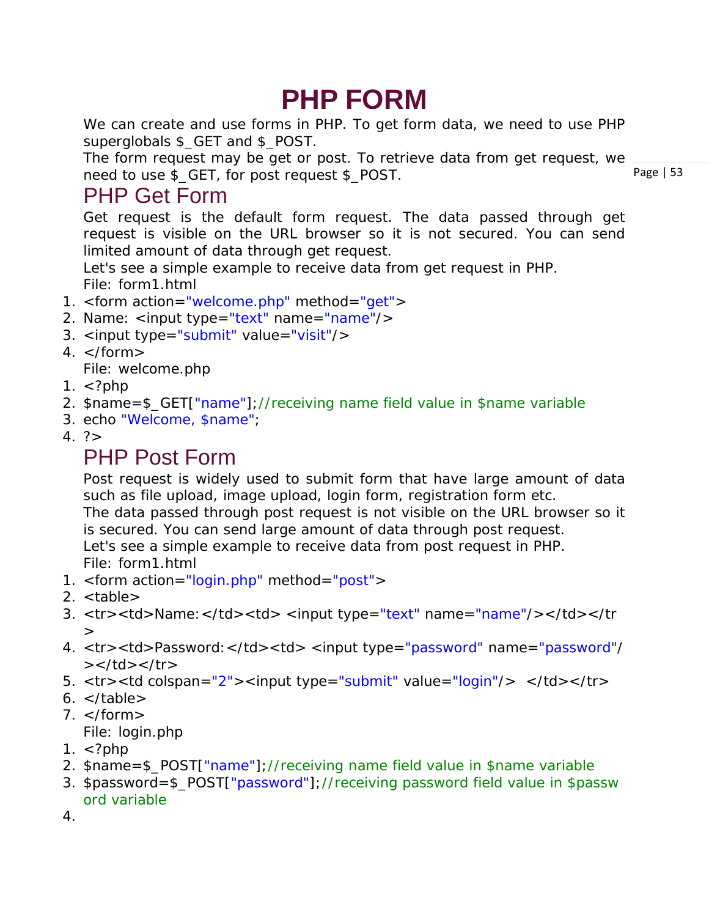# **PHP FORM**

We can create and use forms in PHP. To get form data, we need to use PHP superglobals \$ GET and \$ POST.

Page | 53 The form request may be get or post. To retrieve data from get request, we need to use \$\_GET, for post request \$\_POST.

### PHP Get Form

Get request is the default form request. The data passed through get request is visible on the URL browser so it is not secured. You can send limited amount of data through get request.

Let's see a simple example to receive data from get request in PHP. *File: form1.html*

- 1. <form action="welcome.php" method="get">
- 2. Name: <input type="text" name="name"/>
- 3. <input type="submit" value="visit"/>
- $4. <$ /form  $>$

*File: welcome.php*

- 1.  $\lt$ ?php
- 2. \$name=\$\_GET["name"];//receiving name field value in \$name variable
- 3. echo "Welcome, \$name";
- $4.7$

### PHP Post Form

Post request is widely used to submit form that have large amount of data such as file upload, image upload, login form, registration form etc.

The data passed through post request is not visible on the URL browser so it is secured. You can send large amount of data through post request.

Let's see a simple example to receive data from post request in PHP. *File: form1.html*

- 1. <form action="login.php" method="post">
- 2. <table>
- 3. <tr> <td>Name: </td><td> <input type="text" name="name"/></td></tr  $>$
- 4. <tr> <td>Password: </td> <td> <input type="password" name="password"/  $>>$ /td $>>$ /tr $>$
- 5. <tr> <td colspan="2"><input type="submit" value="login"/> </td></tr>
- $6. <$ /table>
- $7. <$ /form >

*File: login.php*

- 1.  $\lt$ ?php
- 2. \$name=\$\_POST["name"];//receiving name field value in \$name variable
- 3. \$password=\$\_POST["password"];//receiving password field value in \$passw ord variable

4.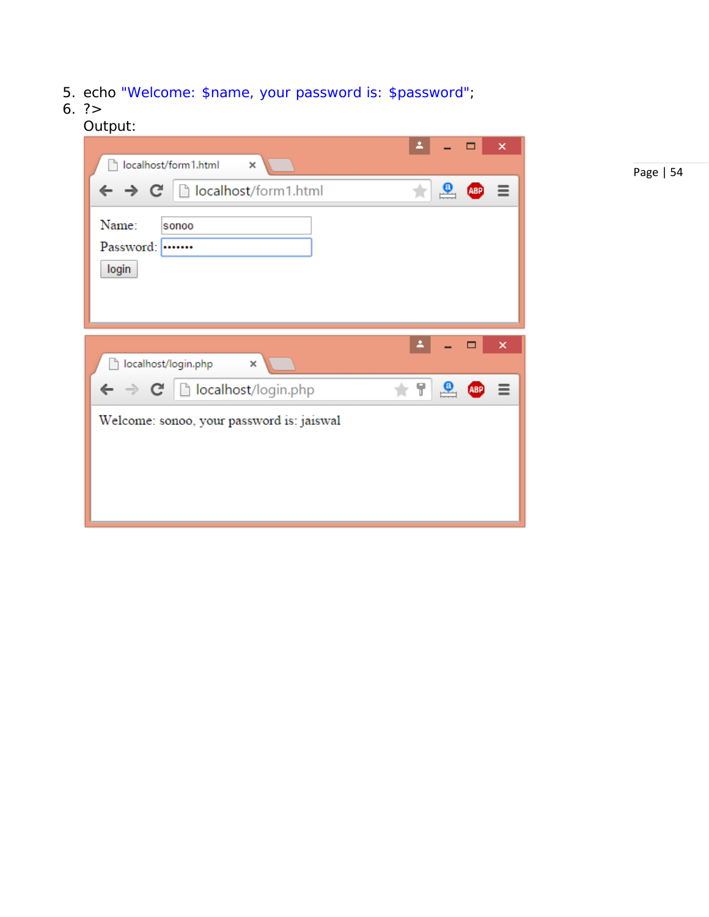- 5. echo "Welcome: \$name, your password is: \$password";
- 6. ?>

#### Output:

| localhost/form1.html          | ×                                                                                        |                         |              |            | ×                         |
|-------------------------------|------------------------------------------------------------------------------------------|-------------------------|--------------|------------|---------------------------|
|                               | $\leftarrow$ $\rightarrow$ $\left\vert C\right\vert$   $\left\vert$ localhost/form1.html |                         | $\bullet$    | <b>ABP</b> | Ξ                         |
| Name:<br>Password:  <br>login | sonoo                                                                                    |                         |              |            |                           |
|                               |                                                                                          |                         |              |            |                           |
| localhost/login.php<br>ħ      | ×                                                                                        |                         |              | $\Box$     | $\boldsymbol{\mathsf{x}}$ |
|                               | $\leftarrow \rightarrow \mathbf{C} \mid \Box$ localhost/login.php                        | $\overline{\mathbb{T}}$ | $\mathbf{P}$ | <b>ABP</b> | Ξ                         |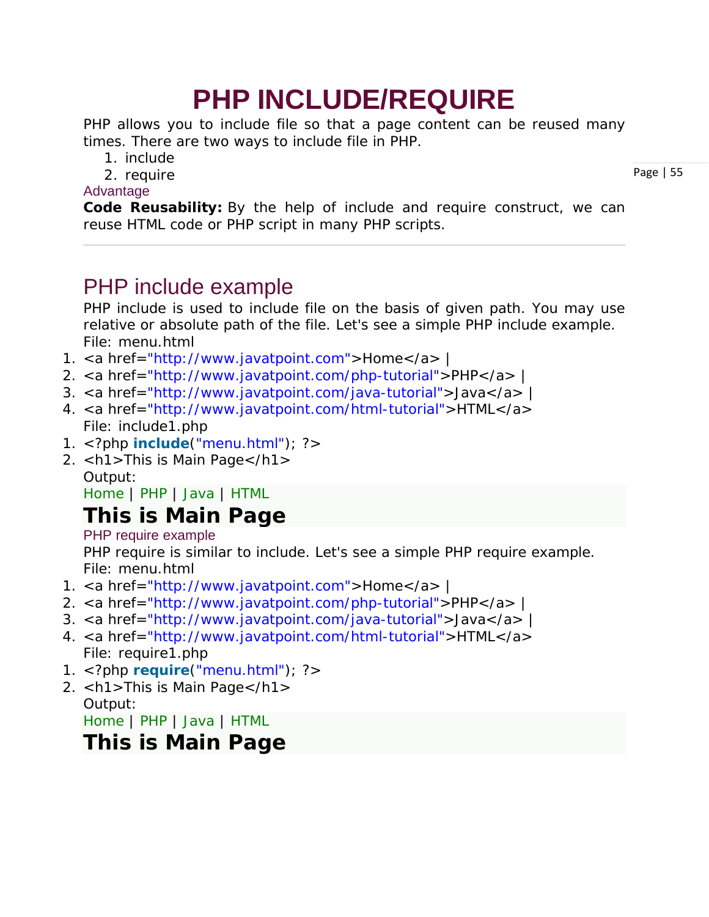# **PHP INCLUDE/REQUIRE**

PHP allows you to include file so that a page content can be reused many times. There are two ways to include file in PHP.

- 1. include
- 2. require

#### Advantage

**Code Reusability:** By the help of include and require construct, we can reuse HTML code or PHP script in many PHP scripts.

### PHP include example

PHP include is used to include file on the basis of given path. You may use relative or absolute path of the file. Let's see a simple PHP include example. *File: menu.html*

- 1. <a href="http://www.javatpoint.com">Home</a> |
- 2. <a href="http://www.javatpoint.com/php-tutorial">PHP</a> |
- 3. <a href="http://www.javatpoint.com/java-tutorial">Java</a> |
- 4. <a href="http://www.javatpoint.com/html-tutorial">HTML</a> *File: include1.php*
- 1. <?php **include**("menu.html"); ?>
- 2. <h1>This is Main Page</h1> Output:

[Home](http://www.javatpoint.com/) | [PHP](http://www.javatpoint.com/php-tutorial) | [Java](http://www.javatpoint.com/java-tutorial) | [HTML](http://www.javatpoint.com/html-tutorial)

### **This is Main Page**

PHP require example

PHP require is similar to include. Let's see a simple PHP require example. *File: menu.html*

- 1. <a href="http://www.javatpoint.com">Home</a> |
- 2. <a href="http://www.javatpoint.com/php-tutorial">PHP</a> |
- 3. <a href="http://www.javatpoint.com/java-tutorial">Java</a> |
- 4. <a href="http://www.javatpoint.com/html-tutorial">HTML</a> *File: require1.php*
- 1. <?php **require**("menu.html"); ?>
- 2. <h1>This is Main Page</h1> Output:

[Home](http://www.javatpoint.com/) | [PHP](http://www.javatpoint.com/php-tutorial) | [Java](http://www.javatpoint.com/java-tutorial) | [HTML](http://www.javatpoint.com/html-tutorial)

### **This is Main Page**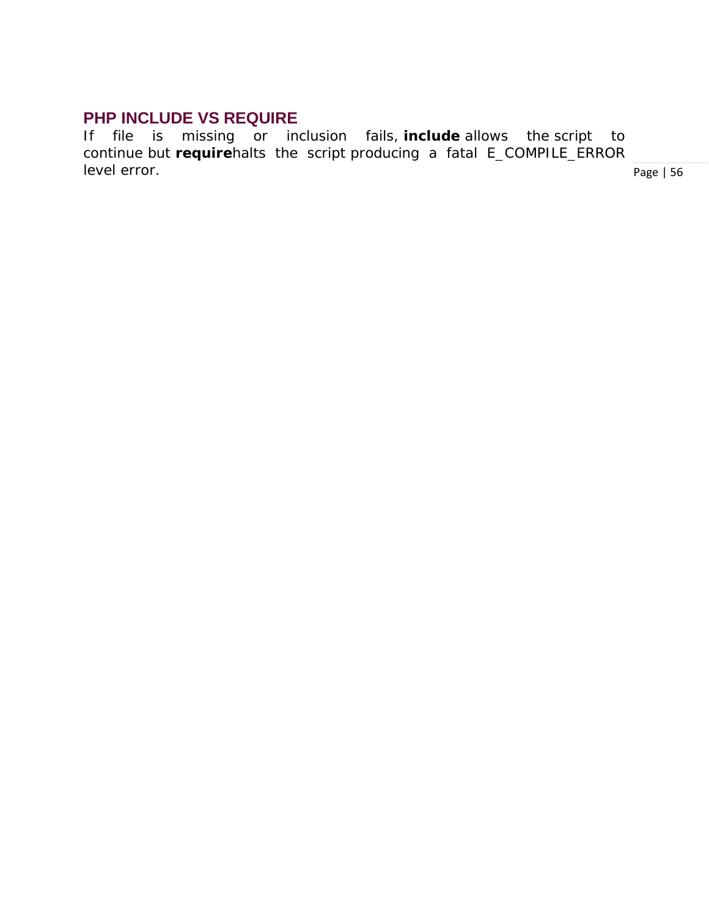#### **PHP INCLUDE VS REQUIRE**

If file is missing or inclusion fails, **include** allows the *script to continue* but **require***halts the script* producing a fatal E\_COMPILE\_ERROR level error.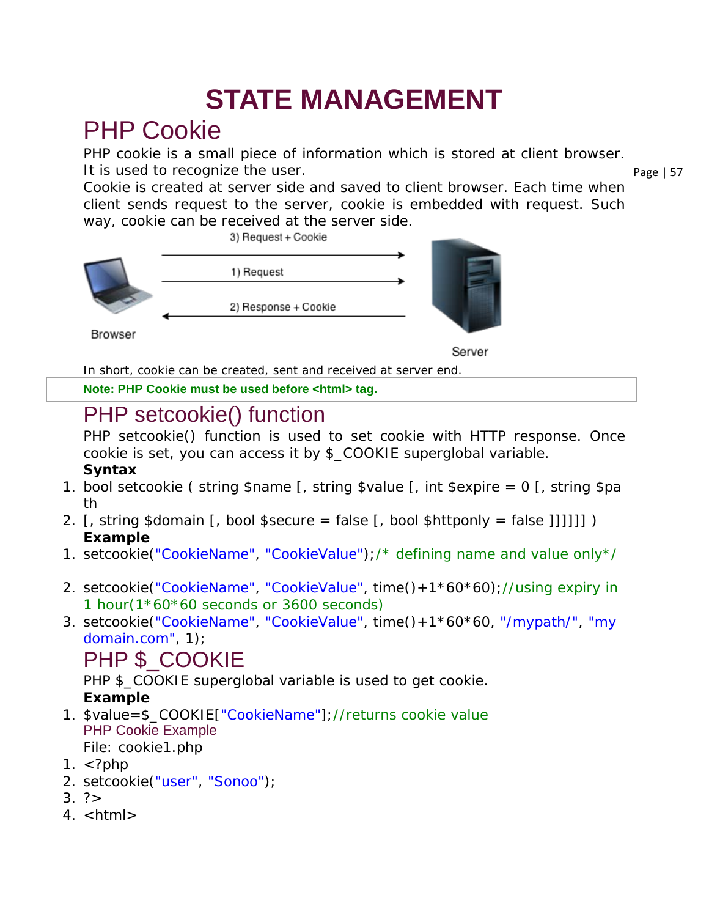# **STATE MANAGEMENT**

## PHP Cookie

PHP cookie is a small piece of information which is stored at client browser. It is used to recognize the user.

Cookie is created at server side and saved to client browser. Each time when client sends request to the server, cookie is embedded with request. Such way, cookie can be received at the server side.



Server

In short, cookie can be created, sent and received at server end.

**Note: PHP Cookie must be used before <html> tag.**

## PHP setcookie() function

PHP setcookie() function is used to set cookie with HTTP response. Once cookie is set, you can access it by \$\_COOKIE superglobal variable.

#### **Syntax**

- 1. bool setcookie ( string \$name [, string \$value [, int \$expire = 0 [, string \$pa th
- 2. [, string \$domain [, bool \$secure = false [, bool \$httponly = false ]]]]]] ) **Example**
- 1. setcookie("CookieName", "CookieValue");/\* defining name and value only\*/
- 2. setcookie("CookieName", "CookieValue", time()+1\*60\*60);//using expiry in 1 hour(1\*60\*60 seconds or 3600 seconds)
- 3. setcookie("CookieName", "CookieValue", time()+1\*60\*60, "/mypath/", "my domain.com", 1);

### PHP \$ COOKIE

PHP \$ COOKIE superglobal variable is used to get cookie. **Example**

- 1. \$value=\$\_COOKIE["CookieName"];//returns cookie value PHP Cookie Example *File: cookie1.php*
- 1.  $\lt$ ?php
- 2. setcookie("user", "Sonoo");
- $3.7$
- $4.$   $|h|$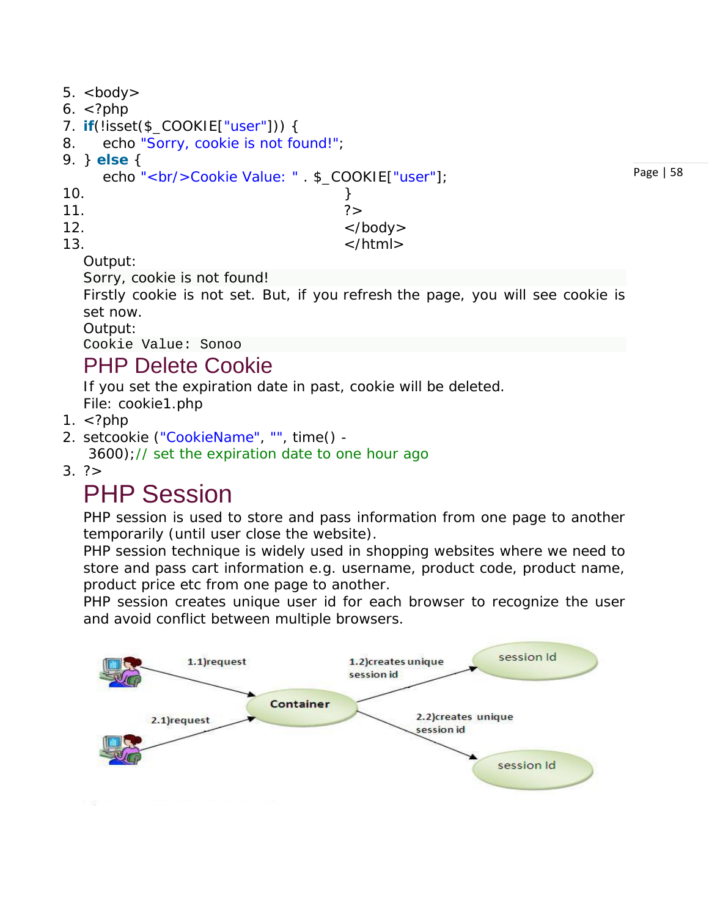```
5. <br/>\ltbody>
6. <?php7. if(!isset($_COOKIE["user"])) { 
8. echo "Sorry, cookie is not found!"; 
9. } else { 
    echo "<br/>cookie Value: " . $_COOKIE["user"];
10. }
11. \frac{1}{2}12. \langle \text{body} \rangle
```
Page | 58

 $13.$   $\langle$  html> Output:

Sorry, cookie is not found!

Firstly cookie is not set. But, if you *refresh* the page, you will see cookie is set now.

Output:

Cookie Value: Sonoo

### PHP Delete Cookie

If you set the expiration date in past, cookie will be deleted. *File: cookie1.php*

- 1.  $\lt$ ?php
- 2. setcookie ("CookieName", "", time() -
- 3600);// set the expiration date to one hour ago
- $3. \frac{2}{3}$

### PHP Session

PHP session is used to store and pass information from one page to another temporarily (until user close the website).

PHP session technique is widely used in shopping websites where we need to store and pass cart information e.g. username, product code, product name, product price etc from one page to another.

PHP session creates unique user id for each browser to recognize the user and avoid conflict between multiple browsers.

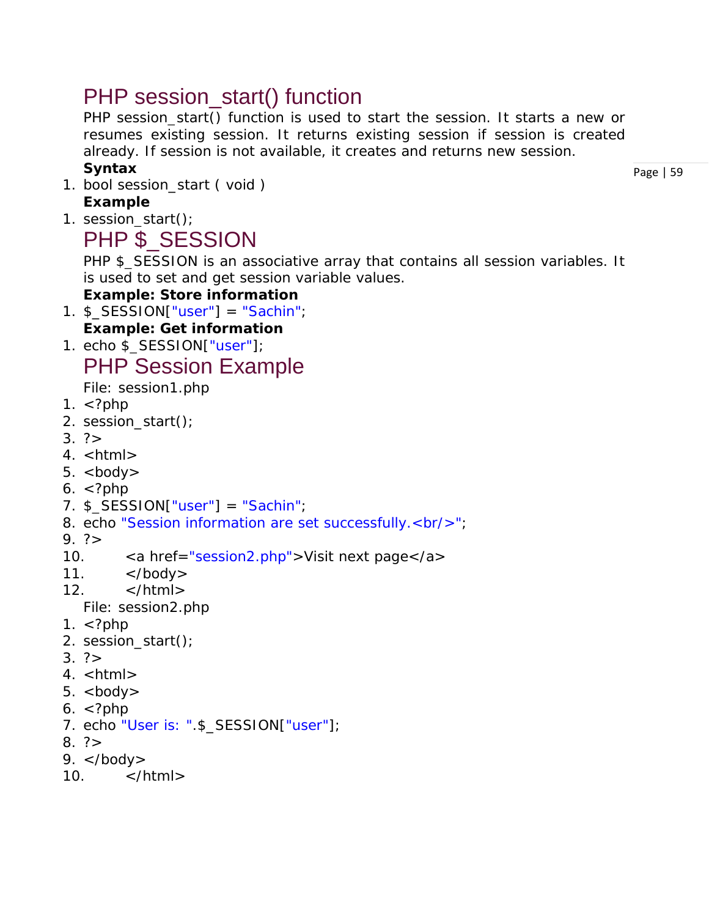### PHP session start() function

PHP session\_start() function is used to start the session. It starts a new or resumes existing session. It returns existing session if session is created already. If session is not available, it creates and returns new session.

#### **Syntax**

1. bool session\_start ( void ) **Example**

#### 1. session\_start();

### PHP \$\_SESSION

PHP \$\_SESSION is an associative array that contains all session variables. It is used to set and get session variable values.

#### **Example: Store information**

- 1. \$\_SESSION["user"] = "Sachin"; **Example: Get information**
- 1. echo \$\_SESSION["user"];

### PHP Session Example

*File: session1.php*

- 1.  $\lt$ ?php
- 2. session\_start();
- $3. ? >$
- $4.$  <html>
- $5.$  <br/> $$
- $6. <$ ?php
- 7. \$\_SESSION["user"] = "Sachin";
- 8. echo "Session information are set successfully.<br/> <br/>br/>";
- $9. ? >$
- 10. <a href="session2.php">Visit next page</a>
- 11.  $\lt$ /body>
- 12.  $\langle$ /html $\rangle$ 
	- *File: session2.php*
- 1.  $\lt$ ?php
- 2. session\_start();
- $3.7$
- 4. <html>
- $5.$  <br/> $\lt$ body>
- $6. <$ ?php
- 7. echo "User is: ".\$\_SESSION["user"];
- $8. ? >$
- 9.  $\lt$ /body>
- $10 \times / \text{html}$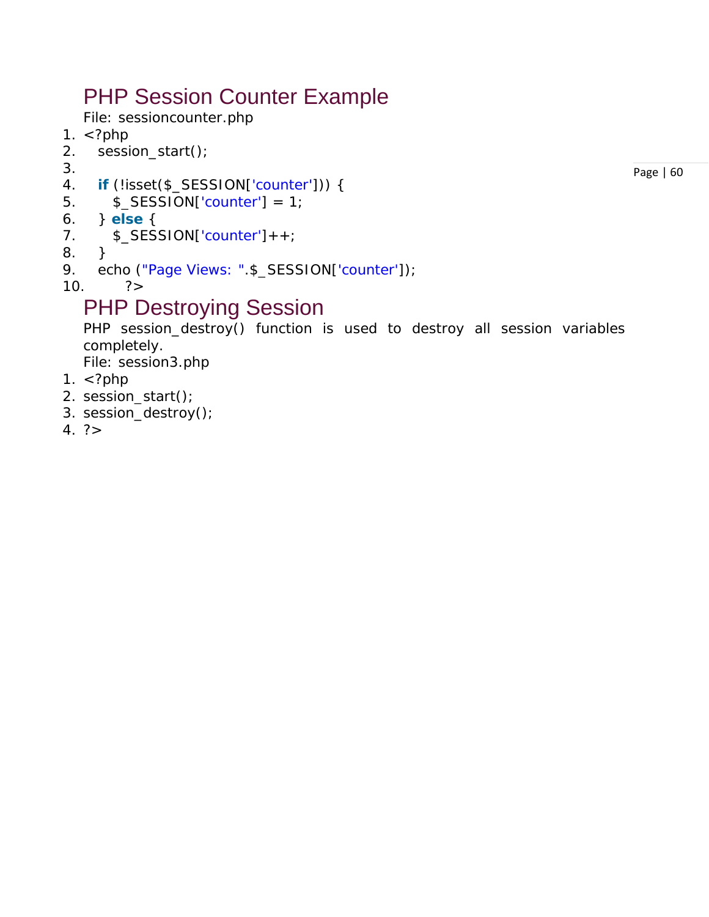## PHP Session Counter Example

*File: sessioncounter.php*

- 1.  $\langle$ ?php
- 2. session\_start();
- 3.
- 4. **if** (!isset(\$\_SESSION['counter'])) {
- 5.  $$$ \_SESSION['counter'] = 1;
- 6. } **else** {
- 7. \$\_SESSION['counter']++;
- 8. }
- 9. echo ("Page Views: ".\$\_SESSION['counter']);
- 10.  $?>$

### PHP Destroying Session

PHP session\_destroy() function is used to destroy all session variables completely. *File: session3.php*

- 1. <?php
- 2. session\_start();
- 3. session\_destroy();
- $4. ? >$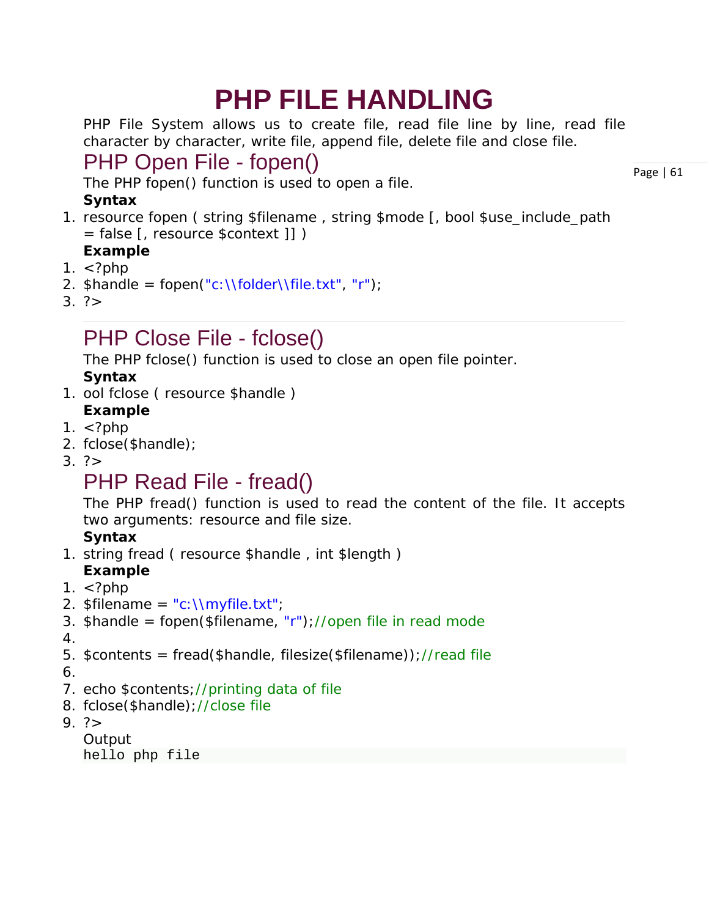# **PHP FILE HANDLING**

PHP File System allows us to create file, read file line by line, read file character by character, write file, append file, delete file and close file.

### PHP Open File - fopen()

The PHP fopen() function is used to open a file.

#### **Syntax**

1. resource fopen ( string \$filename , string \$mode [, bool \$use\_include\_path = false [, resource \$context ]] )

#### **Example**

- 1.  $\langle$ ?php
- 2.  $\mathsf{h}$ andle = fopen("c:\\folder\\file.txt", "r");
- $3.7$

## PHP Close File - fclose()

The PHP fclose() function is used to close an open file pointer. **Syntax**

- 1. ool fclose ( resource \$handle ) **Example**
- 1.  $\lt$ ?php
- 2. fclose(\$handle);
- $3. ? >$

## PHP Read File - fread()

The PHP fread() function is used to read the content of the file. It accepts two arguments: resource and file size.

#### **Syntax**

1. string fread ( resource \$handle , int \$length )

#### **Example**

- 1.  $\lt$ ?php
- 2.  $$filename = "c:\Nmyfile.txt";$
- 3. \$handle = fopen(\$filename, "r");//open file in read mode
- 4.
- 5. \$contents = fread(\$handle, filesize(\$filename));//read file

6.

- 7. echo \$contents;//printing data of file
- 8. fclose(\$handle);//close file
- $9. ? >$

```
Output
hello php file
```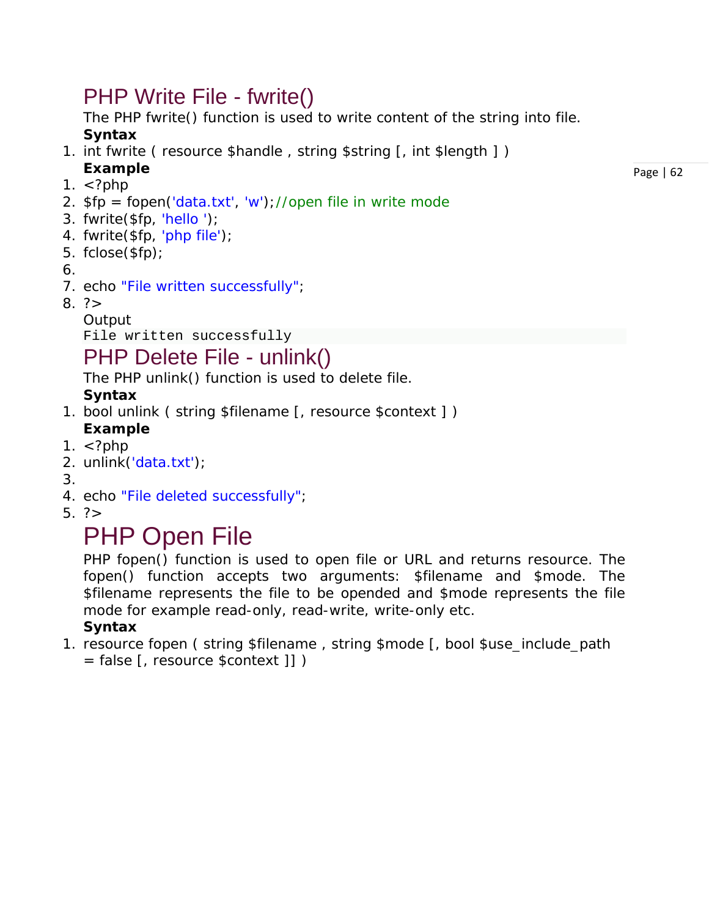### PHP Write File - fwrite()

The PHP fwrite() function is used to write content of the string into file. **Syntax**

- 1. int fwrite ( resource \$handle, string \$string [, int \$length ]) **Example**
- 1.  $\lt$ ?php
- 2.  $$fp = fopen('data.txt', 'w')$ ;//open file in write mode
- 3. fwrite(\$fp, 'hello ');
- 4. fwrite(\$fp, 'php file');
- 5. fclose(\$fp);
- 6.
- 7. echo "File written successfully";
- $8. ? >$ 
	- **Output**

```
File written successfully
```
### PHP Delete File - unlink()

The PHP unlink() function is used to delete file.

#### **Syntax**

1. bool unlink ( string \$filename [, resource \$context ] )

#### **Example**

- 1.  $\langle$ ?php
- 2. unlink('data.txt');
- 3.
- 4. echo "File deleted successfully";
- 5. ?>

# PHP Open File

PHP fopen() function is used to open file or URL and returns resource. The fopen() function accepts two arguments: \$filename and \$mode. The \$filename represents the file to be opended and \$mode represents the file mode for example read-only, read-write, write-only etc.

#### **Syntax**

1. resource fopen ( string \$filename , string \$mode [, bool \$use\_include\_path = false [, resource \$context ]] )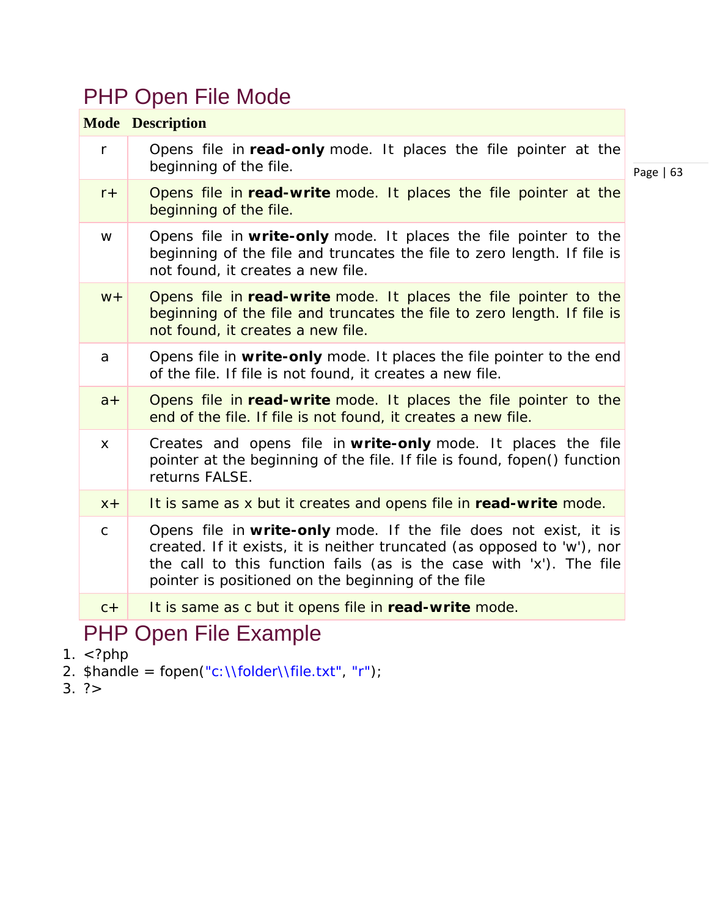## PHP Open File Mode

|             | <b>Mode Description</b>                                                                                                                                                                                                                                                  |             |
|-------------|--------------------------------------------------------------------------------------------------------------------------------------------------------------------------------------------------------------------------------------------------------------------------|-------------|
| $\mathsf r$ | Opens file in read-only mode. It places the file pointer at the<br>beginning of the file.                                                                                                                                                                                | Page $  63$ |
| $r +$       | Opens file in read-write mode. It places the file pointer at the<br>beginning of the file.                                                                                                                                                                               |             |
| W           | Opens file in write-only mode. It places the file pointer to the<br>beginning of the file and truncates the file to zero length. If file is<br>not found, it creates a new file.                                                                                         |             |
| $W +$       | Opens file in read-write mode. It places the file pointer to the<br>beginning of the file and truncates the file to zero length. If file is<br>not found, it creates a new file.                                                                                         |             |
| a           | Opens file in write-only mode. It places the file pointer to the end<br>of the file. If file is not found, it creates a new file.                                                                                                                                        |             |
| $a +$       | Opens file in read-write mode. It places the file pointer to the<br>end of the file. If file is not found, it creates a new file.                                                                                                                                        |             |
| X           | Creates and opens file in write-only mode. It places the file<br>pointer at the beginning of the file. If file is found, fopen() function<br>returns FALSE.                                                                                                              |             |
| $X +$       | It is same as x but it creates and opens file in read-write mode.                                                                                                                                                                                                        |             |
| $\mathsf C$ | Opens file in write-only mode. If the file does not exist, it is<br>created. If it exists, it is neither truncated (as opposed to 'w'), nor<br>the call to this function fails (as is the case with 'x'). The file<br>pointer is positioned on the beginning of the file |             |
| $C +$       | It is same as c but it opens file in read-write mode.                                                                                                                                                                                                                    |             |
|             | DUD Onon Eilo Evomplo                                                                                                                                                                                                                                                    |             |

### PHP Open File Example

- 1.  $\langle$ ?php
- 2. \$handle = fopen("c:\\folder\\file.txt", "r");
- $3. ? >$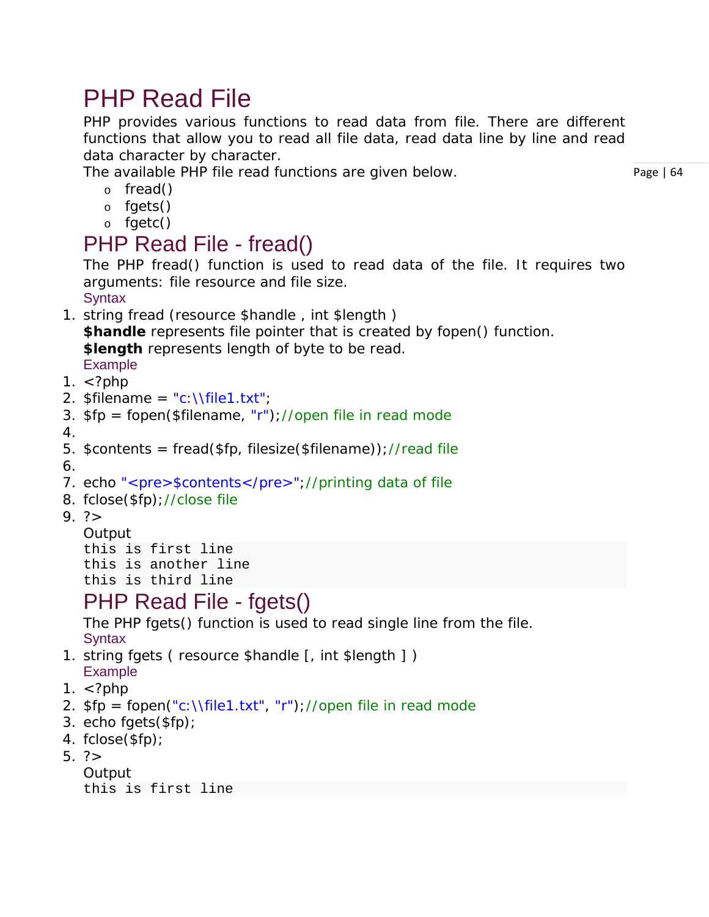## PHP Read File

PHP provides various functions to read data from file. There are different functions that allow you to read all file data, read data line by line and read data character by character.

The available PHP file read functions are given below.

- o fread()
- o fgets()
- o fgetc()

### PHP Read File - fread()

The PHP fread() function is used to read data of the file. It requires two arguments: file resource and file size.

**Syntax** 

- 1. string fread (resource \$handle , int \$length ) **\$handle** represents file pointer that is created by fopen() function. **\$length** represents length of byte to be read. Example
- 1.  $\lt$ ?php
- 2.  $$filename = "c:\left\|el1.txt"\right\}$
- 3.  $$fp = fopen($filename, "r")$ ;//open file in read mode
- 4.
- 5. \$contents = fread(\$fp, filesize(\$filename));//read file

6.

- 7. echo "<pre>\$contents</pre>";//printing data of file
- 8. fclose(\$fp);//close file
- $9. ? >$

```
Output
this is first line
this is another line
this is third line
```
### PHP Read File - fgets()

The PHP fgets() function is used to read single line from the file. **Syntax** 

- 1. string fgets ( resource \$handle [, int \$length ] ) Example
- 1.  $\lt$ ?php
- 2.  $$fp = fopen("c:\Nfile1.txt", "r")$ ;//open file in read mode
- 3. echo fgets(\$fp);
- 4. fclose(\$fp);
- 5. ?>
	- **Output**

```
this is first line
```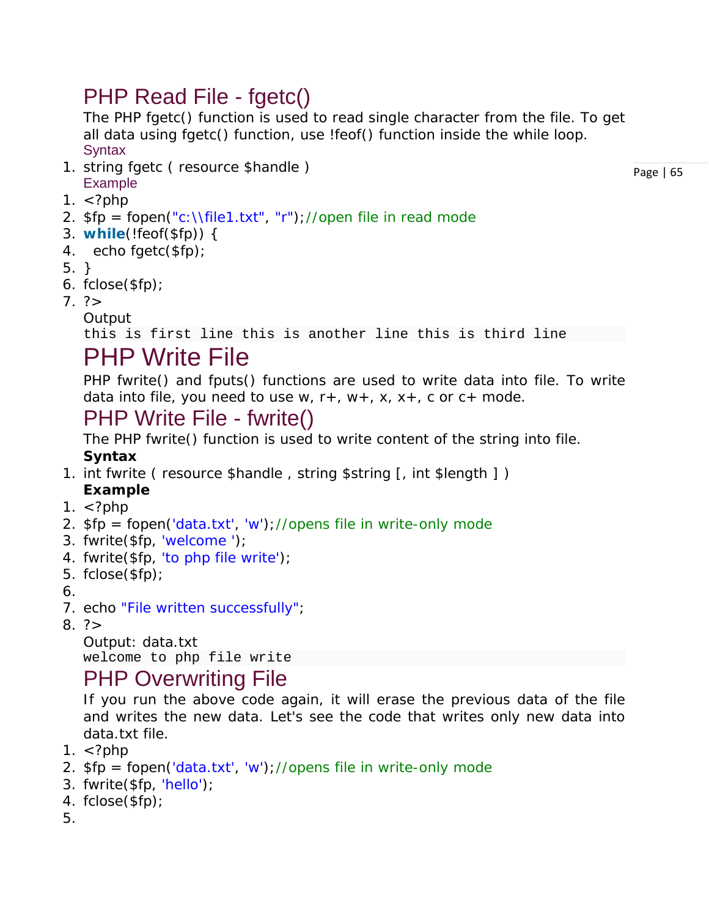### PHP Read File - fgetc()

The PHP fgetc() function is used to read single character from the file. To get all data using fgetc() function, use !feof() function inside the while loop. **Syntax** 

1. string fgetc ( resource \$handle ) Example

Page | 65

- 1.  $\lt$ ?php
- 2.  $$fp = fopen("c:\Nfile1.txt", "r")$ ;//open file in read mode
- 3. **while**(!feof(\$fp)) {
- 4. echo fgetc(\$fp);
- 5. }
- 6. fclose(\$fp);
- $7.$ ?>
	- **Output**

this is first line this is another line this is third line

## PHP Write File

PHP fwrite() and fputs() functions are used to write data into file. To write data into file, you need to use w,  $r+$ ,  $w+$ ,  $x$ ,  $x+$ , c or  $c+$  mode.

### PHP Write File - fwrite()

The PHP fwrite() function is used to write content of the string into file. **Syntax**

- 1. int fwrite ( resource \$handle, string \$string [, int \$length ])
	- **Example**
- 1.  $\lt$ ?php
- 2.  $$fp = fopen('data.txt', 'w'); // opens file in write-only mode$
- 3. fwrite(\$fp, 'welcome ');
- 4. fwrite(\$fp, 'to php file write');
- 5. fclose(\$fp);
- 6.
- 7. echo "File written successfully";
- $8. ? >$

Output: data.txt welcome to php file write

### PHP Overwriting File

If you run the above code again, it will erase the previous data of the file and writes the new data. Let's see the code that writes only new data into data.txt file.

- 1.  $\lt$ ?php
- 2.  $$fp = fopen('data.txt', 'w'); // opens file in write-only mode$
- 3. fwrite(\$fp, 'hello');
- 4. fclose(\$fp);
- 5.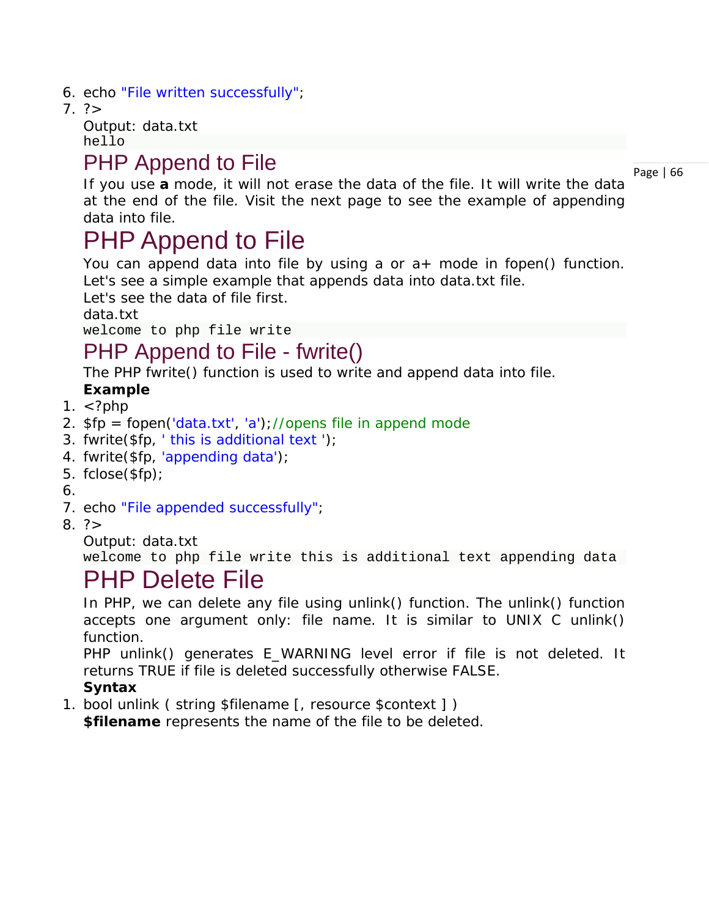- 6. echo "File written successfully";
- $7. ? >$

Output: data.txt hello

### PHP Append to File

Page | 66

If you use **a** mode, it will not erase the data of the file. It will write the data at the end of the file. Visit the next page to see the example of appending data into file.

## PHP Append to File

You can append data into file by using a or a+ mode in fopen() function. Let's see a simple example that appends data into data.txt file.

Let's see the data of file first.

data.txt

welcome to php file write

### PHP Append to File - fwrite()

The PHP fwrite() function is used to write and append data into file.

#### **Example**

- 1.  $\lt$ ?php
- 2.  $$fp = fopen('data.txt', 'a')$ ;//opens file in append mode
- 3. fwrite( $$fp, 'this is additional text ');$
- 4. fwrite(\$fp, 'appending data');
- 5. fclose(\$fp);
- 6.
- 7. echo "File appended successfully";
- $8. ? >$

Output: data.txt

welcome to php file write this is additional text appending data

## PHP Delete File

In PHP, we can delete any file using unlink() function. The unlink() function accepts one argument only: file name. It is similar to UNIX C unlink() function.

PHP unlink() generates E\_WARNING level error if file is not deleted. It returns TRUE if file is deleted successfully otherwise FALSE.

#### **Syntax**

1. bool unlink ( string \$filename [, resource \$context ] )

**\$filename** represents the name of the file to be deleted.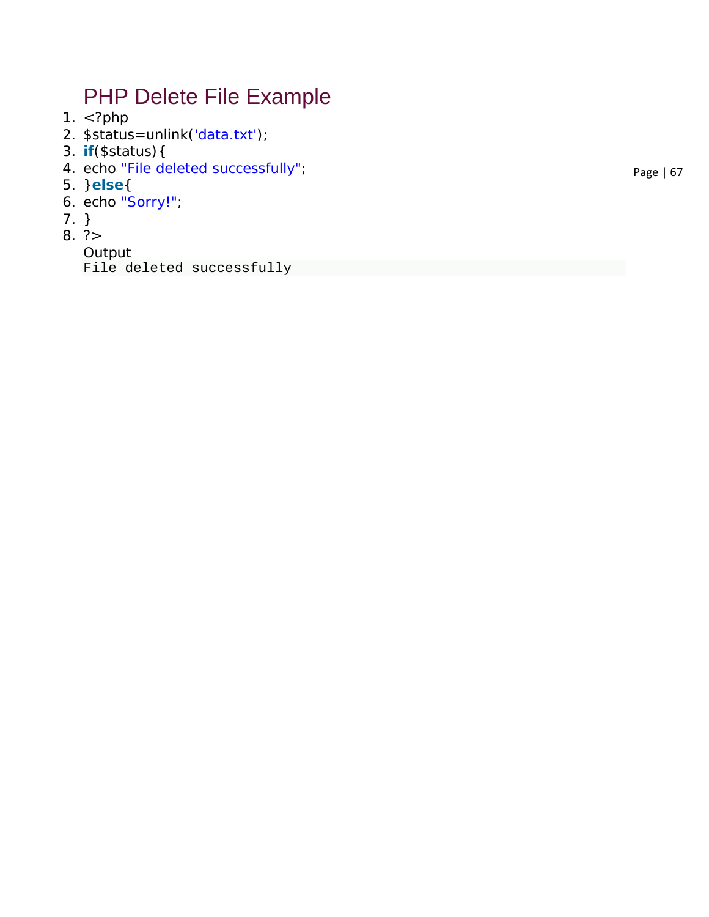### PHP Delete File Example

- 1.  $\langle$ ?php
- *2. \$status=unlink('data.txt');*
- 3. **if**(\$status){
- 4. echo "File deleted successfully" ;
- 5. }**else** {
- 6. echo "Sorry!" ;
- 7. }
- 8. ?>

Output File deleted successfully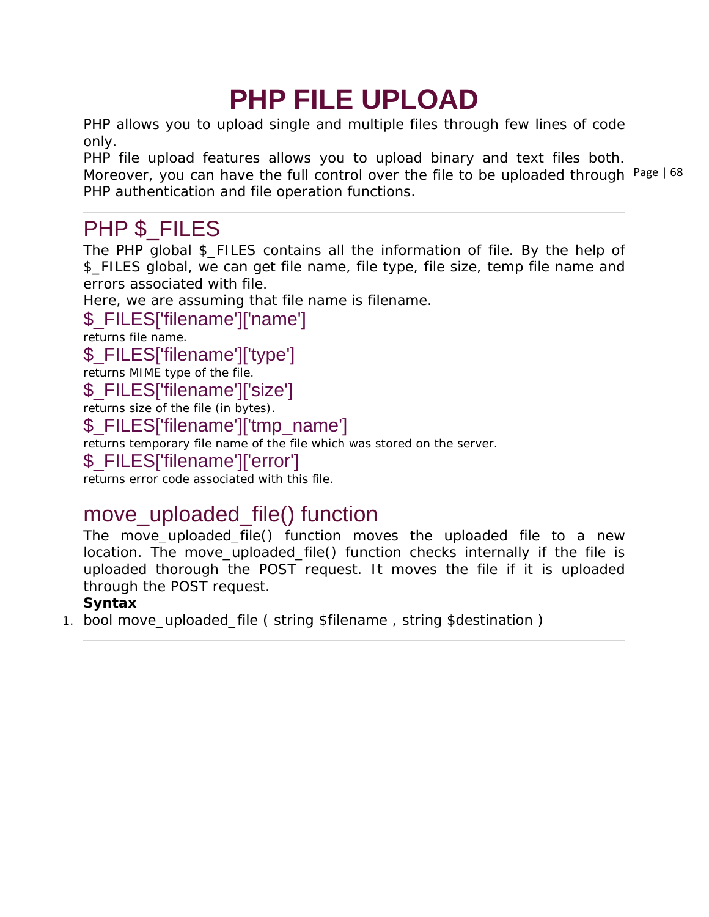# **PHP FILE UPLOAD**

PHP allows you to upload single and multiple files through few lines of code only.

Moreover, you can have the full control over the file to be uploaded through Page | 68 PHP file upload features allows you to upload binary and text files both. PHP authentication and file operation functions.

### PHP \$ FILES

The PHP global \$\_FILES contains all the information of file. By the help of \$\_FILES global, we can get file name, file type, file size, temp file name and errors associated with file.

Here, we are assuming that file name is *filename*.

#### \$\_FILES['filename']['name']

returns file name.

#### \$\_FILES['filename']['type']

returns MIME type of the file.

#### \$\_FILES['filename']['size']

returns size of the file (in bytes).

#### \$\_FILES['filename']['tmp\_name']

returns temporary file name of the file which was stored on the server.

#### \$\_FILES['filename']['error']

returns error code associated with this file.

### move\_uploaded\_file() function

The move\_uploaded\_file() function moves the uploaded file to a new location. The move\_uploaded\_file() function checks internally if the file is uploaded thorough the POST request. It moves the file if it is uploaded through the POST request.

#### **Syntax**

1. bool move\_uploaded\_file ( string \$filename , string \$destination )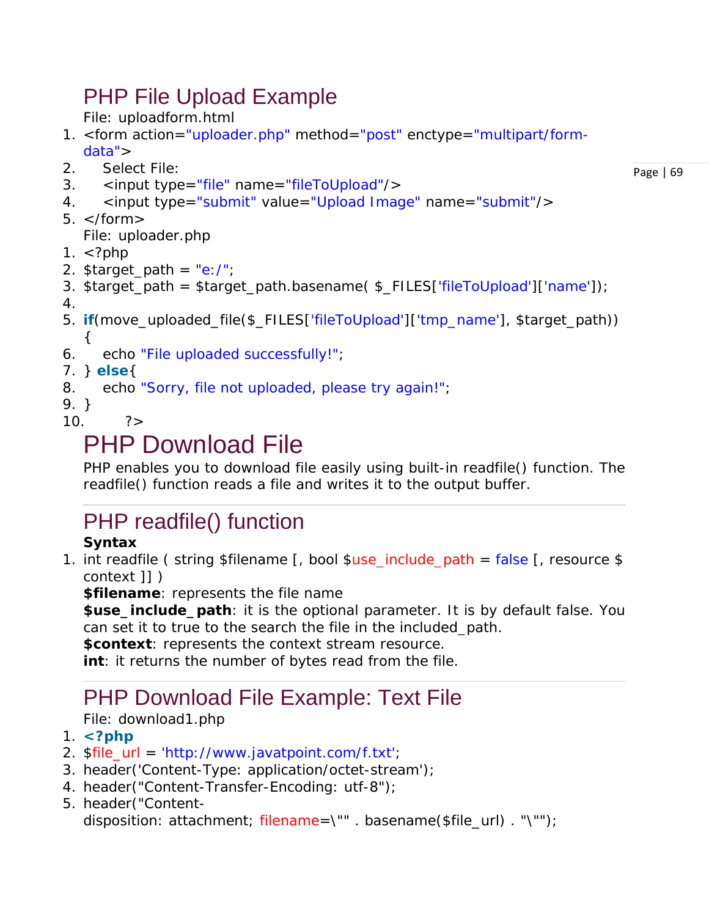## PHP File Upload Example

*File: uploadform.html*

- 1. <form action="uploader.php" method="post" enctype="multipart/formdata">
- 2. Select File:
- 3. <input type="file" name="fileToUpload"/>
- 4. 
cinput type="submit" value="Upload Image" name="submit"/>
- $5. <$ /form $>$

*File: uploader.php*

- 1.  $\lt$ ?php
- 2. \$target\_path = "e:/";
- 3. \$target\_path = \$target\_path.basename( \$\_FILES['fileToUpload']['name']);
- 4.
- 5. **if**(move\_uploaded\_file(\$\_FILES['fileToUpload']['tmp\_name'], \$target\_path)) {
- 6. echo "File uploaded successfully!";
- 7. } **else**{
- 8. echo "Sorry, file not uploaded, please try again!";
- 9. }
- $10.$   $?$

# PHP Download File

PHP enables you to download file easily using built-in readfile() function. The readfile() function reads a file and writes it to the output buffer.

## PHP readfile() function

#### **Syntax**

1. int readfile ( string \$filename [, bool \$use\_include\_path = false [, resource \$ context ]] )

**\$filename**: represents the file name

**\$use\_include\_path**: it is the optional parameter. It is by default false. You can set it to true to the search the file in the included\_path.

**\$context**: represents the context stream resource.

**int**: it returns the number of bytes read from the file.

## PHP Download File Example: Text File

#### *File: download1.php*

- 1. **<?php**
- 2. \$file\_url = 'http://www.javatpoint.com/f.txt';
- 3. header('Content-Type: application/octet-stream');
- 4. header("Content-Transfer-Encoding: utf-8");
- 5. header("Content-

disposition: attachment; filename=\"" . basename(\$file\_url) . "\"");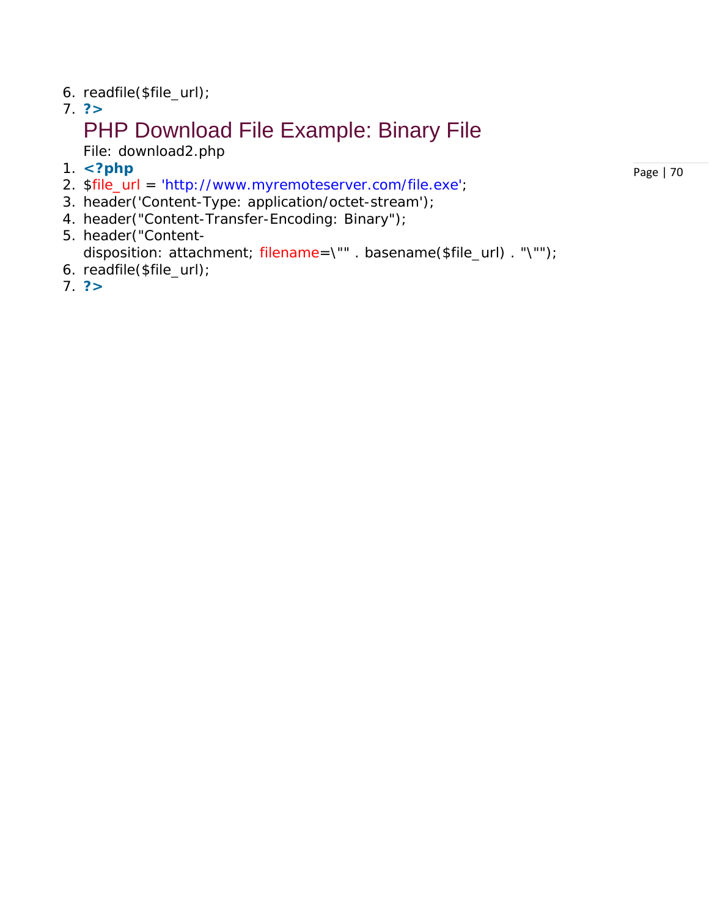- 6. readfile(\$file\_url);
- 7. **?>**

## PHP Download File Example: Binary File

*File: download2.php*

- 1. **<?php**
- 2. \$file\_url = 'http://www.myremoteserver.com/file.exe';
- 3. header('Content-Type: application/octet-stream');
- 4. header("Content-Transfer-Encoding: Binary");
- 5. header("Contentdisposition: attachment; filename=\"" . basename(\$file\_url) . "\"");
- 6. readfile(\$file\_url);
- 7. **?>**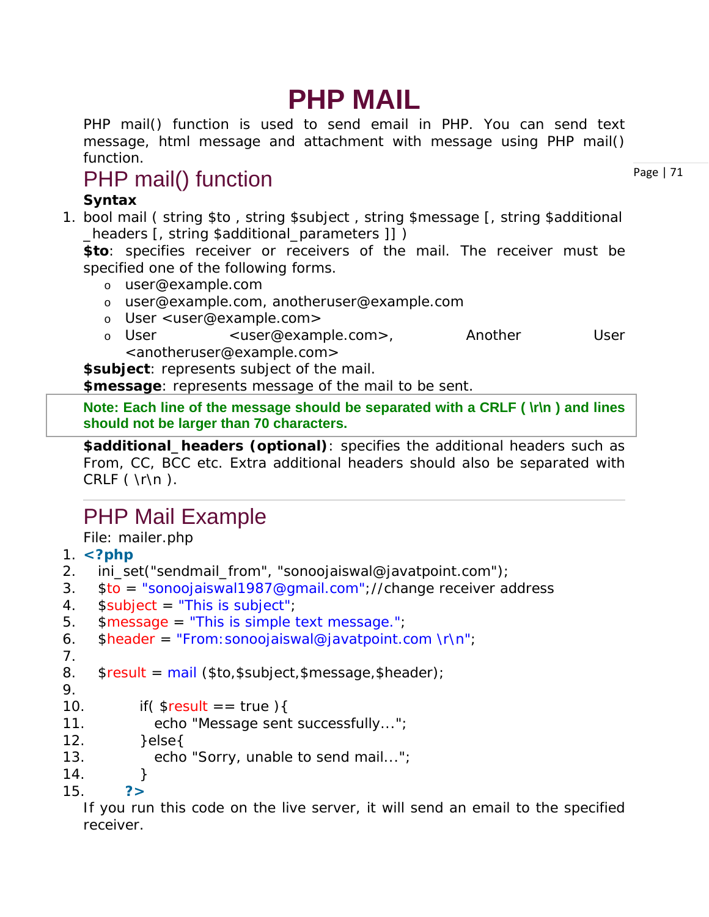# **PHP MAIL**

PHP mail() function is used to send email in PHP. You can send text message, html message and attachment with message using PHP mail() function.

## PHP mail() function

#### **Syntax**

1. bool mail ( string \$to , string \$subject , string \$message [, string \$additional \_headers [, string \$additional\_parameters ]] )

**\$to**: specifies receiver or receivers of the mail. The receiver must be specified one of the following forms.

- o user@example.com
- o user@example.com, anotheruser@example.com
- o User <user@example.com>
- o User <user@example.com>, Another User <anotheruser@example.com>

**\$subject**: represents subject of the mail.

**\$message**: represents message of the mail to be sent.

**Note: Each line of the message should be separated with a CRLF ( \r\n ) and lines should not be larger than 70 characters.**

**\$additional\_headers (optional)**: specifies the additional headers such as From, CC, BCC etc. Extra additional headers should also be separated with CRLF ( \r\n ).

## PHP Mail Example

*File: mailer.php*

- 1. **<?php**
- 2. ini\_set("sendmail\_from", "sonoojaiswal@javatpoint.com");
- 3. \$to = "sonoojaiswal1987@gmail.com";//change receiver address
- 4. \$subject = "This is subject";
- 5. \$message = "This is simple text message.";

```
6. $header = "From:sonojaiswal@javatpoint.com \r\n"
```

```
7.
```

```
8. $result = mail ($to,$subject,$message,$header);
```
9.

```
10. if( \text{S}result == true ){
```
- 11. echo "Message sent successfully...";
- $12.$  }else $\{$
- 13. echo "Sorry, unable to send mail...";
- 14. } 15. **?>**

If you run this code on the live server, it will send an email to the specified receiver.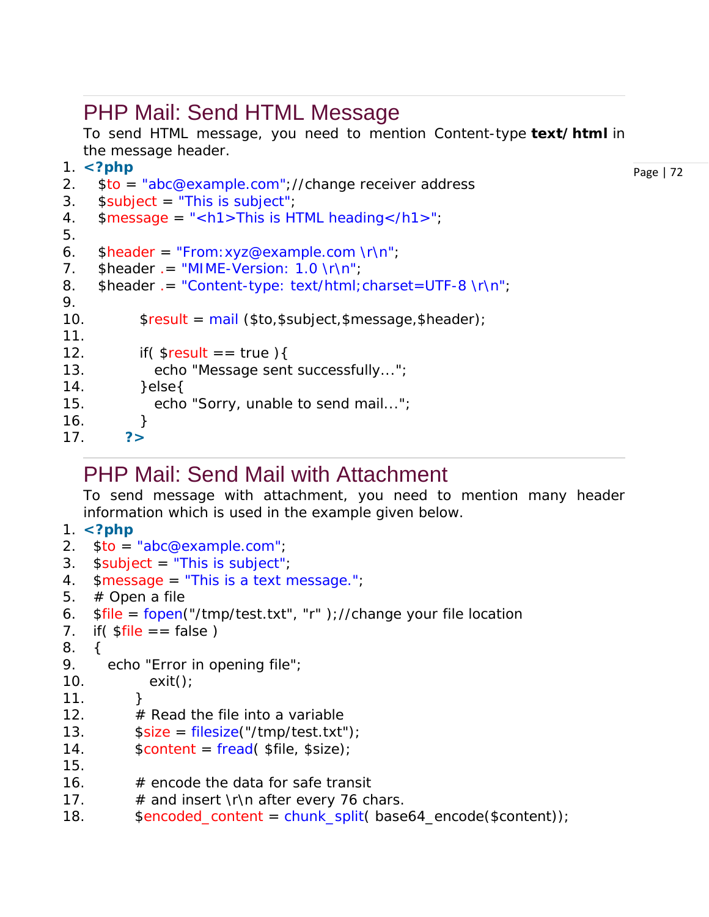### PHP Mail: Send HTML Message

To send HTML message, you need to mention Content-type **text/html** in the message header.

```
1. <?php
```

```
2. $to = "abc@example.com";//change receiver address
```

```
3. $subject = "This is subject";
```

```
4. $message = "<h1>This is HTML heading </math>
```

```
5.
```
9.

11.

```
6. \delta header = "From: xyz@example.com \r\n";
```

```
7. \sinh(\theta) = \sinh(\theta) - \sinh(\theta) \the sheader . = "MIME-Version: 1.0 \r\n";
```

```
8. $header .= "Content-type: text/html; charset=UTF-8 \r\n";
```

```
10. $result = mail ($to,$subject,$message,$header);
```

```
12. if($result == true){
```

```
13. echo "Message sent successfully...";
```

```
14. }else{
```

```
15. echo "Sorry, unable to send mail...";
```

```
16. }
17. ?>
```
### PHP Mail: Send Mail with Attachment

To send message with attachment, you need to mention many header information which is used in the example given below.

```
1. <?php 
2. $to = "abc@example.com"; 
3. $subject = "This is subject"; 
4. smessage = "This is a text message."5. # Open a file
6. $file = fopen("tmp/test.txt", "r");//change your file location
7. if \text{5} if \text{5} \text{6} = \text{6} \text{6} \text{7}8. { 
9. echo "Error in opening file"; 
10. exit(); 
11. }
12. \# Read the file into a variable
13. $size = filesize("tmp/test.txt");14. \text{Scontent} = \text{fread}(\text{$file, $size});
15.
16. \# encode the data for safe transit
17. \# and insert \r\n after every 76 chars.
18. $encoded_content = chunk_split( base64_encode($content));
```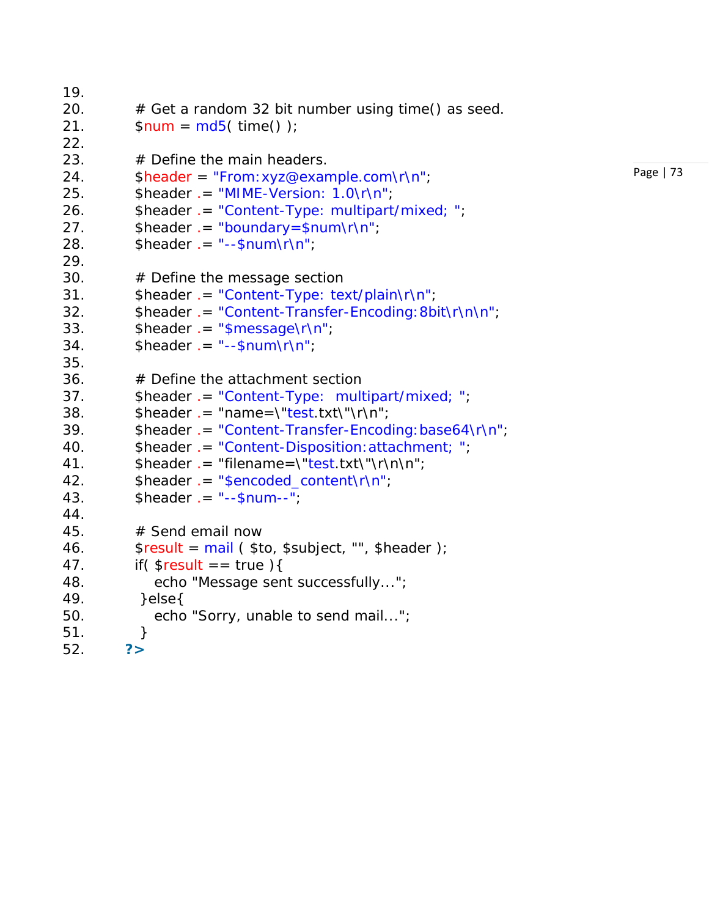```
19. 
20. 
         # Get
a random 32 bit number using time() as seed. 
21. 
         $num = md5 ( time() );
22. 
23. 
         # Define the main headers. 
24. 
         $header
= "From:xyz@example.com\r\n"
; 
25. $header
.
= "MIME
-Version: 1.0\r\n"
; 
26. Sheader .= "Content-Type: multipart/mixed; ";
27. $header .= "boundary=$num\r\n";
28. $header
.
=
"--$num\r\n"
; 
29. 
30. 
         # Define the message section 
31. Sheader = "Content-Type: text/plain\r\n";
32. $header .= "Content-Transfer-Encoding:8bit\r\n\n";
33. $header .= "$message\r\n";
34. $header
.
=
"--$num\r\n"
; 
35. 
36. 
         # Define the attachment section 
37. $header
.
= "Content
-Type: multipart/mixed;
"
; 
38. $header .= "name=\"test.txt\"\r\n";
39. $header
.
= "Content
-Transfer
-Encoding:base64\r\n"
; 
40. $header
.
= "Content
-Disposition:attachment;
"
; 
41. $header
.
= "filename=
\"test.txt\"
\r\n\n"; 
42. $header .= "$encoded_content\r\n";
43. $header
.
=
"--$num
-
-
"
; 
44. 
45. 
         # Send email now 
46. 
         $result
= mail
( $to, $subject, "", $header ); 
47.if($result == true){
48. echo "Message sent successfully..."; 
49. }else{ 
50. echo "Sorry, unable to send mail...";
51. 
          } 
52. ?>
```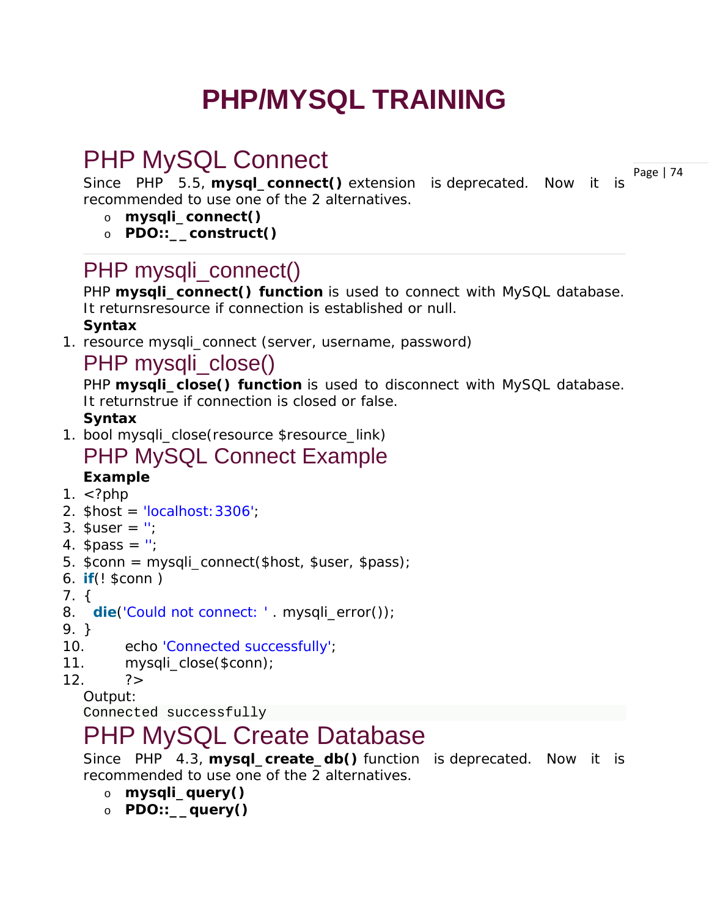# **PHP/MYSQL TRAINING**

## PHP MySQL Connect

Page | 74 Since PHP 5.5, **mysql\_connect()** extension is *deprecated*. Now it is recommended to use one of the 2 alternatives.

- o **mysqli\_connect()**
- o **PDO::\_\_construct()**

### PHP mysqli\_connect()

PHP **mysqli\_connect() function** is used to connect with MySQL database. It returns*resource* if connection is established or *null*. **Syntax**

1. resource mysqli\_connect (server, username, password)

### PHP mysqli\_close()

PHP **mysqli close() function** is used to disconnect with MySQL database. It returns*true* if connection is closed or *false*.

#### **Syntax**

1. bool mysqli\_close(resource \$resource\_link)

# PHP MySQL Connect Example

- **Example**
- 1.  $\lt$ ?php
- 2.  $$host = 'localhost: 3306':$
- 3.  $Suser = ''$ ;
- 4.  $\text{spass} = "$ ;
- 5. \$conn = mysqli\_connect(\$host, \$user, \$pass);
- 6. **if**(! \$conn )
- 7. {
- 8. **die**('Could not connect: ' . mysqli\_error());
- 9. }
- 10. echo 'Connected successfully';
- 11. mysqli close(\$conn);
- $12.$   $?$

#### Output:

Connected successfully

## PHP MySQL Create Database

Since PHP 4.3, **mysql\_create\_db()** function is *deprecated*. Now it is recommended to use one of the 2 alternatives.

- o **mysqli\_query()**
- o **PDO::\_\_query()**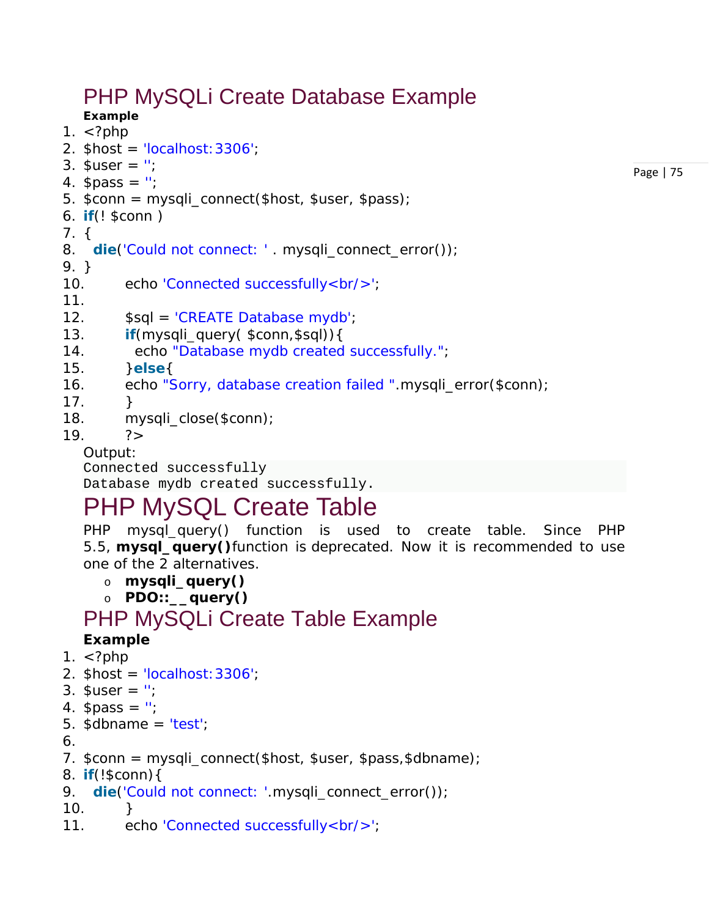## PHP MySQLi Create Database Example

**Example** 1.  $\lt$ ?php

- 2.  $$host = 'localhost: 3306':$
- 3.  $\$$ user = ";
- 4.  $spass = "$ ;
- 5. \$conn = mysqli\_connect(\$host, \$user, \$pass);
- 6. **if**(! \$conn )

#### 7. {

8. **die**('Could not connect: ' . mysqli\_connect\_error());

9. }

- 10. echo 'Connected successfully<br/>>ty>';
- 11.
- 12. \$sql = 'CREATE Database mydb';
- 13. **if**(mysqli\_query( \$conn,\$sql)){
- 14. echo "Database mydb created successfully.";
- 15. }**else**{
- 16. echo "Sorry, database creation failed ".mysqli\_error(\$conn);
- $17.$  }
- 18. mysqli\_close(\$conn);

#### $19. 7 >$

#### Output:

Connected successfully

Database mydb created successfully.

## PHP MySQL Create Table

PHP mysql\_query() function is used to create table. Since PHP 5.5, **mysql\_query()**function is *deprecated*. Now it is recommended to use one of the 2 alternatives.

Page | 75

- o **mysqli\_query()**
- o **PDO::\_\_query()**

### PHP MySQLi Create Table Example

#### **Example**

- 1.  $\lt$ ?php
- 2.  $$host = 'localhost: 3306';$
- 3.  $\$$ user = ":
- 4.  $spass = "$ ;
- 5.  $\delta$ dbname = 'test';
- 6.
- 7. \$conn = mysqli\_connect(\$host, \$user, \$pass,\$dbname);
- 8. **if**(!\$conn){
- 9. **die**('Could not connect: '.mysqli\_connect\_error());
- $10.$  }
- 11. echo 'Connected successfully<br/>';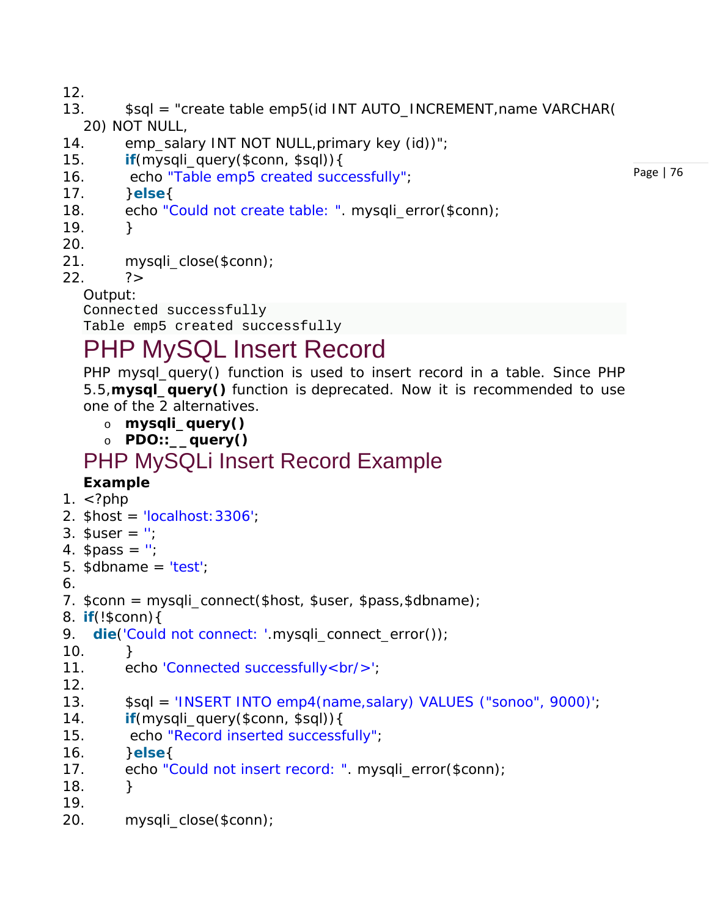12.

- 13. \$sql = "create table emp5(id INT AUTO\_INCREMENT,name VARCHAR( 20) NOT NULL,
- 14. emp\_salary INT NOT NULL, primary key (id))";
- 15. **if**(mysqli\_query(\$conn, \$sql)){
- 16. echo "Table emp5 created successfully";
- 17. }**else**{
- 18. echo "Could not create table: ". mysqli\_error(\$conn);
- $19.$  }
- 20.
- 21. mysqli\_close(\$conn);
- $22.$   $?$

Output:

Connected successfully

Table emp5 created successfully

## PHP MySQL Insert Record

PHP mysql\_query() function is used to insert record in a table. Since PHP 5.5,**mysql\_query()** function is *deprecated*. Now it is recommended to use one of the 2 alternatives.

- o **mysqli\_query()**
- o **PDO::\_\_query()**

# PHP MySQLi Insert Record Example

#### **Example**

- 1.  $\lt$ ?php
- 2. \$host = 'localhost:3306';
- 3.  $\$$ user = ";
- 4.  $spass = "$ ;
- 5.  $\delta$ dbname = 'test';
- 6.

```
7. sconn = mysqli connect(shost, Suser, Spass, Sdbname);
```
- 8. **if**(!\$conn){
- 9. **die**('Could not connect: '.mysqli\_connect\_error());
- $10.$  }
- 11. echo 'Connected successfully<br/>';
- 12.
- 13. \$sql = 'INSERT INTO emp4(name,salary) VALUES ("sonoo", 9000)';
- 14. **if**(mysqli\_query(\$conn, \$sql)){
- 15. echo "Record inserted successfully";
- 16. }**else**{
- 17. echo "Could not insert record: ". mysqli\_error(\$conn);
- 18. }
- 19.
- 20. mysqli\_close(\$conn);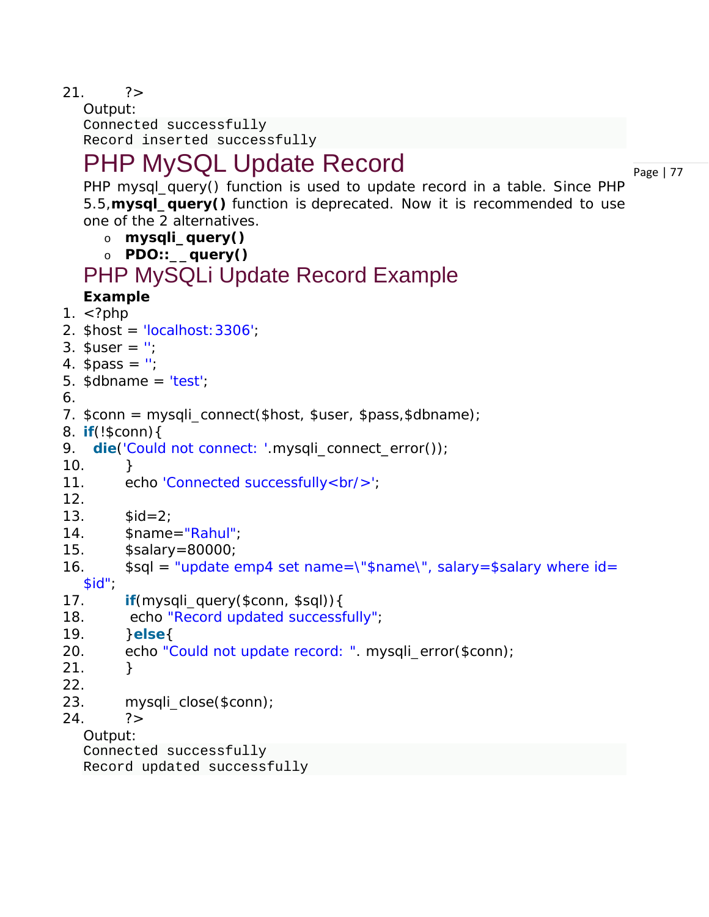$21.$   $?$ 

Output: Connected successfully Record inserted successfully

## PHP MySQL Update Record

Page | 77

PHP mysql\_query() function is used to update record in a table. Since PHP 5.5,**mysql\_query()** function is *deprecated*. Now it is recommended to use one of the 2 alternatives.

- o **mysqli\_query()**
- o **PDO::\_\_query()**

### PHP MySQLi Update Record Example

#### **Example**

```
1. \lt?php
```
- 2.  $$host = 'localhost: 3306';$
- 3.  $\$$ user = ";
- 4.  $\text{spass} = \text{''}$ ;
- 5.  $\delta$ dbname = 'test';
- 6.
- 7.  $sconn = mysqli connect(shost, Suser, Spass, Sdbname);$
- 8. **if**(!\$conn){

```
9. die('Could not connect: '.mysqli_connect_error());
```
- $10.$  }
- 11. echo 'Connected successfully<br/>>';
- 12.
- 13.  $$id=2$ ;
- 14. \$name="Rahul";
- 15. \$salary=80000;
- 16.  $\$sq' = "update emp4 set name='"name", salary = $salary where id =$ 
	- $$id"$ ;
- 17. **if**(mysqli\_query(\$conn, \$sql)){
- 18. echo "Record updated successfully";
- 19. }**else**{
- 20. echo "Could not update record: ". mysqli\_error(\$conn);
- $21.$  }
- 22.
- 23. mysqli\_close(\$conn);
- $24.$   $?$

Output:

Connected successfully

Record updated successfully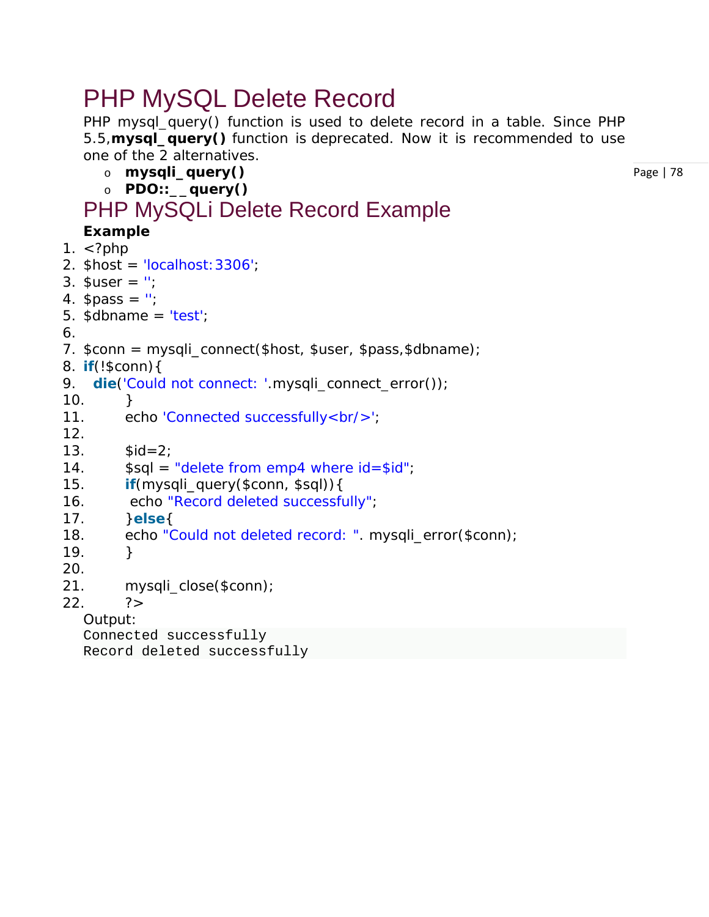## PHP MySQL Delete Record

PHP mysql\_query() function is used to delete record in a table. Since PHP 5.5,**mysql\_query()** function is *deprecated*. Now it is recommended to use one of the 2 alternatives.

- o **mysqli\_query()**
- o **PDO::\_\_query()**

#### PHP MySQLi Delete Record Example **Example**

Page | 78

- 1.  $\langle$ ?php
- 2. \$host = 'localhost:3306';
- 3.  $\$$ user = ";
- 4.  $$pass = ";$
- 5.  $\delta$ dbname = 'test';
- 6.
- 7. \$conn = mysqli\_connect(\$host, \$user, \$pass,\$dbname);
- 8. **if**(!\$conn){
- 9. **die**('Could not connect: '.mysqli\_connect\_error());
- $10.$  }
- 11. echo 'Connected successfully<br/>>/;
- 12.
- 13.  $$id=2;$
- 14.  $\$sq = "delete from emp4 where id = $id";$
- 15. **if**(mysqli\_query(\$conn, \$sql)){
- 16. echo "Record deleted successfully";
- 17. }**else**{
- 18. echo "Could not deleted record: ". mysqli\_error(\$conn);
- $19.$  }
- 20.
- 21. mysqli\_close(\$conn);
- $22.$   $?$

Output:

Connected successfully Record deleted successfully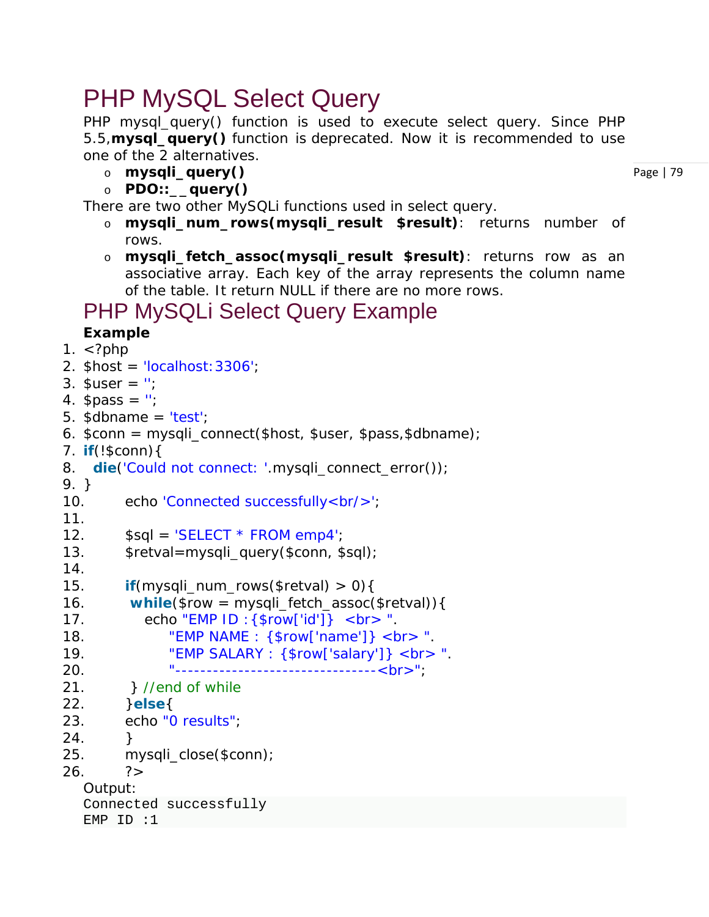## PHP MySQL Select Query

PHP mysql\_query() function is used to execute select query. Since PHP 5.5,**mysql\_query()** function is *deprecated*. Now it is recommended to use one of the 2 alternatives.

- o **mysqli\_query()**
- o **PDO::\_\_query()**

There are two other MySQLi functions used in select query.

- o **mysqli\_num\_rows(mysqli\_result \$result)**: returns number of rows.
- o **mysqli\_fetch\_assoc(mysqli\_result \$result)**: returns row as an associative array. Each key of the array represents the column name of the table. It return NULL if there are no more rows.

### PHP MySQLi Select Query Example

#### **Example**

```
1. \langle?php
2. $host = 'localhost: 3306';3. Suser = '';
4. spass = ";
5. \deltadbname = 'test';
6. sconn = mysgli connect(shost, Suser, Spass, Sdbname);7. if(!$conn){ 
8. die('Could not connect: '.mysqli_connect_error());
9. } 
10. echo 'Connected successfully<br/>'; 
11. 
12. $sqI = 'SELECT * FROM emp4';13. $retval=mysqli_query($conn, $sql); 
14. 
15. if(mysqli_num_rows($retval) > 0){ 
16. while($row = mysqli_fetch_assoc($retval)){ 
17. echo "EMP ID :\{\text{from}\"id']} < b r > ".
18. "EMP NAME : {$row['name']} <br > ".
19. "EMP SALARY : {$row['salary']} <br> ". 
20. "--------------------------------<br>"; 
21. } //end of while 
22. }else{ 
23. echo "0 results"; 
24. } 
25. mysqli_close($conn); 
26. ?>
  Output:
  Connected successfully
  EMP ID :1
```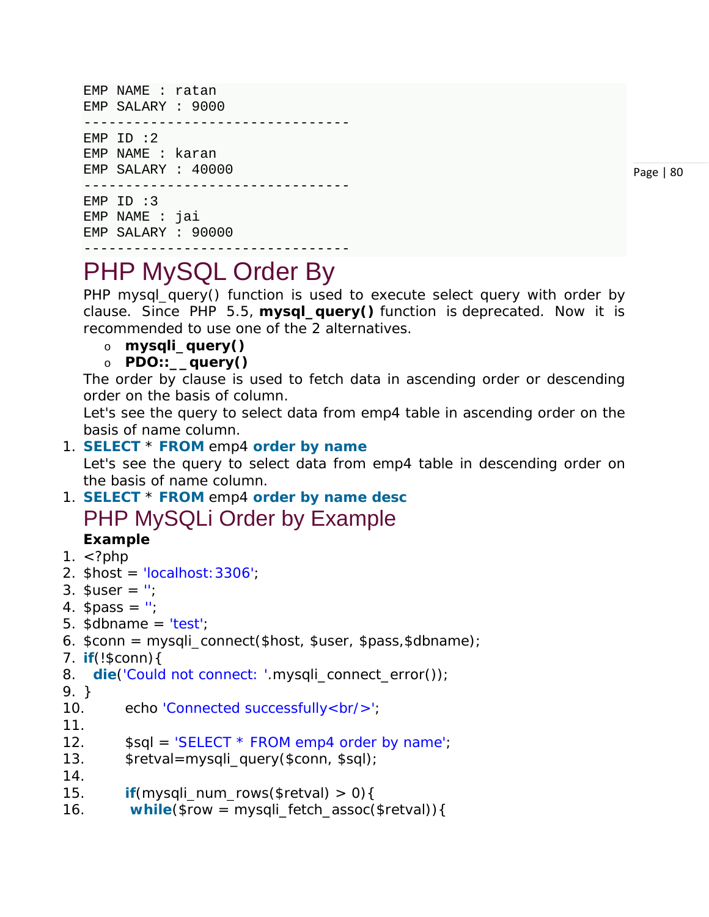```
EMP NAME : ratan 
EMP SALARY : 9000 
--------------------------------
EMP ID :2EMP NAME : karan 
EMP SALARY : 40000 
--------------------------------
EMP ID :3 
EMP NAME : jai 
EMP SALARY : 90000
```

```
Page | 80
```
## PHP MySQL Order By

PHP mysql\_query() function is used to execute select query with order by clause. Since PHP 5.5, **mysql\_query()** function is *deprecated*. Now it is recommended to use one of the 2 alternatives.

o **mysqli\_query()**

--------------------------------

o **PDO::\_\_query()**

The order by clause is used to fetch data in ascending order or descending order on the basis of column.

Let's see the query to select data from emp4 table in ascending order on the basis of name column.

1. **SELECT** \* **FROM** emp4 **order by name**

Let's see the query to select data from emp4 table in descending order on the basis of name column.

- 1. **SELECT** \* **FROM** emp4 **order by name desc** PHP MySQLi Order by Example **Example**
- 1.  $\lt$ ?php
- 2.  $$host = 'localhost: 3306';$
- 3.  $Suser = ''$ ;
- 4.  $\text{spass} = \text{''}$ ;
- 5.  $\delta$ dbname = 'test';
- 6. \$conn = mysqli\_connect(\$host, \$user, \$pass,\$dbname);
- 7. **if**(!\$conn){
- 8. **die**('Could not connect: '.mysqli\_connect\_error());
- 9. }
- 10. echo 'Connected successfully<br/>';
- 11.
- 12.  $$sqI = 'SELECT * FROM emp4 order by name';$
- 13. \$retval=mysqli\_query(\$conn, \$sql);
- 14.
- 15. **if**(mysqli\_num\_rows(\$retval) > 0){
- 16. **while**(\$row = mysqli\_fetch\_assoc(\$retval)){